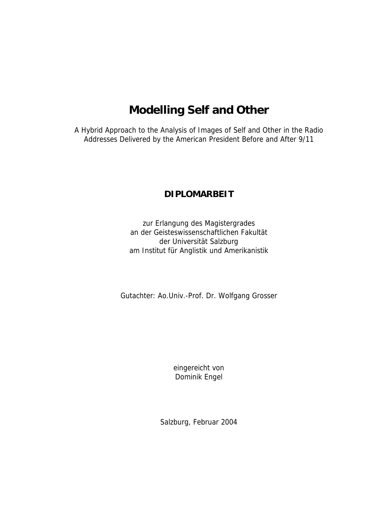# **Modelling Self and Other**

A Hybrid Approach to the Analysis of Images of Self and Other in the Radio Addresses Delivered by the American President Before and After 9/11

### **DIPLOMARBEIT**

zur Erlangung des Magistergrades an der Geisteswissenschaftlichen Fakultät der Universität Salzburg am Institut für Anglistik und Amerikanistik

Gutachter: Ao.Univ.-Prof. Dr. Wolfgang Grosser

eingereicht von Dominik Engel

Salzburg, Februar 2004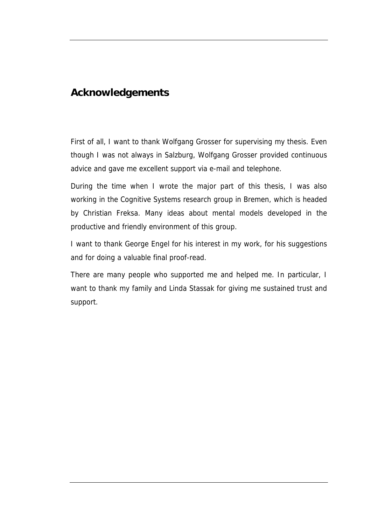# **Acknowledgements**

First of all, I want to thank Wolfgang Grosser for supervising my thesis. Even though I was not always in Salzburg, Wolfgang Grosser provided continuous advice and gave me excellent support via e-mail and telephone.

During the time when I wrote the major part of this thesis, I was also working in the Cognitive Systems research group in Bremen, which is headed by Christian Freksa. Many ideas about mental models developed in the productive and friendly environment of this group.

I want to thank George Engel for his interest in my work, for his suggestions and for doing a valuable final proof-read.

There are many people who supported me and helped me. In particular, I want to thank my family and Linda Stassak for giving me sustained trust and support.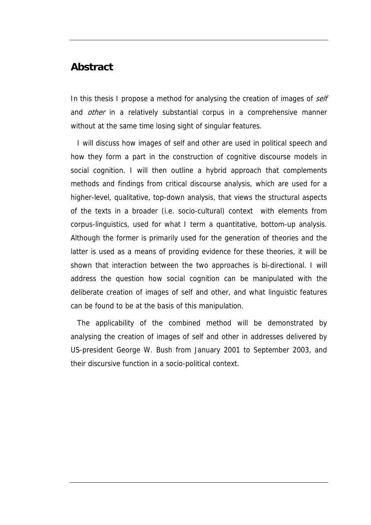# **Abstract**

In this thesis I propose a method for analysing the creation of images of self and *other* in a relatively substantial corpus in a comprehensive manner without at the same time losing sight of singular features.

I will discuss how images of self and other are used in political speech and how they form a part in the construction of cognitive discourse models in social cognition. I will then outline a hybrid approach that complements methods and findings from critical discourse analysis, which are used for a higher-level, qualitative, top-down analysis, that views the structural aspects of the texts in a broader (i.e. socio-cultural) context with elements from corpus-linguistics, used for what I term a quantitative, bottom-up analysis. Although the former is primarily used for the generation of theories and the latter is used as a means of providing evidence for these theories, it will be shown that interaction between the two approaches is bi-directional. I will address the question how social cognition can be manipulated with the deliberate creation of images of self and other, and what linguistic features can be found to be at the basis of this manipulation.

The applicability of the combined method will be demonstrated by analysing the creation of images of self and other in addresses delivered by US-president George W. Bush from January 2001 to September 2003, and their discursive function in a socio-political context.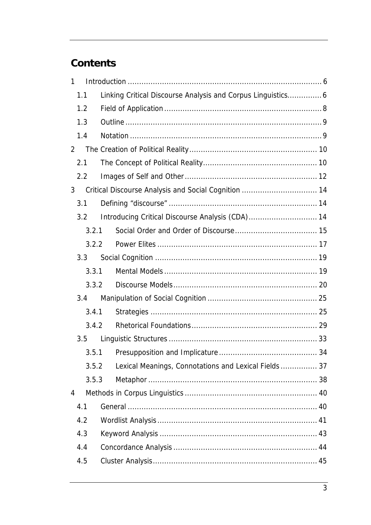# **Contents**

| 1              |       |  |                                                              |  |  |
|----------------|-------|--|--------------------------------------------------------------|--|--|
| 1.1            |       |  | Linking Critical Discourse Analysis and Corpus Linguistics 6 |  |  |
| 1.2            |       |  |                                                              |  |  |
| 1.3            |       |  |                                                              |  |  |
| 1.4            |       |  |                                                              |  |  |
| $\overline{2}$ |       |  |                                                              |  |  |
| 2.1            |       |  |                                                              |  |  |
| 2.2            |       |  |                                                              |  |  |
| 3              |       |  | Critical Discourse Analysis and Social Cognition  14         |  |  |
| 3.1            |       |  |                                                              |  |  |
| 3.2            |       |  | Introducing Critical Discourse Analysis (CDA) 14             |  |  |
|                | 3.2.1 |  |                                                              |  |  |
|                | 3.2.2 |  |                                                              |  |  |
| 3.3            |       |  |                                                              |  |  |
|                | 3.3.1 |  |                                                              |  |  |
|                | 3.3.2 |  |                                                              |  |  |
| 3.4            |       |  |                                                              |  |  |
|                | 3.4.1 |  |                                                              |  |  |
|                | 3.4.2 |  |                                                              |  |  |
| 3.5            |       |  |                                                              |  |  |
|                |       |  |                                                              |  |  |
|                | 3.5.2 |  | Lexical Meanings, Connotations and Lexical Fields  37        |  |  |
|                | 3.5.3 |  |                                                              |  |  |
| 4              |       |  |                                                              |  |  |
| 4.1            |       |  |                                                              |  |  |
| 4.2            |       |  |                                                              |  |  |
| 4.3            |       |  |                                                              |  |  |
| 4.4            |       |  |                                                              |  |  |
| 4.5            |       |  |                                                              |  |  |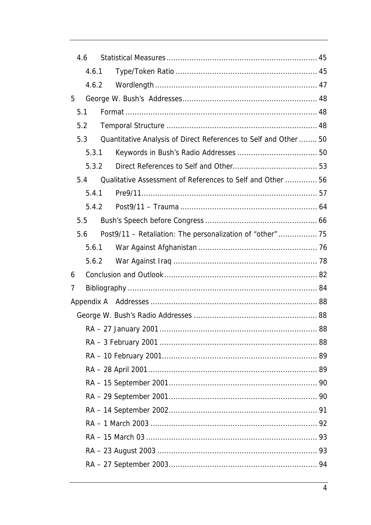|       | 4.6   |                                                                  |  |  |  |
|-------|-------|------------------------------------------------------------------|--|--|--|
| 4.6.1 |       |                                                                  |  |  |  |
|       | 4.6.2 |                                                                  |  |  |  |
| 5     |       |                                                                  |  |  |  |
|       | 5.1   |                                                                  |  |  |  |
| 5.2   |       |                                                                  |  |  |  |
|       | 5.3   | Quantitative Analysis of Direct References to Self and Other  50 |  |  |  |
|       |       | 5.3.1                                                            |  |  |  |
|       | 5.3.2 |                                                                  |  |  |  |
|       | 5.4   | Qualitative Assessment of References to Self and Other  56       |  |  |  |
|       | 5.4.1 |                                                                  |  |  |  |
|       | 5.4.2 |                                                                  |  |  |  |
|       | 5.5   |                                                                  |  |  |  |
|       | 5.6   | Post9/11 - Retaliation: The personalization of "other" 75        |  |  |  |
|       | 5.6.1 |                                                                  |  |  |  |
|       |       | 5.6.2                                                            |  |  |  |
| 6     |       |                                                                  |  |  |  |
| 7     |       |                                                                  |  |  |  |
|       |       |                                                                  |  |  |  |
|       |       |                                                                  |  |  |  |
|       |       |                                                                  |  |  |  |
|       |       |                                                                  |  |  |  |
|       |       |                                                                  |  |  |  |
|       |       |                                                                  |  |  |  |
|       |       |                                                                  |  |  |  |
|       |       |                                                                  |  |  |  |
|       |       |                                                                  |  |  |  |
|       |       |                                                                  |  |  |  |
|       |       |                                                                  |  |  |  |
|       |       |                                                                  |  |  |  |
|       |       |                                                                  |  |  |  |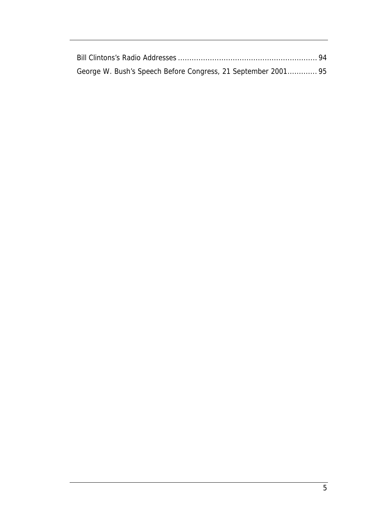| George W. Bush's Speech Before Congress, 21 September 2001 95 |  |
|---------------------------------------------------------------|--|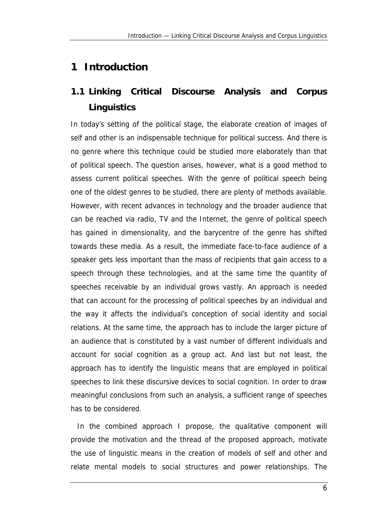# <span id="page-6-0"></span>**1 Introduction**

# **1.1 Linking Critical Discourse Analysis and Corpus Linguistics**

In today's setting of the political stage, the elaborate creation of images of self and other is an indispensable technique for political success. And there is no genre where this technique could be studied more elaborately than that of political speech. The question arises, however, what is a good method to assess current political speeches. With the genre of political speech being one of the oldest genres to be studied, there are plenty of methods available. However, with recent advances in technology and the broader audience that can be reached via radio, TV and the Internet, the genre of political speech has gained in dimensionality, and the barycentre of the genre has shifted towards these media. As a result, the immediate face-to-face audience of a speaker gets less important than the mass of recipients that gain access to a speech through these technologies, and at the same time the quantity of speeches receivable by an individual grows vastly. An approach is needed that can account for the processing of political speeches by an individual and the way it affects the individual's conception of social identity and social relations. At the same time, the approach has to include the larger picture of an audience that is constituted by a vast number of different individuals and account for social cognition as a group act. And last but not least, the approach has to identify the linguistic means that are employed in political speeches to link these discursive devices to social cognition. In order to draw meaningful conclusions from such an analysis, a sufficient range of speeches has to be considered.

In the combined approach I propose, the qualitative component will provide the motivation and the thread of the proposed approach, motivate the use of linguistic means in the creation of models of self and other and relate mental models to social structures and power relationships. The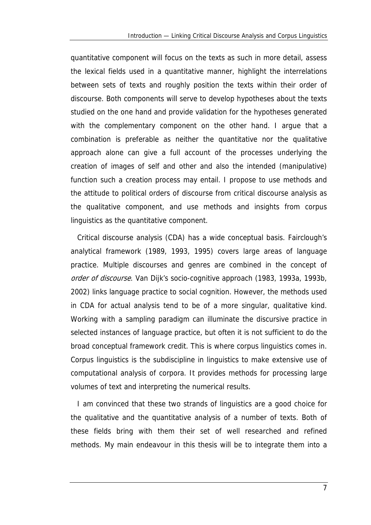quantitative component will focus on the texts as such in more detail, assess the lexical fields used in a quantitative manner, highlight the interrelations between sets of texts and roughly position the texts within their order of discourse. Both components will serve to develop hypotheses about the texts studied on the one hand and provide validation for the hypotheses generated with the complementary component on the other hand. I argue that a combination is preferable as neither the quantitative nor the qualitative approach alone can give a full account of the processes underlying the creation of images of self and other and also the intended (manipulative) function such a creation process may entail. I propose to use methods and the attitude to political orders of discourse from critical discourse analysis as the qualitative component, and use methods and insights from corpus linguistics as the quantitative component.

Critical discourse analysis (CDA) has a wide conceptual basis. Fairclough's analytical framework (1989, 1993, 1995) covers large areas of language practice. Multiple discourses and genres are combined in the concept of order of discourse. Van Dijk's socio-cognitive approach (1983, 1993a, 1993b, 2002) links language practice to social cognition. However, the methods used in CDA for actual analysis tend to be of a more singular, qualitative kind. Working with a sampling paradigm can illuminate the discursive practice in selected instances of language practice, but often it is not sufficient to do the broad conceptual framework credit. This is where corpus linguistics comes in. Corpus linguistics is the subdiscipline in linguistics to make extensive use of computational analysis of corpora. It provides methods for processing large volumes of text and interpreting the numerical results.

I am convinced that these two strands of linguistics are a good choice for the qualitative and the quantitative analysis of a number of texts. Both of these fields bring with them their set of well researched and refined methods. My main endeavour in this thesis will be to integrate them into a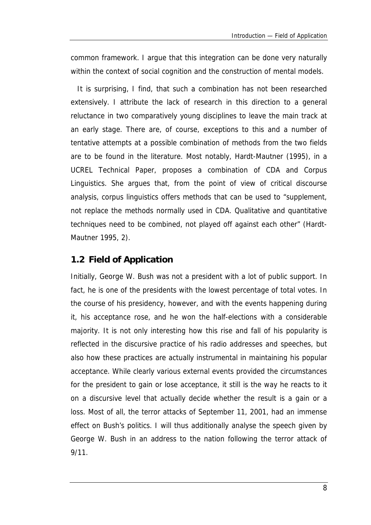<span id="page-8-0"></span>common framework. I argue that this integration can be done very naturally within the context of social cognition and the construction of mental models.

It is surprising, I find, that such a combination has not been researched extensively. I attribute the lack of research in this direction to a general reluctance in two comparatively young disciplines to leave the main track at an early stage. There are, of course, exceptions to this and a number of tentative attempts at a possible combination of methods from the two fields are to be found in the literature. Most notably, Hardt-Mautner (1995), in a UCREL Technical Paper, proposes a combination of CDA and Corpus Linguistics. She argues that, from the point of view of critical discourse analysis, corpus linguistics offers methods that can be used to "supplement, not replace the methods normally used in CDA. Qualitative and quantitative techniques need to be combined, not played off against each other" (Hardt-Mautner 1995, 2).

### **1.2 Field of Application**

Initially, George W. Bush was not a president with a lot of public support. In fact, he is one of the presidents with the lowest percentage of total votes. In the course of his presidency, however, and with the events happening during it, his acceptance rose, and he won the half-elections with a considerable majority. It is not only interesting how this rise and fall of his popularity is reflected in the discursive practice of his radio addresses and speeches, but also how these practices are actually instrumental in maintaining his popular acceptance. While clearly various external events provided the circumstances for the president to gain or lose acceptance, it still is the way he reacts to it on a discursive level that actually decide whether the result is a gain or a loss. Most of all, the terror attacks of September 11, 2001, had an immense effect on Bush's politics. I will thus additionally analyse the speech given by George W. Bush in an address to the nation following the terror attack of 9/11.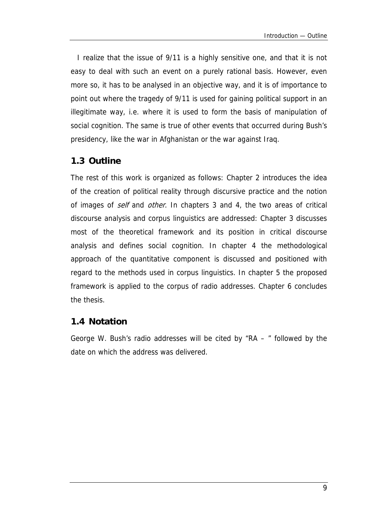<span id="page-9-0"></span>I realize that the issue of 9/11 is a highly sensitive one, and that it is not easy to deal with such an event on a purely rational basis. However, even more so, it has to be analysed in an objective way, and it is of importance to point out where the tragedy of 9/11 is used for gaining political support in an illegitimate way, i.e. where it is used to form the basis of manipulation of social cognition. The same is true of other events that occurred during Bush's presidency, like the war in Afghanistan or the war against Iraq.

### **1.3 Outline**

The rest of this work is organized as follows: Chapter 2 introduces the idea of the creation of political reality through discursive practice and the notion of images of *self* and *other*. In chapters [3](#page-14-1) and [4,](#page-40-1) the two areas of critical discourse analysis and corpus linguistics are addressed: Chapter 3 discusses most of the theoretical framework and its position in critical discourse analysis and defines social cognition. In chapter 4 the methodological approach of the quantitative component is discussed and positioned with regard to the methods used in corpus linguistics. In chapter 5 the proposed framework is applied to the corpus of radio addresses. Chapter 6 concludes the thesis.

### **1.4 Notation**

George W. Bush's radio addresses will be cited by "RA – " followed by the date on which the address was delivered.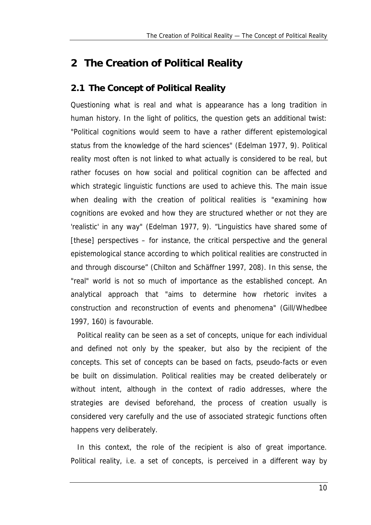# <span id="page-10-0"></span>**2 The Creation of Political Reality**

# **2.1 The Concept of Political Reality**

Questioning what is real and what is appearance has a long tradition in human history. In the light of politics, the question gets an additional twist: "Political cognitions would seem to have a rather different epistemological status from the knowledge of the hard sciences" (Edelman 1977, 9). Political reality most often is not linked to what actually is considered to be real, but rather focuses on how social and political cognition can be affected and which strategic linguistic functions are used to achieve this. The main issue when dealing with the creation of political realities is "examining how cognitions are evoked and how they are structured whether or not they are 'realistic' in any way" (Edelman 1977, 9). "Linguistics have shared some of [these] perspectives – for instance, the critical perspective and the general epistemological stance according to which political realities are constructed in and through discourse" (Chilton and Schäffner 1997, 208). In this sense, the "real" world is not so much of importance as the established concept. An analytical approach that "aims to determine how rhetoric invites a construction and reconstruction of events and phenomena" (Gill/Whedbee 1997, 160) is favourable.

Political reality can be seen as a set of concepts, unique for each individual and defined not only by the speaker, but also by the recipient of the concepts. This set of concepts can be based on facts, pseudo-facts or even be built on dissimulation. Political realities may be created deliberately or without intent, although in the context of radio addresses, where the strategies are devised beforehand, the process of creation usually is considered very carefully and the use of associated strategic functions often happens very deliberately.

In this context, the role of the recipient is also of great importance. Political reality, i.e. a set of concepts, is perceived in a different way by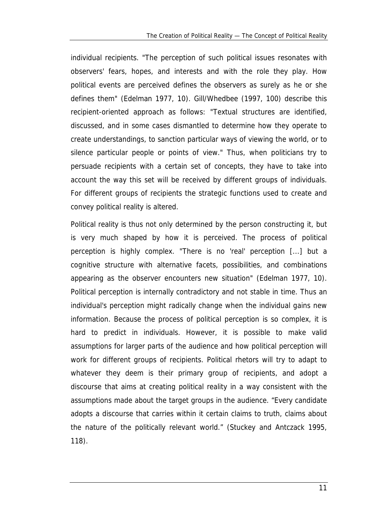individual recipients. "The perception of such political issues resonates with observers' fears, hopes, and interests and with the role they play. How political events are perceived defines the observers as surely as he or she defines them" (Edelman 1977, 10). Gill/Whedbee (1997, 100) describe this recipient-oriented approach as follows: "Textual structures are identified, discussed, and in some cases dismantled to determine how they operate to create understandings, to sanction particular ways of viewing the world, or to silence particular people or points of view." Thus, when politicians try to persuade recipients with a certain set of concepts, they have to take into account the way this set will be received by different groups of individuals. For different groups of recipients the strategic functions used to create and convey political reality is altered.

Political reality is thus not only determined by the person constructing it, but is very much shaped by how it is perceived. The process of political perception is highly complex. "There is no 'real' perception [...] but a cognitive structure with alternative facets, possibilities, and combinations appearing as the observer encounters new situation" (Edelman 1977, 10). Political perception is internally contradictory and not stable in time. Thus an individual's perception might radically change when the individual gains new information. Because the process of political perception is so complex, it is hard to predict in individuals. However, it is possible to make valid assumptions for larger parts of the audience and how political perception will work for different groups of recipients. Political rhetors will try to adapt to whatever they deem is their primary group of recipients, and adopt a discourse that aims at creating political reality in a way consistent with the assumptions made about the target groups in the audience. "Every candidate adopts a discourse that carries within it certain claims to truth, claims about the nature of the politically relevant world." (Stuckey and Antczack 1995, 118).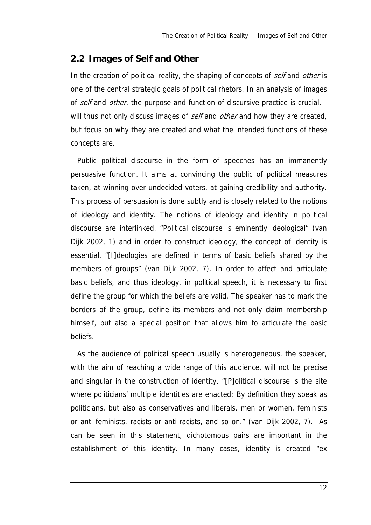# <span id="page-12-0"></span>**2.2 Images of Self and Other**

In the creation of political reality, the shaping of concepts of *self* and *other* is one of the central strategic goals of political rhetors. In an analysis of images of self and other, the purpose and function of discursive practice is crucial. I will thus not only discuss images of *self* and *other* and how they are created, but focus on why they are created and what the intended functions of these concepts are.

Public political discourse in the form of speeches has an immanently persuasive function. It aims at convincing the public of political measures taken, at winning over undecided voters, at gaining credibility and authority. This process of persuasion is done subtly and is closely related to the notions of ideology and identity. The notions of ideology and identity in political discourse are interlinked. "Political discourse is eminently ideological" (van Dijk 2002, 1) and in order to construct ideology, the concept of identity is essential. "[I]deologies are defined in terms of basic beliefs shared by the members of groups" (van Dijk 2002, 7). In order to affect and articulate basic beliefs, and thus ideology, in political speech, it is necessary to first define the group for which the beliefs are valid. The speaker has to mark the borders of the group, define its members and not only claim membership himself, but also a special position that allows him to articulate the basic beliefs.

As the audience of political speech usually is heterogeneous, the speaker, with the aim of reaching a wide range of this audience, will not be precise and singular in the construction of identity. "[P]olitical discourse is the site where politicians' multiple identities are enacted: By definition they speak as politicians, but also as conservatives and liberals, men or women, feminists or anti-feminists, racists or anti-racists, and so on." (van Dijk 2002, 7). As can be seen in this statement, dichotomous pairs are important in the establishment of this identity. In many cases, identity is created "ex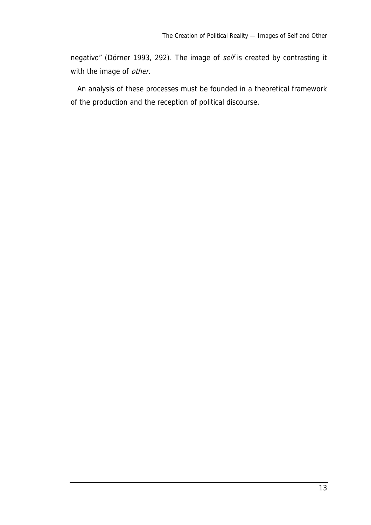negativo" (Dörner 1993, 292). The image of self is created by contrasting it with the image of *other*.

An analysis of these processes must be founded in a theoretical framework of the production and the reception of political discourse.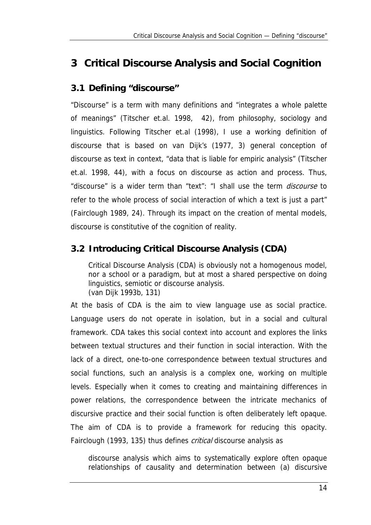# <span id="page-14-1"></span><span id="page-14-0"></span>**3 Critical Discourse Analysis and Social Cognition**

# **3.1 Defining "discourse"**

"Discourse" is a term with many definitions and "integrates a whole palette of meanings" (Titscher et.al. 1998, 42), from philosophy, sociology and linguistics. Following Titscher et.al (1998), I use a working definition of discourse that is based on van Dijk's (1977, 3) general conception of discourse as text in context, "data that is liable for empiric analysis" (Titscher et.al. 1998, 44), with a focus on discourse as action and process. Thus, "discourse" is a wider term than "text": "I shall use the term *discourse* to refer to the whole process of social interaction of which a text is just a part" (Fairclough 1989, 24). Through its impact on the creation of mental models, discourse is constitutive of the cognition of reality.

# **3.2 Introducing Critical Discourse Analysis (CDA)**

Critical Discourse Analysis (CDA) is obviously not a homogenous model, nor a school or a paradigm, but at most a shared perspective on doing linguistics, semiotic or discourse analysis. (van Dijk 1993b, 131)

At the basis of CDA is the aim to view language use as social practice. Language users do not operate in isolation, but in a social and cultural framework. CDA takes this social context into account and explores the links between textual structures and their function in social interaction. With the lack of a direct, one-to-one correspondence between textual structures and social functions, such an analysis is a complex one, working on multiple levels. Especially when it comes to creating and maintaining differences in power relations, the correspondence between the intricate mechanics of discursive practice and their social function is often deliberately left opaque. The aim of CDA is to provide a framework for reducing this opacity. Fairclough (1993, 135) thus defines critical discourse analysis as

discourse analysis which aims to systematically explore often opaque relationships of causality and determination between (a) discursive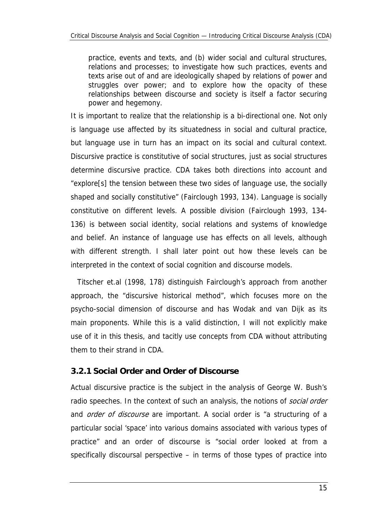<span id="page-15-0"></span>practice, events and texts, and (b) wider social and cultural structures, relations and processes; to investigate how such practices, events and texts arise out of and are ideologically shaped by relations of power and struggles over power; and to explore how the opacity of these relationships between discourse and society is itself a factor securing power and hegemony.

It is important to realize that the relationship is a bi-directional one. Not only is language use affected by its situatedness in social and cultural practice, but language use in turn has an impact on its social and cultural context. Discursive practice is constitutive of social structures, just as social structures determine discursive practice. CDA takes both directions into account and "explore[s] the tension between these two sides of language use, the socially shaped and socially constitutive" (Fairclough 1993, 134). Language is socially constitutive on different levels. A possible division (Fairclough 1993, 134- 136) is between social identity, social relations and systems of knowledge and belief. An instance of language use has effects on all levels, although with different strength. I shall later point out how these levels can be interpreted in the context of social cognition and discourse models.

Titscher et.al (1998, 178) distinguish Fairclough's approach from another approach, the "discursive historical method", which focuses more on the psycho-social dimension of discourse and has Wodak and van Dijk as its main proponents. While this is a valid distinction, I will not explicitly make use of it in this thesis, and tacitly use concepts from CDA without attributing them to their strand in CDA.

# **3.2.1 Social Order and Order of Discourse**

Actual discursive practice is the subject in the analysis of George W. Bush's radio speeches. In the context of such an analysis, the notions of *social order* and *order of discourse* are important. A social order is "a structuring of a particular social 'space' into various domains associated with various types of practice" and an order of discourse is "social order looked at from a specifically discoursal perspective – in terms of those types of practice into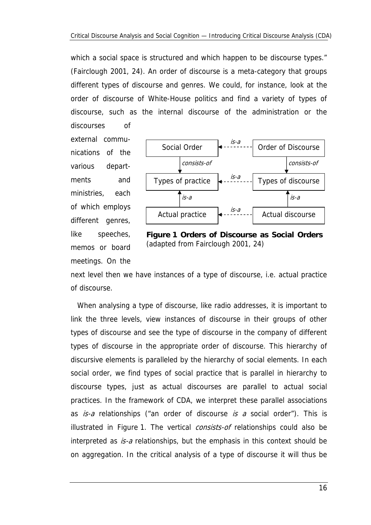which a social space is structured and which happen to be discourse types." (Fairclough 2001, 24). An order of discourse is a meta-category that groups different types of discourse and genres. We could, for instance, look at the order of discourse of White-House politics and find a variety of types of discourse, such as the internal discourse of the administration or the

discourses of external communications of the various departments and ministries, each of which employs different genres, like speeches, memos or board meetings. On the



**Figure 1 Orders of Discourse as Social Orders** (adapted from Fairclough 2001, 24)

next level then we have instances of a type of discourse, i.e. actual practice of discourse.

When analysing a type of discourse, like radio addresses, it is important to link the three levels, view instances of discourse in their groups of other types of discourse and see the type of discourse in the company of different types of discourse in the appropriate order of discourse. This hierarchy of discursive elements is paralleled by the hierarchy of social elements. In each social order, we find types of social practice that is parallel in hierarchy to discourse types, just as actual discourses are parallel to actual social practices. In the framework of CDA, we interpret these parallel associations as  $is-a$  relationships ("an order of discourse is a social order"). This is illustrated in [Figure 1.](#page-42-0) The vertical *consists-of* relationships could also be interpreted as  $is-a$  relationships, but the emphasis in this context should be on aggregation. In the critical analysis of a type of discourse it will thus be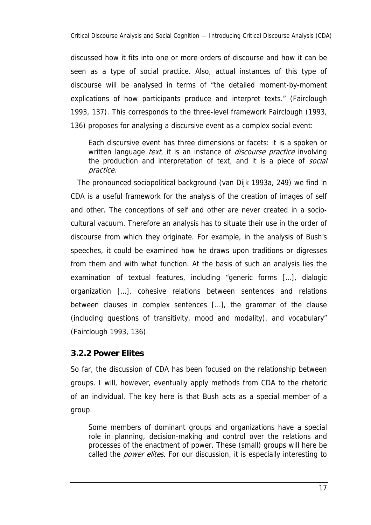<span id="page-17-0"></span>discussed how it fits into one or more orders of discourse and how it can be seen as a type of social practice. Also, actual instances of this type of discourse will be analysed in terms of "the detailed moment-by-moment explications of how participants produce and interpret texts." (Fairclough 1993, 137). This corresponds to the three-level framework Fairclough (1993, 136) proposes for analysing a discursive event as a complex social event:

Each discursive event has three dimensions or facets: it is a spoken or written language *text*, it is an instance of *discourse practice* involving the production and interpretation of text, and it is a piece of *social* practice.

The pronounced sociopolitical background (van Dijk 1993a, 249) we find in CDA is a useful framework for the analysis of the creation of images of self and other. The conceptions of self and other are never created in a sociocultural vacuum. Therefore an analysis has to situate their use in the order of discourse from which they originate. For example, in the analysis of Bush's speeches, it could be examined how he draws upon traditions or digresses from them and with what function. At the basis of such an analysis lies the examination of textual features, including "generic forms […], dialogic organization […], cohesive relations between sentences and relations between clauses in complex sentences […], the grammar of the clause (including questions of transitivity, mood and modality), and vocabulary" (Fairclough 1993, 136).

# **3.2.2 Power Elites**

So far, the discussion of CDA has been focused on the relationship between groups. I will, however, eventually apply methods from CDA to the rhetoric of an individual. The key here is that Bush acts as a special member of a group.

Some members of dominant groups and organizations have a special role in planning, decision-making and control over the relations and processes of the enactment of power. These (small) groups will here be called the *power elites*. For our discussion, it is especially interesting to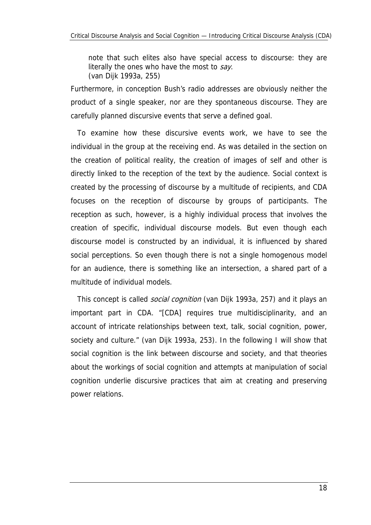note that such elites also have special access to discourse: they are literally the ones who have the most to say. (van Dijk 1993a, 255)

Furthermore, in conception Bush's radio addresses are obviously neither the product of a single speaker, nor are they spontaneous discourse. They are carefully planned discursive events that serve a defined goal.

To examine how these discursive events work, we have to see the individual in the group at the receiving end. As was detailed in the section on the creation of political reality, the creation of images of self and other is directly linked to the reception of the text by the audience. Social context is created by the processing of discourse by a multitude of recipients, and CDA focuses on the reception of discourse by groups of participants. The reception as such, however, is a highly individual process that involves the creation of specific, individual discourse models. But even though each discourse model is constructed by an individual, it is influenced by shared social perceptions. So even though there is not a single homogenous model for an audience, there is something like an intersection, a shared part of a multitude of individual models.

This concept is called *social cognition* (van Dijk 1993a, 257) and it plays an important part in CDA. "[CDA] requires true multidisciplinarity, and an account of intricate relationships between text, talk, social cognition, power, society and culture." (van Dijk 1993a, 253). In the following I will show that social cognition is the link between discourse and society, and that theories about the workings of social cognition and attempts at manipulation of social cognition underlie discursive practices that aim at creating and preserving power relations.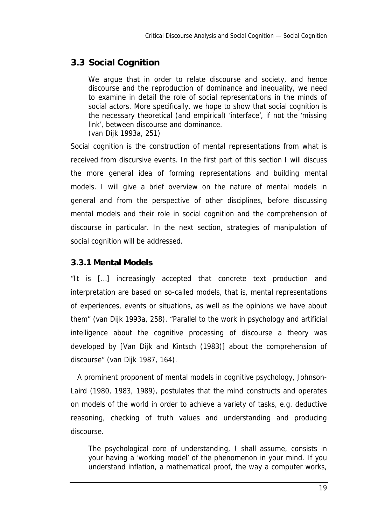# <span id="page-19-0"></span>**3.3 Social Cognition**

We argue that in order to relate discourse and society, and hence discourse and the reproduction of dominance and inequality, we need to examine in detail the role of social representations in the minds of social actors. More specifically, we hope to show that social cognition is the necessary theoretical (and empirical) 'interface', if not the 'missing link', between discourse and dominance. (van Dijk 1993a, 251)

Social cognition is the construction of mental representations from what is received from discursive events. In the first part of this section I will discuss the more general idea of forming representations and building mental models. I will give a brief overview on the nature of mental models in general and from the perspective of other disciplines, before discussing mental models and their role in social cognition and the comprehension of discourse in particular. In the next section, strategies of manipulation of social cognition will be addressed.

# **3.3.1 Mental Models**

"It is […] increasingly accepted that concrete text production and interpretation are based on so-called models, that is, mental representations of experiences, events or situations, as well as the opinions we have about them" (van Dijk 1993a, 258). "Parallel to the work in psychology and artificial intelligence about the cognitive processing of discourse a theory was developed by [Van Dijk and Kintsch (1983)] about the comprehension of discourse" (van Dijk 1987, 164).

A prominent proponent of mental models in cognitive psychology, Johnson-Laird (1980, 1983, 1989), postulates that the mind constructs and operates on models of the world in order to achieve a variety of tasks, e.g. deductive reasoning, checking of truth values and understanding and producing discourse.

The psychological core of understanding, I shall assume, consists in your having a 'working model' of the phenomenon in your mind. If you understand inflation, a mathematical proof, the way a computer works,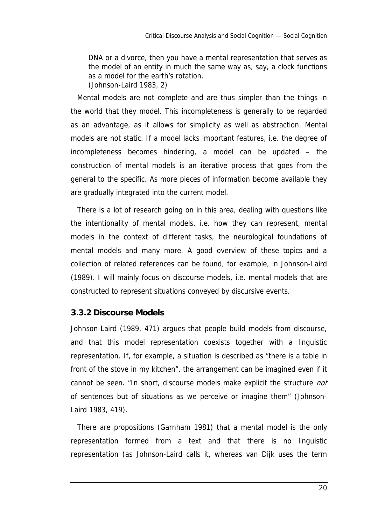<span id="page-20-0"></span>DNA or a divorce, then you have a mental representation that serves as the model of an entity in much the same way as, say, a clock functions as a model for the earth's rotation. (Johnson-Laird 1983, 2)

Mental models are not complete and are thus simpler than the things in the world that they model. This incompleteness is generally to be regarded as an advantage, as it allows for simplicity as well as abstraction. Mental models are not static. If a model lacks important features, i.e. the degree of incompleteness becomes hindering, a model can be updated – the construction of mental models is an iterative process that goes from the general to the specific. As more pieces of information become available they are gradually integrated into the current model.

There is a lot of research going on in this area, dealing with questions like the intentionality of mental models, i.e. how they can represent, mental models in the context of different tasks, the neurological foundations of mental models and many more. A good overview of these topics and a collection of related references can be found, for example, in Johnson-Laird (1989). I will mainly focus on discourse models, i.e. mental models that are constructed to represent situations conveyed by discursive events.

# **3.3.2 Discourse Models**

Johnson-Laird (1989, 471) argues that people build models from discourse, and that this model representation coexists together with a linguistic representation. If, for example, a situation is described as "there is a table in front of the stove in my kitchen", the arrangement can be imagined even if it cannot be seen. "In short, discourse models make explicit the structure *not* of sentences but of situations as we perceive or imagine them" (Johnson-Laird 1983, 419).

There are propositions (Garnham 1981) that a mental model is the only representation formed from a text and that there is no linguistic representation (as Johnson-Laird calls it, whereas van Dijk uses the term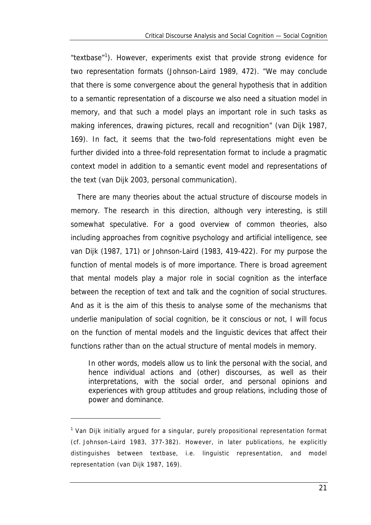"textbase"[1](#page-21-0) ). However, experiments exist that provide strong evidence for two representation formats (Johnson-Laird 1989, 472). "We may conclude that there is some convergence about the general hypothesis that in addition to a semantic representation of a discourse we also need a situation model in memory, and that such a model plays an important role in such tasks as making inferences, drawing pictures, recall and recognition" (van Dijk 1987, 169). In fact, it seems that the two-fold representations might even be further divided into a three-fold representation format to include a pragmatic context model in addition to a semantic event model and representations of the text (van Dijk 2003, personal communication).

There are many theories about the actual structure of discourse models in memory. The research in this direction, although very interesting, is still somewhat speculative. For a good overview of common theories, also including approaches from cognitive psychology and artificial intelligence, see van Dijk (1987, 171) or Johnson-Laird (1983, 419-422). For my purpose the function of mental models is of more importance. There is broad agreement that mental models play a major role in social cognition as the interface between the reception of text and talk and the cognition of social structures. And as it is the aim of this thesis to analyse some of the mechanisms that underlie manipulation of social cognition, be it conscious or not, I will focus on the function of mental models and the linguistic devices that affect their functions rather than on the actual structure of mental models in memory.

In other words, models allow us to link the personal with the social, and hence individual actions and (other) discourses, as well as their interpretations, with the social order, and personal opinions and experiences with group attitudes and group relations, including those of power and dominance.

 $\overline{a}$ 

<span id="page-21-0"></span><sup>&</sup>lt;sup>1</sup> Van Dijk initially argued for a singular, purely propositional representation format (cf. Johnson-Laird 1983, 377-382). However, in later publications, he explicitly distinguishes between textbase, i.e. linguistic representation, and model representation (van Dijk 1987, 169).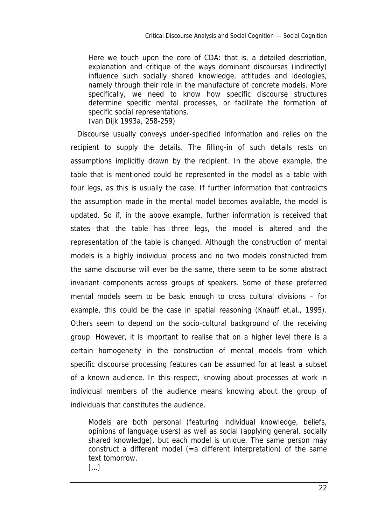Here we touch upon the core of CDA: that is, a detailed description, explanation and critique of the ways dominant discourses (indirectly) influence such socially shared knowledge, attitudes and ideologies, namely through their role in the manufacture of concrete models. More specifically, we need to know how specific discourse structures determine specific mental processes, or facilitate the formation of specific social representations. (van Dijk 1993a, 258-259)

Discourse usually conveys under-specified information and relies on the recipient to supply the details. The filling-in of such details rests on assumptions implicitly drawn by the recipient. In the above example, the table that is mentioned could be represented in the model as a table with four legs, as this is usually the case. If further information that contradicts the assumption made in the mental model becomes available, the model is updated. So if, in the above example, further information is received that states that the table has three legs, the model is altered and the representation of the table is changed. Although the construction of mental models is a highly individual process and no two models constructed from the same discourse will ever be the same, there seem to be some abstract invariant components across groups of speakers. Some of these preferred mental models seem to be basic enough to cross cultural divisions – for example, this could be the case in spatial reasoning (Knauff et.al., 1995). Others seem to depend on the socio-cultural background of the receiving group. However, it is important to realise that on a higher level there is a certain homogeneity in the construction of mental models from which specific discourse processing features can be assumed for at least a subset of a known audience. In this respect, knowing about processes at work in individual members of the audience means knowing about the group of individuals that constitutes the audience.

Models are both personal (featuring individual knowledge, beliefs, opinions of language users) as well as social (applying general, socially shared knowledge), but each model is unique. The same person may construct a different model (=a different interpretation) of the same text tomorrow.

 $[...]$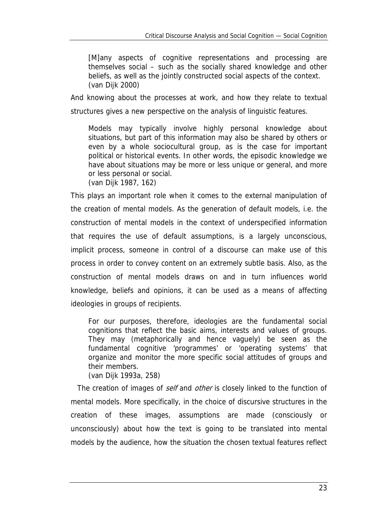[M]any aspects of cognitive representations and processing are themselves social – such as the socially shared knowledge and other beliefs, as well as the jointly constructed social aspects of the context. (van Dijk 2000)

And knowing about the processes at work, and how they relate to textual structures gives a new perspective on the analysis of linguistic features.

Models may typically involve highly personal knowledge about situations, but part of this information may also be shared by others or even by a whole sociocultural group, as is the case for important political or historical events. In other words, the episodic knowledge we have about situations may be more or less unique or general, and more or less personal or social. (van Dijk 1987, 162)

This plays an important role when it comes to the external manipulation of the creation of mental models. As the generation of default models, i.e. the construction of mental models in the context of underspecified information that requires the use of default assumptions, is a largely unconscious, implicit process, someone in control of a discourse can make use of this process in order to convey content on an extremely subtle basis. Also, as the construction of mental models draws on and in turn influences world knowledge, beliefs and opinions, it can be used as a means of affecting ideologies in groups of recipients.

For our purposes, therefore, ideologies are the fundamental social cognitions that reflect the basic aims, interests and values of groups. They may (metaphorically and hence vaguely) be seen as the fundamental cognitive 'programmes' or 'operating systems' that organize and monitor the more specific social attitudes of groups and their members.

(van Dijk 1993a, 258)

The creation of images of *self* and *other* is closely linked to the function of mental models. More specifically, in the choice of discursive structures in the creation of these images, assumptions are made (consciously or unconsciously) about how the text is going to be translated into mental models by the audience, how the situation the chosen textual features reflect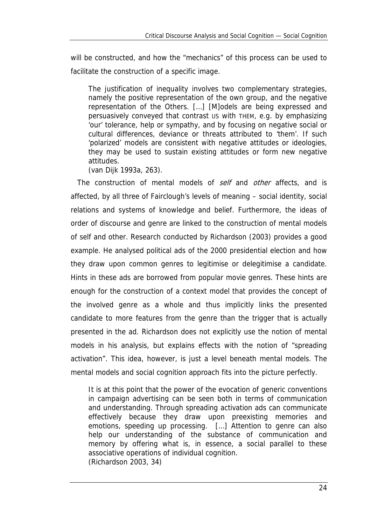will be constructed, and how the "mechanics" of this process can be used to facilitate the construction of a specific image.

The justification of inequality involves two complementary strategies, namely the positive representation of the own group, and the negative representation of the Others. […] [M]odels are being expressed and persuasively conveyed that contrast US with THEM, e.g. by emphasizing 'our' tolerance, help or sympathy, and by focusing on negative social or cultural differences, deviance or threats attributed to 'them'. If such 'polarized' models are consistent with negative attitudes or ideologies, they may be used to sustain existing attitudes or form new negative attitudes.

(van Dijk 1993a, 263).

The construction of mental models of *self* and *other* affects, and is affected, by all three of Fairclough's levels of meaning – social identity, social relations and systems of knowledge and belief. Furthermore, the ideas of order of discourse and genre are linked to the construction of mental models of self and other. Research conducted by Richardson (2003) provides a good example. He analysed political ads of the 2000 presidential election and how they draw upon common genres to legitimise or delegitimise a candidate. Hints in these ads are borrowed from popular movie genres. These hints are enough for the construction of a context model that provides the concept of the involved genre as a whole and thus implicitly links the presented candidate to more features from the genre than the trigger that is actually presented in the ad. Richardson does not explicitly use the notion of mental models in his analysis, but explains effects with the notion of "spreading activation". This idea, however, is just a level beneath mental models. The mental models and social cognition approach fits into the picture perfectly.

It is at this point that the power of the evocation of generic conventions in campaign advertising can be seen both in terms of communication and understanding. Through spreading activation ads can communicate effectively because they draw upon preexisting memories and emotions, speeding up processing. […] Attention to genre can also help our understanding of the substance of communication and memory by offering what is, in essence, a social parallel to these associative operations of individual cognition. (Richardson 2003, 34)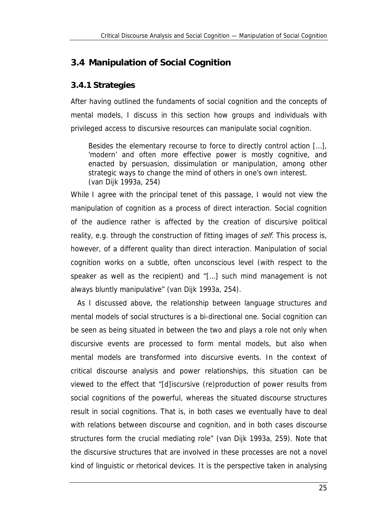# <span id="page-25-0"></span>**3.4 Manipulation of Social Cognition**

#### **3.4.1 Strategies**

After having outlined the fundaments of social cognition and the concepts of mental models, I discuss in this section how groups and individuals with privileged access to discursive resources can manipulate social cognition.

Besides the elementary recourse to force to directly control action […], 'modern' and often more effective power is mostly cognitive, and enacted by persuasion, dissimulation or manipulation, among other strategic ways to change the mind of others in one's own interest. (van Dijk 1993a, 254)

While I agree with the principal tenet of this passage, I would not view the manipulation of cognition as a process of direct interaction. Social cognition of the audience rather is affected by the creation of discursive political reality, e.g. through the construction of fitting images of *self*. This process is, however, of a different quality than direct interaction. Manipulation of social cognition works on a subtle, often unconscious level (with respect to the speaker as well as the recipient) and "[…] such mind management is not always bluntly manipulative" (van Dijk 1993a, 254).

As I discussed above, the relationship between language structures and mental models of social structures is a bi-directional one. Social cognition can be seen as being situated in between the two and plays a role not only when discursive events are processed to form mental models, but also when mental models are transformed into discursive events. In the context of critical discourse analysis and power relationships, this situation can be viewed to the effect that "[d]iscursive (re)production of power results from social cognitions of the powerful, whereas the situated discourse structures result in social cognitions. That is, in both cases we eventually have to deal with relations between discourse and cognition, and in both cases discourse structures form the crucial mediating role" (van Dijk 1993a, 259). Note that the discursive structures that are involved in these processes are not a novel kind of linguistic or rhetorical devices. It is the perspective taken in analysing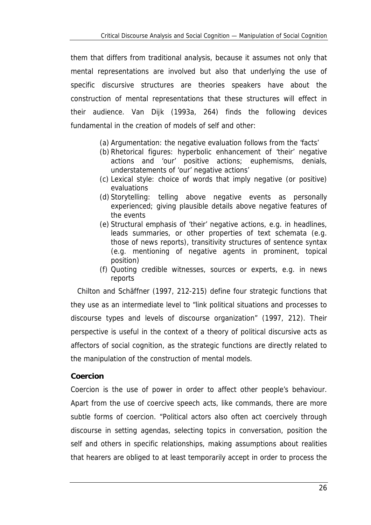them that differs from traditional analysis, because it assumes not only that mental representations are involved but also that underlying the use of specific discursive structures are theories speakers have about the construction of mental representations that these structures will effect in their audience. Van Dijk (1993a, 264) finds the following devices fundamental in the creation of models of self and other:

- (a) Argumentation: the negative evaluation follows from the 'facts'
- (b) Rhetorical figures: hyperbolic enhancement of 'their' negative actions and 'our' positive actions; euphemisms, denials, understatements of 'our' negative actions'
- (c) Lexical style: choice of words that imply negative (or positive) evaluations
- (d) Storytelling: telling above negative events as personally experienced; giving plausible details above negative features of the events
- (e) Structural emphasis of 'their' negative actions, e.g. in headlines, leads summaries, or other properties of text schemata (e.g. those of news reports), transitivity structures of sentence syntax (e.g. mentioning of negative agents in prominent, topical position)
- (f) Quoting credible witnesses, sources or experts, e.g. in news reports

Chilton and Schäffner (1997, 212-215) define four strategic functions that they use as an intermediate level to "link political situations and processes to discourse types and levels of discourse organization" (1997, 212). Their perspective is useful in the context of a theory of political discursive acts as affectors of social cognition, as the strategic functions are directly related to the manipulation of the construction of mental models.

#### **Coercion**

Coercion is the use of power in order to affect other people's behaviour. Apart from the use of coercive speech acts, like commands, there are more subtle forms of coercion. "Political actors also often act coercively through discourse in setting agendas, selecting topics in conversation, position the self and others in specific relationships, making assumptions about realities that hearers are obliged to at least temporarily accept in order to process the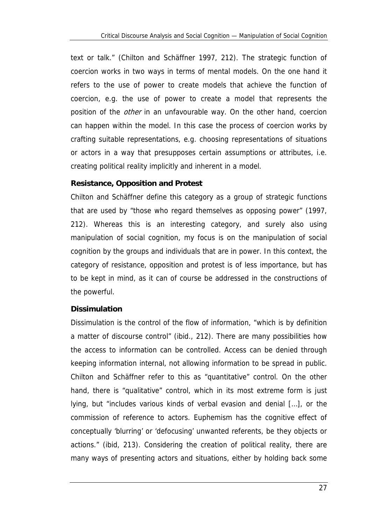text or talk." (Chilton and Schäffner 1997, 212). The strategic function of coercion works in two ways in terms of mental models. On the one hand it refers to the use of power to create models that achieve the function of coercion, e.g. the use of power to create a model that represents the position of the *other* in an unfavourable way. On the other hand, coercion can happen within the model. In this case the process of coercion works by crafting suitable representations, e.g. choosing representations of situations or actors in a way that presupposes certain assumptions or attributes, i.e. creating political reality implicitly and inherent in a model.

#### **Resistance, Opposition and Protest**

Chilton and Schäffner define this category as a group of strategic functions that are used by "those who regard themselves as opposing power" (1997, 212). Whereas this is an interesting category, and surely also using manipulation of social cognition, my focus is on the manipulation of social cognition by the groups and individuals that are in power. In this context, the category of resistance, opposition and protest is of less importance, but has to be kept in mind, as it can of course be addressed in the constructions of the powerful.

### **Dissimulation**

Dissimulation is the control of the flow of information, "which is by definition a matter of discourse control" (ibid., 212). There are many possibilities how the access to information can be controlled. Access can be denied through keeping information internal, not allowing information to be spread in public. Chilton and Schäffner refer to this as "quantitative" control. On the other hand, there is "qualitative" control, which in its most extreme form is just lying, but "includes various kinds of verbal evasion and denial […], or the commission of reference to actors. Euphemism has the cognitive effect of conceptually 'blurring' or 'defocusing' unwanted referents, be they objects or actions." (ibid, 213). Considering the creation of political reality, there are many ways of presenting actors and situations, either by holding back some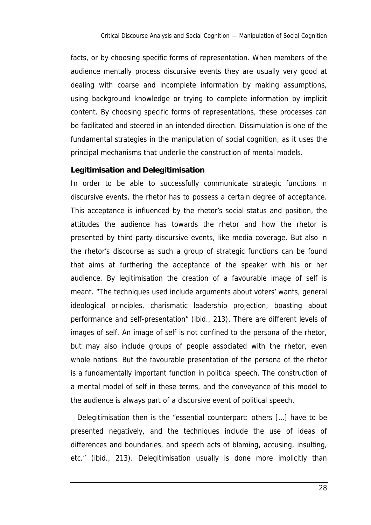facts, or by choosing specific forms of representation. When members of the audience mentally process discursive events they are usually very good at dealing with coarse and incomplete information by making assumptions, using background knowledge or trying to complete information by implicit content. By choosing specific forms of representations, these processes can be facilitated and steered in an intended direction. Dissimulation is one of the fundamental strategies in the manipulation of social cognition, as it uses the principal mechanisms that underlie the construction of mental models.

#### **Legitimisation and Delegitimisation**

In order to be able to successfully communicate strategic functions in discursive events, the rhetor has to possess a certain degree of acceptance. This acceptance is influenced by the rhetor's social status and position, the attitudes the audience has towards the rhetor and how the rhetor is presented by third-party discursive events, like media coverage. But also in the rhetor's discourse as such a group of strategic functions can be found that aims at furthering the acceptance of the speaker with his or her audience. By legitimisation the creation of a favourable image of self is meant. "The techniques used include arguments about voters' wants, general ideological principles, charismatic leadership projection, boasting about performance and self-presentation" (ibid., 213). There are different levels of images of self. An image of self is not confined to the persona of the rhetor, but may also include groups of people associated with the rhetor, even whole nations. But the favourable presentation of the persona of the rhetor is a fundamentally important function in political speech. The construction of a mental model of self in these terms, and the conveyance of this model to the audience is always part of a discursive event of political speech.

Delegitimisation then is the "essential counterpart: others […] have to be presented negatively, and the techniques include the use of ideas of differences and boundaries, and speech acts of blaming, accusing, insulting, etc." (ibid., 213). Delegitimisation usually is done more implicitly than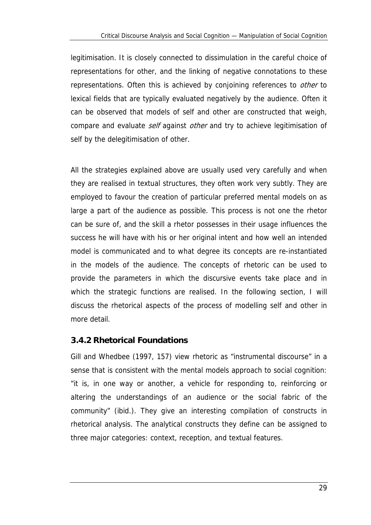<span id="page-29-0"></span>legitimisation. It is closely connected to dissimulation in the careful choice of representations for other, and the linking of negative connotations to these representations. Often this is achieved by conjoining references to *other* to lexical fields that are typically evaluated negatively by the audience. Often it can be observed that models of self and other are constructed that weigh, compare and evaluate *self* against *other* and try to achieve legitimisation of self by the delegitimisation of other.

All the strategies explained above are usually used very carefully and when they are realised in textual structures, they often work very subtly. They are employed to favour the creation of particular preferred mental models on as large a part of the audience as possible. This process is not one the rhetor can be sure of, and the skill a rhetor possesses in their usage influences the success he will have with his or her original intent and how well an intended model is communicated and to what degree its concepts are re-instantiated in the models of the audience. The concepts of rhetoric can be used to provide the parameters in which the discursive events take place and in which the strategic functions are realised. In the following section, I will discuss the rhetorical aspects of the process of modelling self and other in more detail.

# **3.4.2 Rhetorical Foundations**

Gill and Whedbee (1997, 157) view rhetoric as "instrumental discourse" in a sense that is consistent with the mental models approach to social cognition: "it is, in one way or another, a vehicle for responding to, reinforcing or altering the understandings of an audience or the social fabric of the community" (ibid.). They give an interesting compilation of constructs in rhetorical analysis. The analytical constructs they define can be assigned to three major categories: context, reception, and textual features.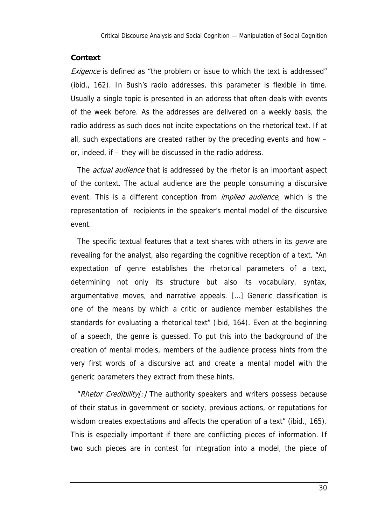#### **Context**

Exigence is defined as "the problem or issue to which the text is addressed" (ibid., 162). In Bush's radio addresses, this parameter is flexible in time. Usually a single topic is presented in an address that often deals with events of the week before. As the addresses are delivered on a weekly basis, the radio address as such does not incite expectations on the rhetorical text. If at all, such expectations are created rather by the preceding events and how – or, indeed, if – they will be discussed in the radio address.

The *actual audience* that is addressed by the rhetor is an important aspect of the context. The actual audience are the people consuming a discursive event. This is a different conception from *implied audience*, which is the representation of recipients in the speaker's mental model of the discursive event.

The specific textual features that a text shares with others in its *genre* are revealing for the analyst, also regarding the cognitive reception of a text. "An expectation of genre establishes the rhetorical parameters of a text, determining not only its structure but also its vocabulary, syntax, argumentative moves, and narrative appeals. […] Generic classification is one of the means by which a critic or audience member establishes the standards for evaluating a rhetorical text" (ibid, 164). Even at the beginning of a speech, the genre is guessed. To put this into the background of the creation of mental models, members of the audience process hints from the very first words of a discursive act and create a mental model with the generic parameters they extract from these hints.

"Rhetor Credibility[:] The authority speakers and writers possess because of their status in government or society, previous actions, or reputations for wisdom creates expectations and affects the operation of a text" (ibid., 165). This is especially important if there are conflicting pieces of information. If two such pieces are in contest for integration into a model, the piece of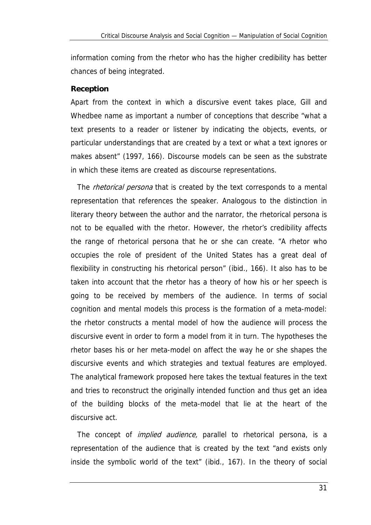information coming from the rhetor who has the higher credibility has better chances of being integrated.

#### **Reception**

Apart from the context in which a discursive event takes place, Gill and Whedbee name as important a number of conceptions that describe "what a text presents to a reader or listener by indicating the objects, events, or particular understandings that are created by a text or what a text ignores or makes absent" (1997, 166). Discourse models can be seen as the substrate in which these items are created as discourse representations.

The *rhetorical persona* that is created by the text corresponds to a mental representation that references the speaker. Analogous to the distinction in literary theory between the author and the narrator, the rhetorical persona is not to be equalled with the rhetor. However, the rhetor's credibility affects the range of rhetorical persona that he or she can create. "A rhetor who occupies the role of president of the United States has a great deal of flexibility in constructing his rhetorical person" (ibid., 166). It also has to be taken into account that the rhetor has a theory of how his or her speech is going to be received by members of the audience. In terms of social cognition and mental models this process is the formation of a meta-model: the rhetor constructs a mental model of how the audience will process the discursive event in order to form a model from it in turn. The hypotheses the rhetor bases his or her meta-model on affect the way he or she shapes the discursive events and which strategies and textual features are employed. The analytical framework proposed here takes the textual features in the text and tries to reconstruct the originally intended function and thus get an idea of the building blocks of the meta-model that lie at the heart of the discursive act.

The concept of *implied audience*, parallel to rhetorical persona, is a representation of the audience that is created by the text "and exists only inside the symbolic world of the text" (ibid., 167). In the theory of social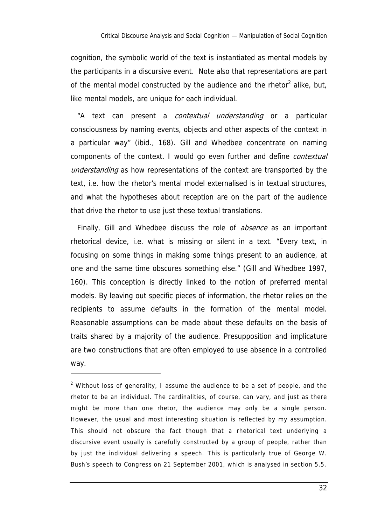cognition, the symbolic world of the text is instantiated as mental models by the participants in a discursive event. Note also that representations are part of the mental model constructed by the audience and the rhetor<sup>2</sup> alike, but, like mental models, are unique for each individual.

"A text can present a *contextual understanding* or a particular consciousness by naming events, objects and other aspects of the context in a particular way" (ibid., 168). Gill and Whedbee concentrate on naming components of the context. I would go even further and define *contextual* understanding as how representations of the context are transported by the text, i.e. how the rhetor's mental model externalised is in textual structures, and what the hypotheses about reception are on the part of the audience that drive the rhetor to use just these textual translations.

Finally, Gill and Whedbee discuss the role of *absence* as an important rhetorical device, i.e. what is missing or silent in a text. "Every text, in focusing on some things in making some things present to an audience, at one and the same time obscures something else." (Gill and Whedbee 1997, 160). This conception is directly linked to the notion of preferred mental models. By leaving out specific pieces of information, the rhetor relies on the recipients to assume defaults in the formation of the mental model. Reasonable assumptions can be made about these defaults on the basis of traits shared by a majority of the audience. Presupposition and implicature are two constructions that are often employed to use absence in a controlled way.

-

<span id="page-32-0"></span> $2$  Without loss of generality, I assume the audience to be a set of people, and the rhetor to be an individual. The cardinalities, of course, can vary, and just as there might be more than one rhetor, the audience may only be a single person. However, the usual and most interesting situation is reflected by my assumption. This should not obscure the fact though that a rhetorical text underlying a discursive event usually is carefully constructed by a group of people, rather than by just the individual delivering a speech. This is particularly true of George W. Bush's speech to Congress on 21 September 2001, which is analysed in section 5.5.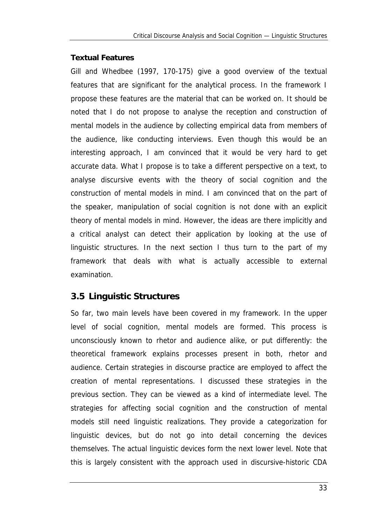#### <span id="page-33-0"></span>**Textual Features**

Gill and Whedbee (1997, 170-175) give a good overview of the textual features that are significant for the analytical process. In the framework I propose these features are the material that can be worked on. It should be noted that I do not propose to analyse the reception and construction of mental models in the audience by collecting empirical data from members of the audience, like conducting interviews. Even though this would be an interesting approach, I am convinced that it would be very hard to get accurate data. What I propose is to take a different perspective on a text, to analyse discursive events with the theory of social cognition and the construction of mental models in mind. I am convinced that on the part of the speaker, manipulation of social cognition is not done with an explicit theory of mental models in mind. However, the ideas are there implicitly and a critical analyst can detect their application by looking at the use of linguistic structures. In the next section I thus turn to the part of my framework that deals with what is actually accessible to external examination.

# **3.5 Linguistic Structures**

So far, two main levels have been covered in my framework. In the upper level of social cognition, mental models are formed. This process is unconsciously known to rhetor and audience alike, or put differently: the theoretical framework explains processes present in both, rhetor and audience. Certain strategies in discourse practice are employed to affect the creation of mental representations. I discussed these strategies in the previous section. They can be viewed as a kind of intermediate level. The strategies for affecting social cognition and the construction of mental models still need linguistic realizations. They provide a categorization for linguistic devices, but do not go into detail concerning the devices themselves. The actual linguistic devices form the next lower level. Note that this is largely consistent with the approach used in discursive-historic CDA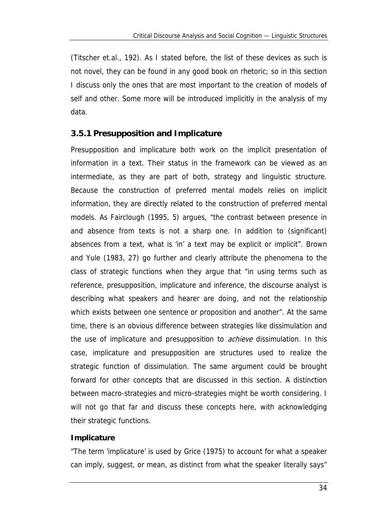<span id="page-34-0"></span>(Titscher et.al., 192). As I stated before, the list of these devices as such is not novel, they can be found in any good book on rhetoric; so in this section I discuss only the ones that are most important to the creation of models of self and other. Some more will be introduced implicitly in the analysis of my data.

# **3.5.1 Presupposition and Implicature**

Presupposition and implicature both work on the implicit presentation of information in a text. Their status in the framework can be viewed as an intermediate, as they are part of both, strategy and linguistic structure. Because the construction of preferred mental models relies on implicit information, they are directly related to the construction of preferred mental models. As Fairclough (1995, 5) argues, "the contrast between presence in and absence from texts is not a sharp one. In addition to (significant) absences from a text, what is 'in' a text may be explicit or implicit". Brown and Yule (1983, 27) go further and clearly attribute the phenomena to the class of strategic functions when they argue that "in using terms such as reference, presupposition, implicature and inference, the discourse analyst is describing what speakers and hearer are doing, and not the relationship which exists between one sentence or proposition and another". At the same time, there is an obvious difference between strategies like dissimulation and the use of implicature and presupposition to *achieve* dissimulation. In this case, implicature and presupposition are structures used to realize the strategic function of dissimulation. The same argument could be brought forward for other concepts that are discussed in this section. A distinction between macro-strategies and micro-strategies might be worth considering. I will not go that far and discuss these concepts here, with acknowledging their strategic functions.

### **Implicature**

"The term 'implicature' is used by Grice (1975) to account for what a speaker can imply, suggest, or mean, as distinct from what the speaker literally says"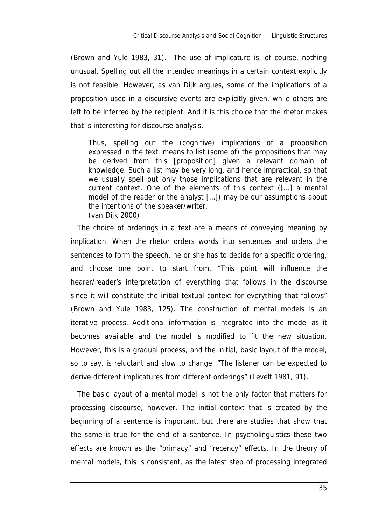(Brown and Yule 1983, 31). The use of implicature is, of course, nothing unusual. Spelling out all the intended meanings in a certain context explicitly is not feasible. However, as van Dijk argues, some of the implications of a proposition used in a discursive events are explicitly given, while others are left to be inferred by the recipient. And it is this choice that the rhetor makes that is interesting for discourse analysis.

Thus, spelling out the (cognitive) implications of a proposition expressed in the text, means to list (some of) the propositions that may be derived from this [proposition] given a relevant domain of knowledge. Such a list may be very long, and hence impractical, so that we usually spell out only those implications that are relevant in the current context. One of the elements of this context ([…] a mental model of the reader or the analyst […]) may be our assumptions about the intentions of the speaker/writer. (van Dijk 2000)

The choice of orderings in a text are a means of conveying meaning by implication. When the rhetor orders words into sentences and orders the sentences to form the speech, he or she has to decide for a specific ordering, and choose one point to start from. "This point will influence the hearer/reader's interpretation of everything that follows in the discourse since it will constitute the initial textual context for everything that follows" (Brown and Yule 1983, 125). The construction of mental models is an iterative process. Additional information is integrated into the model as it becomes available and the model is modified to fit the new situation. However, this is a gradual process, and the initial, basic layout of the model, so to say, is reluctant and slow to change. "The listener can be expected to derive different implicatures from different orderings" (Levelt 1981, 91).

The basic layout of a mental model is not the only factor that matters for processing discourse, however. The initial context that is created by the beginning of a sentence is important, but there are studies that show that the same is true for the end of a sentence. In psycholinguistics these two effects are known as the "primacy" and "recency" effects. In the theory of mental models, this is consistent, as the latest step of processing integrated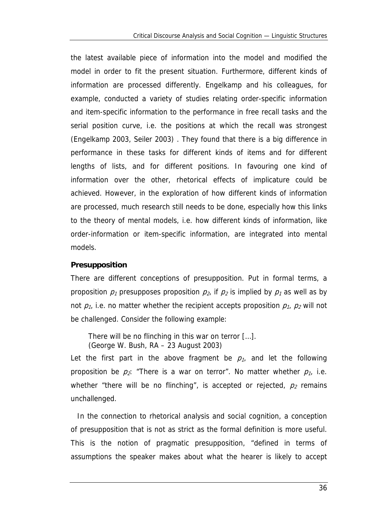the latest available piece of information into the model and modified the model in order to fit the present situation. Furthermore, different kinds of information are processed differently. Engelkamp and his colleagues, for example, conducted a variety of studies relating order-specific information and item-specific information to the performance in free recall tasks and the serial position curve, i.e. the positions at which the recall was strongest (Engelkamp 2003, Seiler 2003) . They found that there is a big difference in performance in these tasks for different kinds of items and for different lengths of lists, and for different positions. In favouring one kind of information over the other, rhetorical effects of implicature could be achieved. However, in the exploration of how different kinds of information are processed, much research still needs to be done, especially how this links to the theory of mental models, i.e. how different kinds of information, like order-information or item-specific information, are integrated into mental models.

#### **Presupposition**

There are different conceptions of presupposition. Put in formal terms, a proposition  $p_1$  presupposes proposition  $p_2$ , if  $p_2$  is implied by  $p_1$  as well as by not  $p_1$ , i.e. no matter whether the recipient accepts proposition  $p_1$ ,  $p_2$  will not be challenged. Consider the following example:

There will be no flinching in this war on terror […]. (George W. Bush, RA – 23 August 2003)

Let the first part in the above fragment be  $p_1$ , and let the following proposition be  $p_2$ : "There is a war on terror". No matter whether  $p_1$ , i.e. whether "there will be no flinching", is accepted or rejected,  $p_2$  remains unchallenged.

In the connection to rhetorical analysis and social cognition, a conception of presupposition that is not as strict as the formal definition is more useful. This is the notion of pragmatic presupposition, "defined in terms of assumptions the speaker makes about what the hearer is likely to accept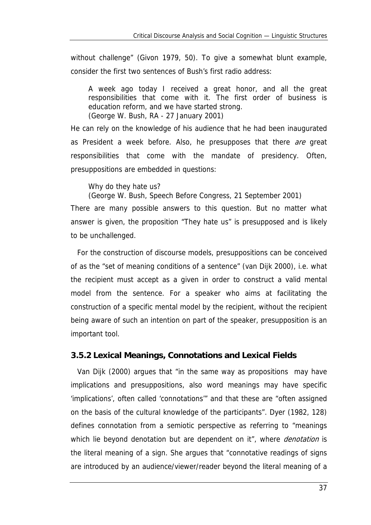without challenge" (Givon 1979, 50). To give a somewhat blunt example, consider the first two sentences of Bush's first radio address:

A week ago today I received a great honor, and all the great responsibilities that come with it. The first order of business is education reform, and we have started strong. (George W. Bush, RA - 27 January 2001)

He can rely on the knowledge of his audience that he had been inaugurated as President a week before. Also, he presupposes that there are great responsibilities that come with the mandate of presidency. Often, presuppositions are embedded in questions:

Why do they hate us?

(George W. Bush, Speech Before Congress, 21 September 2001) There are many possible answers to this question. But no matter what answer is given, the proposition "They hate us" is presupposed and is likely to be unchallenged.

For the construction of discourse models, presuppositions can be conceived of as the "set of meaning conditions of a sentence" (van Dijk 2000), i.e. what the recipient must accept as a given in order to construct a valid mental model from the sentence. For a speaker who aims at facilitating the construction of a specific mental model by the recipient, without the recipient being aware of such an intention on part of the speaker, presupposition is an important tool.

### **3.5.2 Lexical Meanings, Connotations and Lexical Fields**

Van Dijk (2000) argues that "in the same way as propositions may have implications and presuppositions, also word meanings may have specific 'implications', often called 'connotations'" and that these are "often assigned on the basis of the cultural knowledge of the participants". Dyer (1982, 128) defines connotation from a semiotic perspective as referring to "meanings which lie beyond denotation but are dependent on it", where *denotation* is the literal meaning of a sign. She argues that "connotative readings of signs are introduced by an audience/viewer/reader beyond the literal meaning of a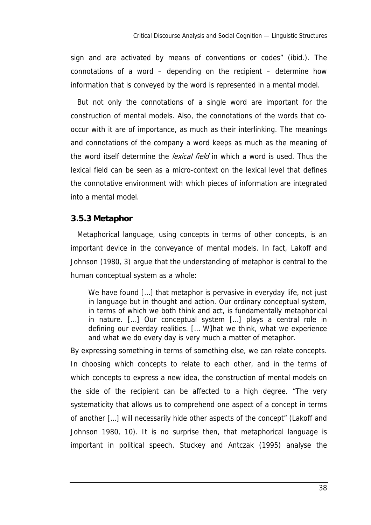sign and are activated by means of conventions or codes" (ibid.). The connotations of a word – depending on the recipient – determine how information that is conveyed by the word is represented in a mental model.

But not only the connotations of a single word are important for the construction of mental models. Also, the connotations of the words that cooccur with it are of importance, as much as their interlinking. The meanings and connotations of the company a word keeps as much as the meaning of the word itself determine the *lexical field* in which a word is used. Thus the lexical field can be seen as a micro-context on the lexical level that defines the connotative environment with which pieces of information are integrated into a mental model.

## **3.5.3 Metaphor**

Metaphorical language, using concepts in terms of other concepts, is an important device in the conveyance of mental models. In fact, Lakoff and Johnson (1980, 3) argue that the understanding of metaphor is central to the human conceptual system as a whole:

We have found [...] that metaphor is pervasive in everyday life, not just in language but in thought and action. Our ordinary conceptual system, in terms of which we both think and act, is fundamentally metaphorical in nature. […] Our conceptual system […] plays a central role in defining our everday realities. [… W]hat we think, what we experience and what we do every day is very much a matter of metaphor.

By expressing something in terms of something else, we can relate concepts. In choosing which concepts to relate to each other, and in the terms of which concepts to express a new idea, the construction of mental models on the side of the recipient can be affected to a high degree. "The very systematicity that allows us to comprehend one aspect of a concept in terms of another […] will necessarily hide other aspects of the concept" (Lakoff and Johnson 1980, 10). It is no surprise then, that metaphorical language is important in political speech. Stuckey and Antczak (1995) analyse the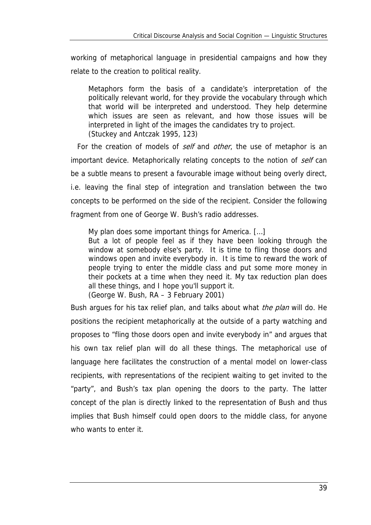working of metaphorical language in presidential campaigns and how they relate to the creation to political reality.

Metaphors form the basis of a candidate's interpretation of the politically relevant world, for they provide the vocabulary through which that world will be interpreted and understood. They help determine which issues are seen as relevant, and how those issues will be interpreted in light of the images the candidates try to project. (Stuckey and Antczak 1995, 123)

For the creation of models of *self* and *other*, the use of metaphor is an important device. Metaphorically relating concepts to the notion of self can be a subtle means to present a favourable image without being overly direct, i.e. leaving the final step of integration and translation between the two concepts to be performed on the side of the recipient. Consider the following fragment from one of George W. Bush's radio addresses.

My plan does some important things for America. […] But a lot of people feel as if they have been looking through the

window at somebody else's party. It is time to fling those doors and windows open and invite everybody in. It is time to reward the work of people trying to enter the middle class and put some more money in their pockets at a time when they need it. My tax reduction plan does all these things, and I hope you'll support it. (George W. Bush, RA – 3 February 2001)

Bush argues for his tax relief plan, and talks about what *the plan* will do. He positions the recipient metaphorically at the outside of a party watching and proposes to "fling those doors open and invite everybody in" and argues that his own tax relief plan will do all these things. The metaphorical use of language here facilitates the construction of a mental model on lower-class recipients, with representations of the recipient waiting to get invited to the "party", and Bush's tax plan opening the doors to the party. The latter concept of the plan is directly linked to the representation of Bush and thus implies that Bush himself could open doors to the middle class, for anyone who wants to enter it.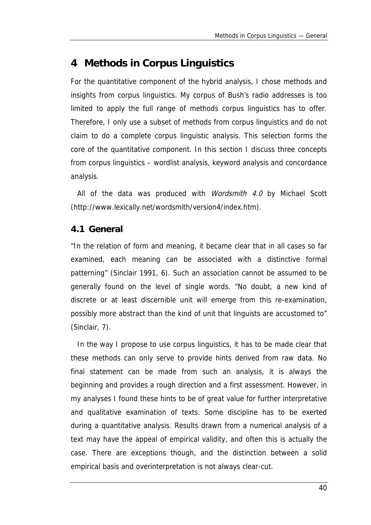# **4 Methods in Corpus Linguistics**

For the quantitative component of the hybrid analysis, I chose methods and insights from corpus linguistics. My corpus of Bush's radio addresses is too limited to apply the full range of methods corpus linguistics has to offer. Therefore, I only use a subset of methods from corpus linguistics and do not claim to do a complete corpus linguistic analysis. This selection forms the core of the quantitative component. In this section I discuss three concepts from corpus linguistics – wordlist analysis, keyword analysis and concordance analysis.

All of the data was produced with *Wordsmith 4.0* by Michael Scott (http://www.lexically.net/wordsmith/version4/index.htm).

## **4.1 General**

"In the relation of form and meaning, it became clear that in all cases so far examined, each meaning can be associated with a distinctive formal patterning" (Sinclair 1991, 6). Such an association cannot be assumed to be generally found on the level of single words. "No doubt, a new kind of discrete or at least discernible unit will emerge from this re-examination, possibly more abstract than the kind of unit that linguists are accustomed to" (Sinclair, 7).

In the way I propose to use corpus linguistics, it has to be made clear that these methods can only serve to provide hints derived from raw data. No final statement can be made from such an analysis, it is always the beginning and provides a rough direction and a first assessment. However, in my analyses I found these hints to be of great value for further interpretative and qualitative examination of texts. Some discipline has to be exerted during a quantitative analysis. Results drawn from a numerical analysis of a text may have the appeal of empirical validity, and often this is actually the case. There are exceptions though, and the distinction between a solid empirical basis and overinterpretation is not always clear-cut.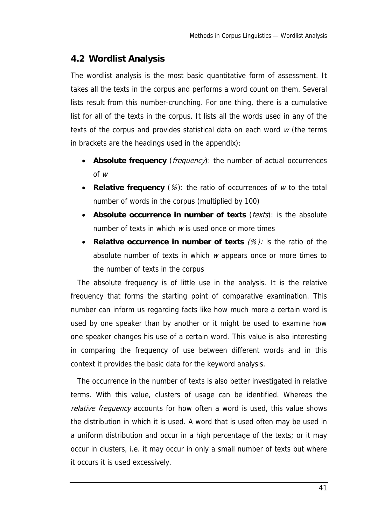# **4.2 Wordlist Analysis**

The wordlist analysis is the most basic quantitative form of assessment. It takes all the texts in the corpus and performs a word count on them. Several lists result from this number-crunching. For one thing, there is a cumulative list for all of the texts in the corpus. It lists all the words used in any of the texts of the corpus and provides statistical data on each word  $w$  (the terms in brackets are the headings used in the appendix):

- **Absolute frequency** (*frequency*): the number of actual occurrences of <sup>w</sup>
- **Relative frequency** (%): the ratio of occurrences of w to the total number of words in the corpus (multiplied by 100)
- **Absolute occurrence in number of texts** (*texts*): is the absolute number of texts in which  $w$  is used once or more times
- **Relative occurrence in number of texts** (%): is the ratio of the absolute number of texts in which w appears once or more times to the number of texts in the corpus

The absolute frequency is of little use in the analysis. It is the relative frequency that forms the starting point of comparative examination. This number can inform us regarding facts like how much more a certain word is used by one speaker than by another or it might be used to examine how one speaker changes his use of a certain word. This value is also interesting in comparing the frequency of use between different words and in this context it provides the basic data for the keyword analysis.

The occurrence in the number of texts is also better investigated in relative terms. With this value, clusters of usage can be identified. Whereas the relative frequency accounts for how often a word is used, this value shows the distribution in which it is used. A word that is used often may be used in a uniform distribution and occur in a high percentage of the texts; or it may occur in clusters, i.e. it may occur in only a small number of texts but where it occurs it is used excessively.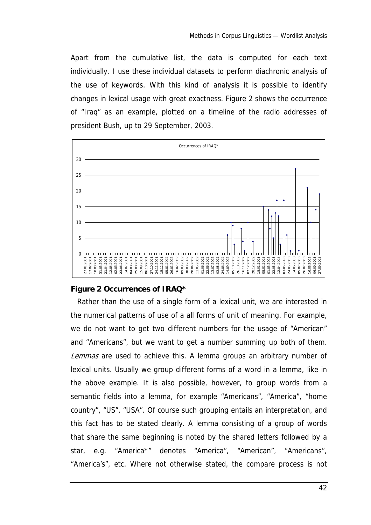Apart from the cumulative list, the data is computed for each text individually. I use these individual datasets to perform diachronic analysis of the use of keywords. With this kind of analysis it is possible to identify changes in lexical usage with great exactness. [Figure 2](#page-42-0) shows the occurrence of "Iraq" as an example, plotted on a timeline of the radio addresses of president Bush, up to 29 September, 2003.

<span id="page-42-0"></span>

#### **Figure 2 Occurrences of IRAQ\***

Rather than the use of a single form of a lexical unit, we are interested in the numerical patterns of use of a all forms of unit of meaning. For example, we do not want to get two different numbers for the usage of "American" and "Americans", but we want to get a number summing up both of them. Lemmas are used to achieve this. A lemma groups an arbitrary number of lexical units. Usually we group different forms of a word in a lemma, like in the above example. It is also possible, however, to group words from a semantic fields into a lemma, for example "Americans", "America", "home country", "US", "USA". Of course such grouping entails an interpretation, and this fact has to be stated clearly. A lemma consisting of a group of words that share the same beginning is noted by the shared letters followed by a star, e.g. "America\*" denotes "America", "American", "Americans", "America's", etc. Where not otherwise stated, the compare process is not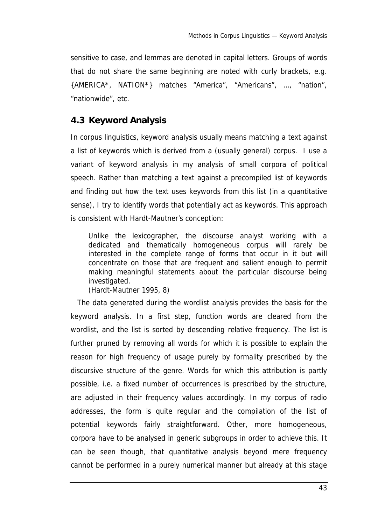sensitive to case, and lemmas are denoted in capital letters. Groups of words that do not share the same beginning are noted with curly brackets, e.g. {AMERICA\*, NATION\*} matches "America", "Americans", …, "nation", "nationwide", etc.

# <span id="page-43-0"></span>**4.3 Keyword Analysis**

In corpus linguistics, keyword analysis usually means matching a text against a list of keywords which is derived from a (usually general) corpus. I use a variant of keyword analysis in my analysis of small corpora of political speech. Rather than matching a text against a precompiled list of keywords and finding out how the text uses keywords from this list (in a quantitative sense), I try to identify words that potentially act as keywords. This approach is consistent with Hardt-Mautner's conception:

Unlike the lexicographer, the discourse analyst working with a dedicated and thematically homogeneous corpus will rarely be interested in the complete range of forms that occur in it but will concentrate on those that are frequent and salient enough to permit making meaningful statements about the particular discourse being investigated.

(Hardt-Mautner 1995, 8)

The data generated during the wordlist analysis provides the basis for the keyword analysis. In a first step, function words are cleared from the wordlist, and the list is sorted by descending relative frequency. The list is further pruned by removing all words for which it is possible to explain the reason for high frequency of usage purely by formality prescribed by the discursive structure of the genre. Words for which this attribution is partly possible, i.e. a fixed number of occurrences is prescribed by the structure, are adjusted in their frequency values accordingly. In my corpus of radio addresses, the form is quite regular and the compilation of the list of potential keywords fairly straightforward. Other, more homogeneous, corpora have to be analysed in generic subgroups in order to achieve this. It can be seen though, that quantitative analysis beyond mere frequency cannot be performed in a purely numerical manner but already at this stage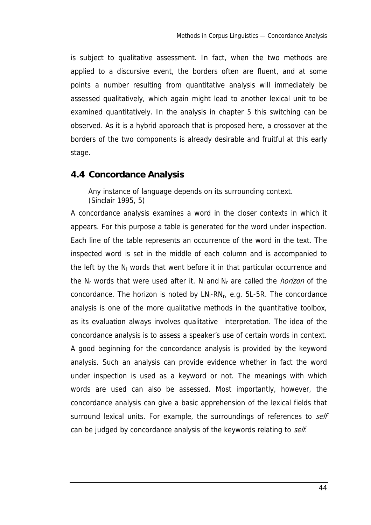is subject to qualitative assessment. In fact, when the two methods are applied to a discursive event, the borders often are fluent, and at some points a number resulting from quantitative analysis will immediately be assessed qualitatively, which again might lead to another lexical unit to be examined quantitatively. In the analysis in chapter [5](#page-48-0) this switching can be observed. As it is a hybrid approach that is proposed here, a crossover at the borders of the two components is already desirable and fruitful at this early stage.

#### **4.4 Concordance Analysis**

Any instance of language depends on its surrounding context. (Sinclair 1995, 5)

A concordance analysis examines a word in the closer contexts in which it appears. For this purpose a table is generated for the word under inspection. Each line of the table represents an occurrence of the word in the text. The inspected word is set in the middle of each column and is accompanied to the left by the  $N_l$  words that went before it in that particular occurrence and the N<sub>r</sub> words that were used after it. N<sub>l</sub> and N<sub>r</sub> are called the *horizon* of the concordance. The horizon is noted by  $LN_1-RN_r$ , e.g. 5L-5R. The concordance analysis is one of the more qualitative methods in the quantitative toolbox, as its evaluation always involves qualitative interpretation. The idea of the concordance analysis is to assess a speaker's use of certain words in context. A good beginning for the concordance analysis is provided by the keyword analysis. Such an analysis can provide evidence whether in fact the word under inspection is used as a keyword or not. The meanings with which words are used can also be assessed. Most importantly, however, the concordance analysis can give a basic apprehension of the lexical fields that surround lexical units. For example, the surroundings of references to self can be judged by concordance analysis of the keywords relating to self.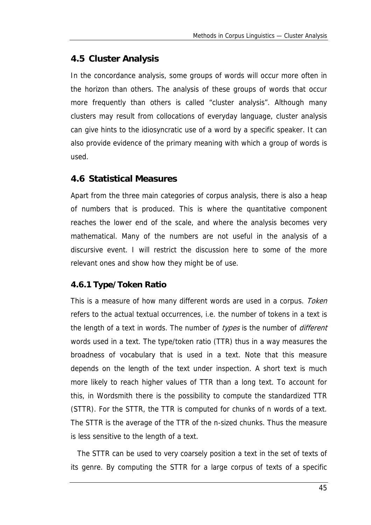# **4.5 Cluster Analysis**

In the concordance analysis, some groups of words will occur more often in the horizon than others. The analysis of these groups of words that occur more frequently than others is called "cluster analysis". Although many clusters may result from collocations of everyday language, cluster analysis can give hints to the idiosyncratic use of a word by a specific speaker. It can also provide evidence of the primary meaning with which a group of words is used.

# **4.6 Statistical Measures**

Apart from the three main categories of corpus analysis, there is also a heap of numbers that is produced. This is where the quantitative component reaches the lower end of the scale, and where the analysis becomes very mathematical. Many of the numbers are not useful in the analysis of a discursive event. I will restrict the discussion here to some of the more relevant ones and show how they might be of use.

# **4.6.1 Type/Token Ratio**

This is a measure of how many different words are used in a corpus. Token refers to the actual textual occurrences, i.e. the number of tokens in a text is the length of a text in words. The number of types is the number of different words used in a text. The type/token ratio (TTR) thus in a way measures the broadness of vocabulary that is used in a text. Note that this measure depends on the length of the text under inspection. A short text is much more likely to reach higher values of TTR than a long text. To account for this, in Wordsmith there is the possibility to compute the standardized TTR (STTR). For the STTR, the TTR is computed for chunks of n words of a text. The STTR is the average of the TTR of the n-sized chunks. Thus the measure is less sensitive to the length of a text.

The STTR can be used to very coarsely position a text in the set of texts of its genre. By computing the STTR for a large corpus of texts of a specific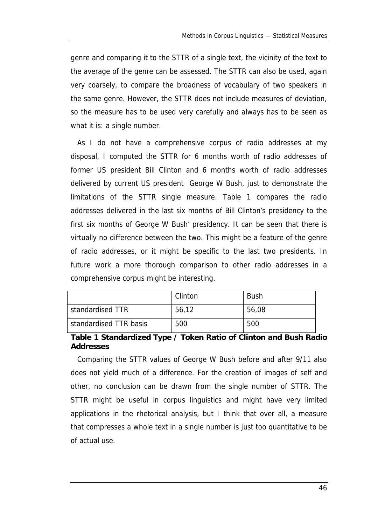genre and comparing it to the STTR of a single text, the vicinity of the text to the average of the genre can be assessed. The STTR can also be used, again very coarsely, to compare the broadness of vocabulary of two speakers in the same genre. However, the STTR does not include measures of deviation, so the measure has to be used very carefully and always has to be seen as what it is: a single number.

As I do not have a comprehensive corpus of radio addresses at my disposal, I computed the STTR for 6 months worth of radio addresses of former US president Bill Clinton and 6 months worth of radio addresses delivered by current US president George W Bush, just to demonstrate the limitations of the STTR single measure. [Table 1](#page-46-0) compares the radio addresses delivered in the last six months of Bill Clinton's presidency to the first six months of George W Bush' presidency. It can be seen that there is virtually no difference between the two. This might be a feature of the genre of radio addresses, or it might be specific to the last two presidents. In future work a more thorough comparison to other radio addresses in a comprehensive corpus might be interesting.

|                        | Clinton | <b>Bush</b> |
|------------------------|---------|-------------|
| standardised TTR       | 56,12   | 56,08       |
| standardised TTR basis | 500     | 500         |

#### <span id="page-46-0"></span>**Table 1 Standardized Type / Token Ratio of Clinton and Bush Radio Addresses**

Comparing the STTR values of George W Bush before and after 9/11 also does not yield much of a difference. For the creation of images of self and other, no conclusion can be drawn from the single number of STTR. The STTR might be useful in corpus linguistics and might have very limited applications in the rhetorical analysis, but I think that over all, a measure that compresses a whole text in a single number is just too quantitative to be of actual use.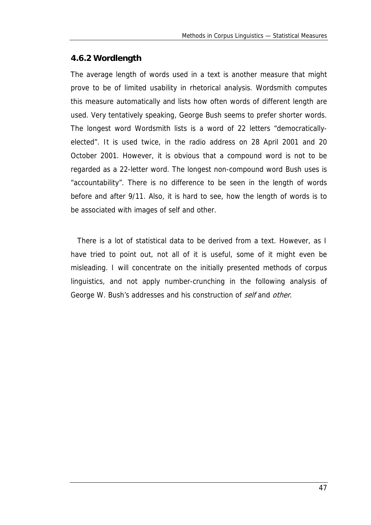## **4.6.2 Wordlength**

The average length of words used in a text is another measure that might prove to be of limited usability in rhetorical analysis. Wordsmith computes this measure automatically and lists how often words of different length are used. Very tentatively speaking, George Bush seems to prefer shorter words. The longest word Wordsmith lists is a word of 22 letters "democraticallyelected". It is used twice, in the radio address on 28 April 2001 and 20 October 2001. However, it is obvious that a compound word is not to be regarded as a 22-letter word. The longest non-compound word Bush uses is "accountability". There is no difference to be seen in the length of words before and after 9/11. Also, it is hard to see, how the length of words is to be associated with images of self and other.

There is a lot of statistical data to be derived from a text. However, as I have tried to point out, not all of it is useful, some of it might even be misleading. I will concentrate on the initially presented methods of corpus linguistics, and not apply number-crunching in the following analysis of George W. Bush's addresses and his construction of self and other.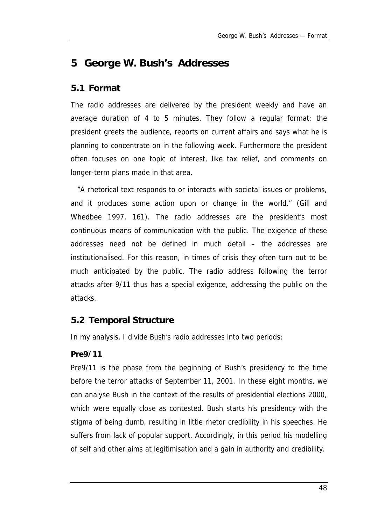# <span id="page-48-0"></span>**5 George W. Bush's Addresses**

### **5.1 Format**

The radio addresses are delivered by the president weekly and have an average duration of 4 to 5 minutes. They follow a regular format: the president greets the audience, reports on current affairs and says what he is planning to concentrate on in the following week. Furthermore the president often focuses on one topic of interest, like tax relief, and comments on longer-term plans made in that area.

"A rhetorical text responds to or interacts with societal issues or problems, and it produces some action upon or change in the world." (Gill and Whedbee 1997, 161). The radio addresses are the president's most continuous means of communication with the public. The exigence of these addresses need not be defined in much detail – the addresses are institutionalised. For this reason, in times of crisis they often turn out to be much anticipated by the public. The radio address following the terror attacks after 9/11 thus has a special exigence, addressing the public on the attacks.

## **5.2 Temporal Structure**

In my analysis, I divide Bush's radio addresses into two periods:

### **Pre9/11**

Pre9/11 is the phase from the beginning of Bush's presidency to the time before the terror attacks of September 11, 2001. In these eight months, we can analyse Bush in the context of the results of presidential elections 2000, which were equally close as contested. Bush starts his presidency with the stigma of being dumb, resulting in little rhetor credibility in his speeches. He suffers from lack of popular support. Accordingly, in this period his modelling of self and other aims at legitimisation and a gain in authority and credibility.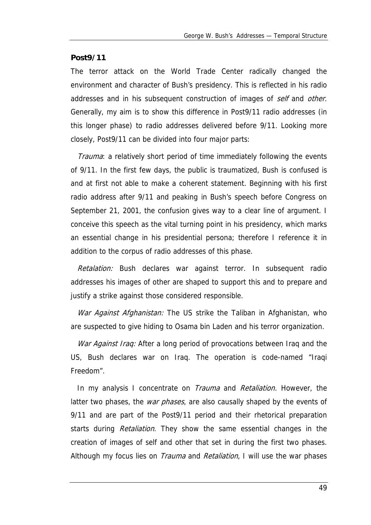#### **Post9/11**

The terror attack on the World Trade Center radically changed the environment and character of Bush's presidency. This is reflected in his radio addresses and in his subsequent construction of images of self and other. Generally, my aim is to show this difference in Post9/11 radio addresses (in this longer phase) to radio addresses delivered before 9/11. Looking more closely, Post9/11 can be divided into four major parts:

Trauma: a relatively short period of time immediately following the events of 9/11. In the first few days, the public is traumatized, Bush is confused is and at first not able to make a coherent statement. Beginning with his first radio address after 9/11 and peaking in Bush's speech before Congress on September 21, 2001, the confusion gives way to a clear line of argument. I conceive this speech as the vital turning point in his presidency, which marks an essential change in his presidential persona; therefore I reference it in addition to the corpus of radio addresses of this phase.

Retalation: Bush declares war against terror. In subsequent radio addresses his images of other are shaped to support this and to prepare and justify a strike against those considered responsible.

War Against Afghanistan: The US strike the Taliban in Afghanistan, who are suspected to give hiding to Osama bin Laden and his terror organization.

War Against Irag: After a long period of provocations between Iraq and the US, Bush declares war on Iraq. The operation is code-named "Iraqi Freedom".

In my analysis I concentrate on *Trauma* and *Retaliation*. However, the latter two phases, the *war phases*, are also causally shaped by the events of 9/11 and are part of the Post9/11 period and their rhetorical preparation starts during *Retaliation*. They show the same essential changes in the creation of images of self and other that set in during the first two phases. Although my focus lies on *Trauma* and *Retaliation*, I will use the war phases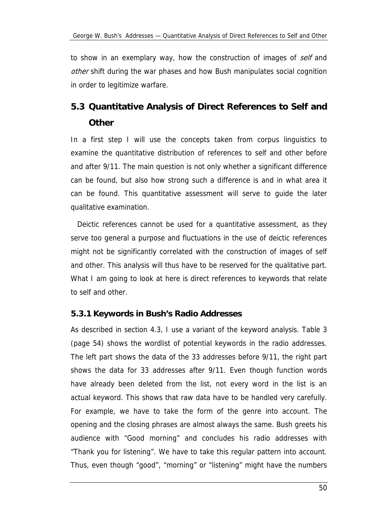to show in an exemplary way, how the construction of images of self and other shift during the war phases and how Bush manipulates social cognition in order to legitimize warfare.

# **5.3 Quantitative Analysis of Direct References to Self and Other**

In a first step I will use the concepts taken from corpus linguistics to examine the quantitative distribution of references to self and other before and after 9/11. The main question is not only whether a significant difference can be found, but also how strong such a difference is and in what area it can be found. This quantitative assessment will serve to guide the later qualitative examination.

Deictic references cannot be used for a quantitative assessment, as they serve too general a purpose and fluctuations in the use of deictic references might not be significantly correlated with the construction of images of self and other. This analysis will thus have to be reserved for the qualitative part. What I am going to look at here is direct references to keywords that relate to self and other.

### **5.3.1 Keywords in Bush's Radio Addresses**

As described in section [4.3,](#page-43-0) I use a variant of the keyword analysis. [Table 3](#page-54-0) (page [54\)](#page-54-0) shows the wordlist of potential keywords in the radio addresses. The left part shows the data of the 33 addresses before 9/11, the right part shows the data for 33 addresses after 9/11. Even though function words have already been deleted from the list, not every word in the list is an actual keyword. This shows that raw data have to be handled very carefully. For example, we have to take the form of the genre into account. The opening and the closing phrases are almost always the same. Bush greets his audience with "Good morning" and concludes his radio addresses with "Thank you for listening". We have to take this regular pattern into account. Thus, even though "good", "morning" or "listening" might have the numbers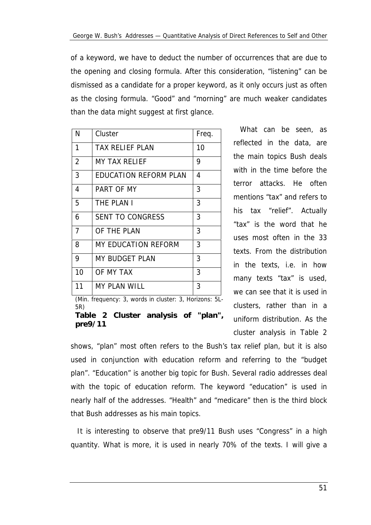of a keyword, we have to deduct the number of occurrences that are due to the opening and closing formula. After this consideration, "listening" can be dismissed as a candidate for a proper keyword, as it only occurs just as often as the closing formula. "Good" and "morning" are much weaker candidates than the data might suggest at first glance.

| N              | Cluster                      | Freq. |
|----------------|------------------------------|-------|
| 1              | <b>TAX RELIEF PLAN</b>       | 10    |
| 2              | <b>MY TAX RELIEF</b>         | 9     |
| 3              | <b>EDUCATION REFORM PLAN</b> | 4     |
| 4              | PART OF MY                   | 3     |
| 5              | THE PLAN I                   | 3     |
| 6              | <b>SENT TO CONGRESS</b>      | 3     |
| $\overline{7}$ | OF THE PLAN                  | 3     |
| 8              | <b>MY EDUCATION REFORM</b>   | 3     |
| 9              | <b>MY BUDGET PLAN</b>        | 3     |
| 10             | OF MY TAX                    | 3     |
| 11             | MY PLAN WILL                 | 3     |

What can be seen, as reflected in the data, are the main topics Bush deals with in the time before the terror attacks. He often mentions "tax" and refers to his tax "relief". Actually "tax" is the word that he uses most often in the 33 texts. From the distribution in the texts, i.e. in how many texts "tax" is used, we can see that it is used in clusters, rather than in a uniform distribution. As the cluster analysis i[n Table](#page-55-0) 2

(Min. frequency: 3, words in cluster: 3, Horizons: 5L-5R) **Table 2 Cluster analysis of "plan",** 

**pre9/11**

shows, "plan" most often refers to the Bush's tax relief plan, but it is also used in conjunction with education reform and referring to the "budget plan". "Education" is another big topic for Bush. Several radio addresses deal with the topic of education reform. The keyword "education" is used in nearly half of the addresses. "Health" and "medicare" then is the third block that Bush addresses as his main topics.

It is interesting to observe that pre9/11 Bush uses "Congress" in a high quantity. What is more, it is used in nearly 70% of the texts. I will give a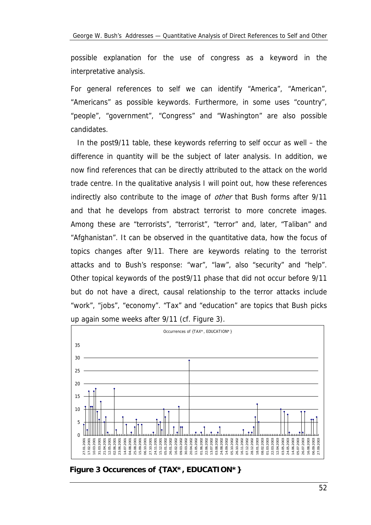possible explanation for the use of congress as a keyword in the interpretative analysis.

For general references to self we can identify "America", "American", "Americans" as possible keywords. Furthermore, in some uses "country", "people", "government", "Congress" and "Washington" are also possible candidates.

In the post9/11 table, these keywords referring to self occur as well – the difference in quantity will be the subject of later analysis. In addition, we now find references that can be directly attributed to the attack on the world trade centre. In the qualitative analysis I will point out, how these references indirectly also contribute to the image of *other* that Bush forms after 9/11 and that he develops from abstract terrorist to more concrete images. Among these are "terrorists", "terrorist", "terror" and, later, "Taliban" and "Afghanistan". It can be observed in the quantitative data, how the focus of topics changes after 9/11. There are keywords relating to the terrorist attacks and to Bush's response: "war", "law", also "security" and "help". Other topical keywords of the post9/11 phase that did not occur before 9/11 but do not have a direct, causal relationship to the terror attacks include "work", "jobs", "economy". "Tax" and "education" are topics that Bush picks up again some weeks after 9/11 (cf. Figure 3).



**Figure 3 Occurences of {TAX\*, EDUCATION\*}**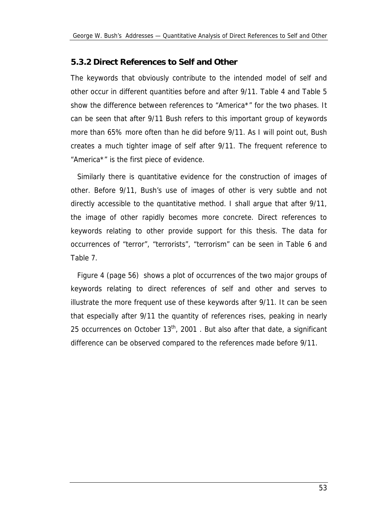### **5.3.2 Direct References to Self and Other**

The keywords that obviously contribute to the intended model of self and other occur in different quantities before and after 9/11. [Table 4](#page-55-0) and [Table 5](#page-55-1)  show the difference between references to "America\*" for the two phases. It can be seen that after 9/11 Bush refers to this important group of keywords more than 65% more often than he did before 9/11. As I will point out, Bush creates a much tighter image of self after 9/11. The frequent reference to "America\*" is the first piece of evidence.

Similarly there is quantitative evidence for the construction of images of other. Before 9/11, Bush's use of images of other is very subtle and not directly accessible to the quantitative method. I shall argue that after 9/11, the image of other rapidly becomes more concrete. Direct references to keywords relating to other provide support for this thesis. The data for occurrences of "terror", "terrorists", "terrorism" can be seen in [Table 6](#page-55-2) and [Table 7.](#page-55-3)

[Figure 4](#page-56-0) (page [56\)](#page-56-0) shows a plot of occurrences of the two major groups of keywords relating to direct references of self and other and serves to illustrate the more frequent use of these keywords after 9/11. It can be seen that especially after 9/11 the quantity of references rises, peaking in nearly 25 occurrences on October  $13<sup>th</sup>$ , 2001. But also after that date, a significant difference can be observed compared to the references made before 9/11.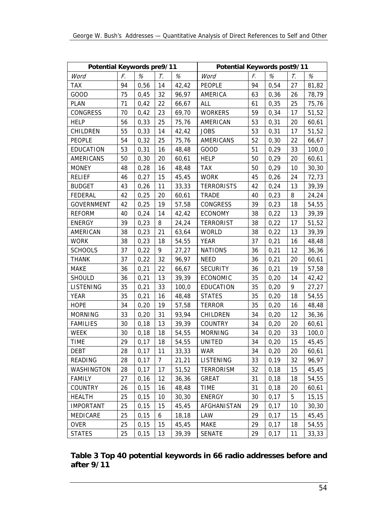| Potential Keywords pre9/11 |    |      |                | Potential Keywords post9/11 |                   |    |      |    |        |
|----------------------------|----|------|----------------|-----------------------------|-------------------|----|------|----|--------|
| Word                       | F. | %    | Т.             | %                           | Word              | F. | %    | Т. | $\%$   |
| <b>TAX</b>                 | 94 | 0,56 | 14             | 42,42                       | <b>PEOPLE</b>     | 94 | 0,54 | 27 | 81,82  |
| GOOD                       | 75 | 0,45 | 32             | 96,97                       | AMERICA           | 63 | 0,36 | 26 | 78,79  |
| <b>PLAN</b>                | 71 | 0,42 | 22             | 66,67                       | ALL               | 61 | 0,35 | 25 | 75,76  |
| <b>CONGRESS</b>            | 70 | 0,42 | 23             | 69,70                       | <b>WORKERS</b>    | 59 | 0,34 | 17 | 51,52  |
| <b>HELP</b>                | 56 | 0,33 | 25             | 75,76                       | AMERICAN          | 53 | 0,31 | 20 | 60,61  |
| CHILDREN                   | 55 | 0,33 | 14             | 42,42                       | <b>JOBS</b>       | 53 | 0,31 | 17 | 51,52  |
| <b>PEOPLE</b>              | 54 | 0,32 | 25             | 75,76                       | AMERICANS         | 52 | 0,30 | 22 | 66,67  |
| EDUCATION                  | 53 | 0,31 | 16             | 48,48                       | GOOD              | 51 | 0,29 | 33 | 100,0  |
| AMERICANS                  | 50 | 0,30 | 20             | 60,61                       | <b>HELP</b>       | 50 | 0,29 | 20 | 60,61  |
| <b>MONEY</b>               | 48 | 0,28 | 16             | 48,48                       | <b>TAX</b>        | 50 | 0,29 | 10 | 30,30  |
| <b>RELIEF</b>              | 46 | 0,27 | 15             | 45,45                       | <b>WORK</b>       | 45 | 0,26 | 24 | 72,73  |
| <b>BUDGET</b>              | 43 | 0,26 | 11             | 33,33                       | <b>TERRORISTS</b> | 42 | 0,24 | 13 | 39,39  |
| <b>FEDERAL</b>             | 42 | 0,25 | 20             | 60,61                       | <b>TRADE</b>      | 40 | 0,23 | 8  | 24,24  |
| <b>GOVERNMENT</b>          | 42 | 0,25 | 19             | 57,58                       | <b>CONGRESS</b>   | 39 | 0,23 | 18 | 54,55  |
| <b>REFORM</b>              | 40 | 0,24 | 14             | 42,42                       | <b>ECONOMY</b>    | 38 | 0,22 | 13 | 39,39  |
| <b>ENERGY</b>              | 39 | 0,23 | 8              | 24,24                       | <b>TERRORIST</b>  | 38 | 0,22 | 17 | 51,52  |
| AMERICAN                   | 38 | 0,23 | 21             | 63,64                       | <b>WORLD</b>      | 38 | 0,22 | 13 | 39,39  |
| <b>WORK</b>                | 38 | 0,23 | 18             | 54,55                       | <b>YEAR</b>       | 37 | 0,21 | 16 | 48,48  |
| <b>SCHOOLS</b>             | 37 | 0,22 | 9              | 27,27                       | <b>NATIONS</b>    | 36 | 0,21 | 12 | 36,36  |
| <b>THANK</b>               | 37 | 0,22 | 32             | 96,97                       | <b>NEED</b>       | 36 | 0,21 | 20 | 60,61  |
| <b>MAKE</b>                | 36 | 0,21 | 22             | 66,67                       | <b>SECURITY</b>   | 36 | 0,21 | 19 | 57,58  |
| <b>SHOULD</b>              | 36 | 0,21 | 13             | 39,39                       | <b>ECONOMIC</b>   | 35 | 0,20 | 14 | 42,42  |
| <b>LISTENING</b>           | 35 | 0,21 | 33             | 100,0                       | <b>EDUCATION</b>  | 35 | 0,20 | 9  | 27,27  |
| <b>YEAR</b>                | 35 | 0,21 | 16             | 48,48                       | <b>STATES</b>     | 35 | 0,20 | 18 | 54,55  |
| <b>HOPE</b>                | 34 | 0,20 | 19             | 57,58                       | <b>TERROR</b>     | 35 | 0,20 | 16 | 48,48  |
| <b>MORNING</b>             | 33 | 0,20 | 31             | 93,94                       | CHILDREN          | 34 | 0,20 | 12 | 36,36  |
| <b>FAMILIES</b>            | 30 | 0,18 | 13             | 39,39                       | <b>COUNTRY</b>    | 34 | 0,20 | 20 | 60,61  |
| <b>WEEK</b>                | 30 | 0,18 | 18             | 54,55                       | <b>MORNING</b>    | 34 | 0,20 | 33 | 100,0  |
| <b>TIME</b>                | 29 | 0,17 | 18             | 54,55                       | <b>UNITED</b>     | 34 | 0,20 | 15 | 45,45  |
| <b>DEBT</b>                | 28 | 0,17 | 11             | 33,33                       | <b>WAR</b>        | 34 | 0,20 | 20 | 60,61  |
| <b>READING</b>             | 28 | 0,17 | $\overline{7}$ | 21,21                       | <b>LISTENING</b>  | 33 | 0,19 | 32 | 96,97  |
| WASHINGTON                 | 28 | 0,17 | 17             | 51,52                       | <b>TERRORISM</b>  | 32 | 0,18 | 15 | 45,45  |
| <b>FAMILY</b>              | 27 | 0,16 | 12             | 36,36                       | <b>GREAT</b>      | 31 | 0,18 | 18 | 54,55  |
| <b>COUNTRY</b>             | 26 | 0,15 | 16             | 48,48                       | <b>TIME</b>       | 31 | 0,18 | 20 | 60,61  |
| <b>HEALTH</b>              | 25 | 0,15 | 10             | 30,30                       | <b>ENERGY</b>     | 30 | 0,17 | 5  | 15, 15 |
| <b>IMPORTANT</b>           | 25 | 0,15 | 15             | 45,45                       | AFGHANISTAN       | 29 | 0,17 | 10 | 30,30  |
| MEDICARE                   | 25 | 0,15 | 6              | 18,18                       | LAW               | 29 | 0,17 | 15 | 45,45  |
| <b>OVER</b>                | 25 | 0,15 | 15             | 45,45                       | <b>MAKE</b>       | 29 | 0,17 | 18 | 54,55  |
| <b>STATES</b>              | 25 | 0,15 | 13             | 39,39                       | <b>SENATE</b>     | 29 | 0,17 | 11 | 33,33  |

#### <span id="page-54-0"></span>**Table 3 Top 40 potential keywords in 66 radio addresses before and after 9/11**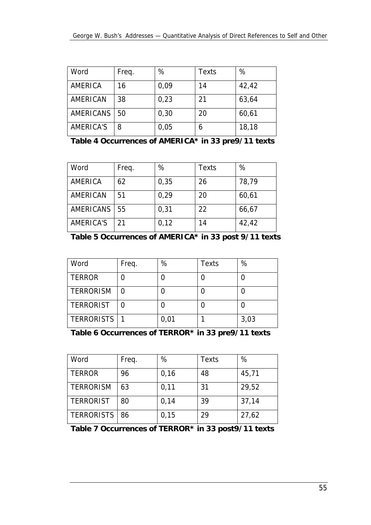| Word             | Freq. | %    | Texts | %     |
|------------------|-------|------|-------|-------|
| AMERICA          | 16    | 0,09 | 14    | 42,42 |
| AMERICAN         | 38    | 0,23 | 21    | 63,64 |
| AMERICANS        | 50    | 0,30 | 20    | 60,61 |
| <b>AMERICA'S</b> | 8     | 0,05 | 6     | 18,18 |

<span id="page-55-0"></span>**Table 4 Occurrences of AMERICA\* in 33 pre9/11 texts** 

| Word             | Freq. | %    | <b>Texts</b> | %     |
|------------------|-------|------|--------------|-------|
| AMERICA          | 62    | 0,35 | 26           | 78,79 |
| AMERICAN         | 51    | 0,29 | 20           | 60,61 |
| AMERICANS        | 55    | 0,31 | 22           | 66,67 |
| <b>AMERICA'S</b> | 21    | 0,12 | 14           | 42,42 |

<span id="page-55-1"></span>

| Table 5 Occurrences of AMERICA* in 33 post 9/11 texts |
|-------------------------------------------------------|
|-------------------------------------------------------|

| Word              | Freq. | %    | <b>Texts</b> | %    |
|-------------------|-------|------|--------------|------|
| <b>TERROR</b>     |       |      |              |      |
| <b>TERRORISM</b>  |       |      |              |      |
| <b>TERRORIST</b>  |       |      |              |      |
| <b>TERRORISTS</b> |       | 0,01 |              | 3,03 |

<span id="page-55-2"></span>**Table 6 Occurrences of TERROR\* in 33 pre9/11 texts** 

| Word              | Freq. | %    | Texts | %     |
|-------------------|-------|------|-------|-------|
| <b>TERROR</b>     | 96    | 0,16 | 48    | 45,71 |
| <b>TERRORISM</b>  | 63    | 0,11 | 31    | 29,52 |
| <b>TERRORIST</b>  | 80    | 0,14 | 39    | 37,14 |
| <b>TERRORISTS</b> | -86   | 0,15 | 29    | 27,62 |

<span id="page-55-3"></span>**Table 7 Occurrences of TERROR\* in 33 post9/11 texts**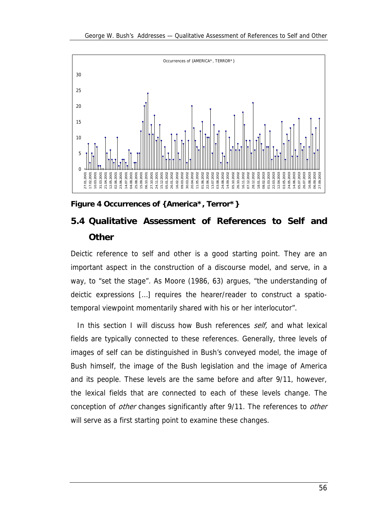<span id="page-56-0"></span>

**Figure 4 Occurrences of {America\*, Terror\*}** 

# **5.4 Qualitative Assessment of References to Self and Other**

Deictic reference to self and other is a good starting point. They are an important aspect in the construction of a discourse model, and serve, in a way, to "set the stage". As Moore (1986, 63) argues, "the understanding of deictic expressions […] requires the hearer/reader to construct a spatiotemporal viewpoint momentarily shared with his or her interlocutor".

In this section I will discuss how Bush references self, and what lexical fields are typically connected to these references. Generally, three levels of images of self can be distinguished in Bush's conveyed model, the image of Bush himself, the image of the Bush legislation and the image of America and its people. These levels are the same before and after 9/11, however, the lexical fields that are connected to each of these levels change. The conception of *other* changes significantly after 9/11. The references to *other* will serve as a first starting point to examine these changes.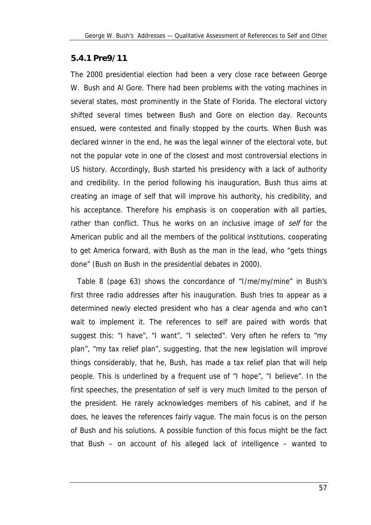#### **5.4.1 Pre9/11**

The 2000 presidential election had been a very close race between George W. Bush and Al Gore. There had been problems with the voting machines in several states, most prominently in the State of Florida. The electoral victory shifted several times between Bush and Gore on election day. Recounts ensued, were contested and finally stopped by the courts. When Bush was declared winner in the end, he was the legal winner of the electoral vote, but not the popular vote in one of the closest and most controversial elections in US history. Accordingly, Bush started his presidency with a lack of authority and credibility. In the period following his inauguration, Bush thus aims at creating an image of self that will improve his authority, his credibility, and his acceptance. Therefore his emphasis is on cooperation with all parties, rather than conflict. Thus he works on an inclusive image of self for the American public and all the members of the political institutions, cooperating to get America forward, with Bush as the man in the lead, who "gets things done" (Bush on Bush in the presidential debates in 2000).

[Table 8](#page-68-0) (page 63) shows the concordance of "I/me/my/mine" in Bush's first three radio addresses after his inauguration. Bush tries to appear as a determined newly elected president who has a clear agenda and who can't wait to implement it. The references to self are paired with words that suggest this: "I have", "I want", "I selected". Very often he refers to "my plan", "my tax relief plan", suggesting, that the new legislation will improve things considerably, that he, Bush, has made a tax relief plan that will help people. This is underlined by a frequent use of "I hope", "I believe". In the first speeches, the presentation of self is very much limited to the person of the president. He rarely acknowledges members of his cabinet, and if he does, he leaves the references fairly vague. The main focus is on the person of Bush and his solutions. A possible function of this focus might be the fact that Bush – on account of his alleged lack of intelligence – wanted to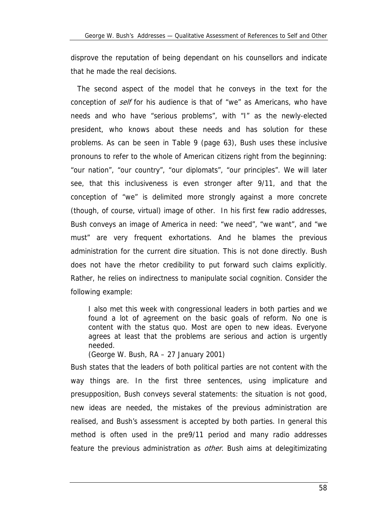disprove the reputation of being dependant on his counsellors and indicate that he made the real decisions.

The second aspect of the model that he conveys in the text for the conception of *self* for his audience is that of "we" as Americans, who have needs and who have "serious problems", with "I" as the newly-elected president, who knows about these needs and has solution for these problems. As can be seen in [Table 9](#page-68-0) (page 63), Bush uses these inclusive pronouns to refer to the whole of American citizens right from the beginning: "our nation", "our country", "our diplomats", "our principles". We will later see, that this inclusiveness is even stronger after 9/11, and that the conception of "we" is delimited more strongly against a more concrete (though, of course, virtual) image of other. In his first few radio addresses, Bush conveys an image of America in need: "we need", "we want", and "we must" are very frequent exhortations. And he blames the previous administration for the current dire situation. This is not done directly. Bush does not have the rhetor credibility to put forward such claims explicitly. Rather, he relies on indirectness to manipulate social cognition. Consider the following example:

I also met this week with congressional leaders in both parties and we found a lot of agreement on the basic goals of reform. No one is content with the status quo. Most are open to new ideas. Everyone agrees at least that the problems are serious and action is urgently needed.

(George W. Bush, RA – 27 January 2001)

Bush states that the leaders of both political parties are not content with the way things are. In the first three sentences, using implicature and presupposition, Bush conveys several statements: the situation is not good, new ideas are needed, the mistakes of the previous administration are realised, and Bush's assessment is accepted by both parties. In general this method is often used in the pre9/11 period and many radio addresses feature the previous administration as *other*. Bush aims at delegitimizating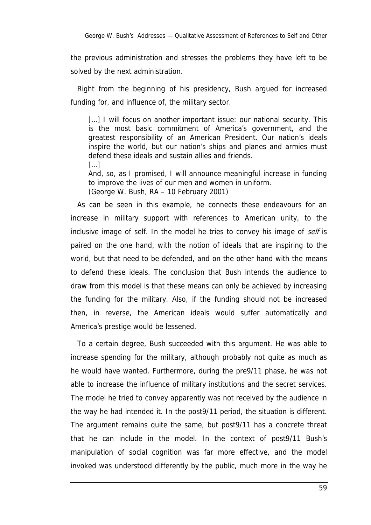the previous administration and stresses the problems they have left to be solved by the next administration.

Right from the beginning of his presidency, Bush argued for increased funding for, and influence of, the military sector.

[...] I will focus on another important issue: our national security. This is the most basic commitment of America's government, and the greatest responsibility of an American President. Our nation's ideals inspire the world, but our nation's ships and planes and armies must defend these ideals and sustain allies and friends.

[…] And, so, as I promised, I will announce meaningful increase in funding to improve the lives of our men and women in uniform. (George W. Bush, RA – 10 February 2001)

As can be seen in this example, he connects these endeavours for an increase in military support with references to American unity, to the inclusive image of self. In the model he tries to convey his image of self is paired on the one hand, with the notion of ideals that are inspiring to the world, but that need to be defended, and on the other hand with the means to defend these ideals. The conclusion that Bush intends the audience to draw from this model is that these means can only be achieved by increasing the funding for the military. Also, if the funding should not be increased then, in reverse, the American ideals would suffer automatically and America's prestige would be lessened.

To a certain degree, Bush succeeded with this argument. He was able to increase spending for the military, although probably not quite as much as he would have wanted. Furthermore, during the pre9/11 phase, he was not able to increase the influence of military institutions and the secret services. The model he tried to convey apparently was not received by the audience in the way he had intended it. In the post9/11 period, the situation is different. The argument remains quite the same, but post9/11 has a concrete threat that he can include in the model. In the context of post9/11 Bush's manipulation of social cognition was far more effective, and the model invoked was understood differently by the public, much more in the way he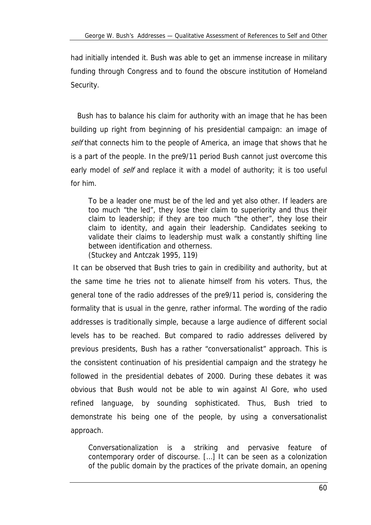had initially intended it. Bush was able to get an immense increase in military funding through Congress and to found the obscure institution of Homeland Security.

Bush has to balance his claim for authority with an image that he has been building up right from beginning of his presidential campaign: an image of self that connects him to the people of America, an image that shows that he is a part of the people. In the pre9/11 period Bush cannot just overcome this early model of self and replace it with a model of authority; it is too useful for him.

To be a leader one must be of the led and yet also other. If leaders are too much "the led", they lose their claim to superiority and thus their claim to leadership; if they are too much "the other", they lose their claim to identity, and again their leadership. Candidates seeking to validate their claims to leadership must walk a constantly shifting line between identification and otherness.

(Stuckey and Antczak 1995, 119)

It can be observed that Bush tries to gain in credibility and authority, but at the same time he tries not to alienate himself from his voters. Thus, the general tone of the radio addresses of the pre9/11 period is, considering the formality that is usual in the genre, rather informal. The wording of the radio addresses is traditionally simple, because a large audience of different social levels has to be reached. But compared to radio addresses delivered by previous presidents, Bush has a rather "conversationalist" approach. This is the consistent continuation of his presidential campaign and the strategy he followed in the presidential debates of 2000. During these debates it was obvious that Bush would not be able to win against Al Gore, who used refined language, by sounding sophisticated. Thus, Bush tried to demonstrate his being one of the people, by using a conversationalist approach.

Conversationalization is a striking and pervasive feature of contemporary order of discourse. […] It can be seen as a colonization of the public domain by the practices of the private domain, an opening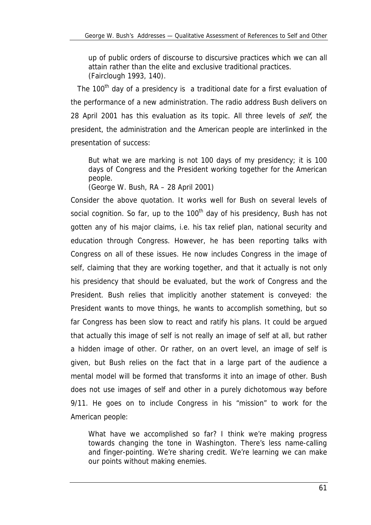up of public orders of discourse to discursive practices which we can all attain rather than the elite and exclusive traditional practices. (Fairclough 1993, 140).

The 100<sup>th</sup> day of a presidency is a traditional date for a first evaluation of the performance of a new administration. The radio address Bush delivers on 28 April 2001 has this evaluation as its topic. All three levels of self, the president, the administration and the American people are interlinked in the presentation of success:

But what we are marking is not 100 days of my presidency; it is 100 days of Congress and the President working together for the American people.

(George W. Bush, RA – 28 April 2001)

Consider the above quotation. It works well for Bush on several levels of social cognition. So far, up to the 100<sup>th</sup> day of his presidency, Bush has not gotten any of his major claims, i.e. his tax relief plan, national security and education through Congress. However, he has been reporting talks with Congress on all of these issues. He now includes Congress in the image of self, claiming that they are working together, and that it actually is not only his presidency that should be evaluated, but the work of Congress and the President. Bush relies that implicitly another statement is conveyed: the President wants to move things, he wants to accomplish something, but so far Congress has been slow to react and ratify his plans. It could be argued that actually this image of self is not really an image of self at all, but rather a hidden image of other. Or rather, on an overt level, an image of self is given, but Bush relies on the fact that in a large part of the audience a mental model will be formed that transforms it into an image of other. Bush does not use images of self and other in a purely dichotomous way before 9/11. He goes on to include Congress in his "mission" to work for the American people:

What have we accomplished so far? I think we're making progress towards changing the tone in Washington. There's less name-calling and finger-pointing. We're sharing credit. We're learning we can make our points without making enemies.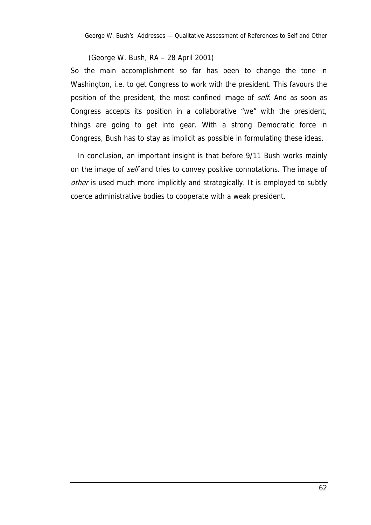(George W. Bush, RA – 28 April 2001) So the main accomplishment so far has been to change the tone in Washington, i.e. to get Congress to work with the president. This favours the position of the president, the most confined image of self. And as soon as Congress accepts its position in a collaborative "we" with the president, things are going to get into gear. With a strong Democratic force in Congress, Bush has to stay as implicit as possible in formulating these ideas.

In conclusion, an important insight is that before 9/11 Bush works mainly on the image of *self* and tries to convey positive connotations. The image of other is used much more implicitly and strategically. It is employed to subtly coerce administrative bodies to cooperate with a weak president.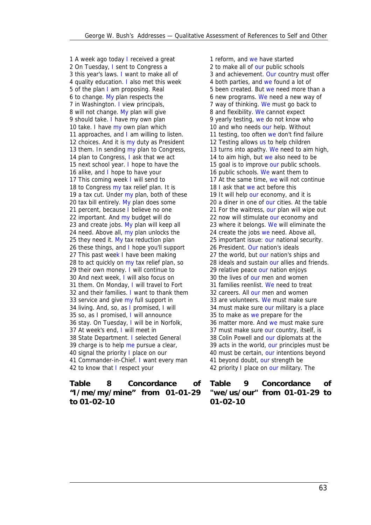1 A week ago today I received a great 2 On Tuesday, I sent to Congress a 3 this year's laws. I want to make all of 4 quality education. I also met this week 5 of the plan I am proposing. Real 6 to change. My plan respects the 7 in Washington. I view principals, 8 will not change. My plan will give 9 should take. I have my own plan 10 take. I have my own plan which 11 approaches, and I am willing to listen. 12 choices. And it is my duty as President 13 them. In sending my plan to Congress, 14 plan to Congress, I ask that we act 15 next school year. I hope to have the 16 alike, and I hope to have your 17 This coming week I will send to 18 to Congress my tax relief plan. It is 19 a tax cut. Under my plan, both of these 20 tax bill entirely. My plan does some 21 percent, because I believe no one 22 important. And my budget will do 23 and create jobs. My plan will keep all 24 need. Above all, my plan unlocks the 25 they need it. My tax reduction plan 26 these things, and I hope you'll support 27 This past week I have been making 28 to act quickly on my tax relief plan, so 29 their own money. I will continue to 30 And next week, I will also focus on 31 them. On Monday, I will travel to Fort 32 and their families. I want to thank them 33 service and give my full support in 34 living. And, so, as I promised, I will 35 so, as I promised, I will announce 36 stay. On Tuesday, I will be in Norfolk, 37 At week's end, I will meet in 38 State Department. I selected General 39 charge is to help me pursue a clear. 40 signal the priority I place on our 41 Commander-in-Chief. I want every man 42 to know that I respect your

**Table 8 Concordance of Ta "I/me/my/mine" from 01-01-29 to 01-02-10**

1 reform, and we have started 2 to make all of our public schools 3 and achievement. Our country must offer 4 both parties, and we found a lot of 5 been created. But we need more than a 6 new programs. We need a new way of 7 way of thinking. We must go back to 8 and flexibility. We cannot expect 9 yearly testing, we do not know who 10 and who needs our help. Without 11 testing, too often we don't find failure 12 Testing allows us to help children 13 turns into apathy. We need to aim high, 14 to aim high, but we also need to be 15 goal is to improve our public schools. 16 public schools. We want them to 17 At the same time, we will not continue 18 I ask that we act before this 19 It will help our economy, and it is 20 a diner in one of our cities. At the table 21 For the waitress, our plan will wipe out 22 now will stimulate our economy and 23 where it belongs. We will eliminate the 24 create the jobs we need. Above all, 25 important issue: our national security. 26 President. Our nation's ideals 27 the world, but our nation's ships and 28 ideals and sustain our allies and friends. 29 relative peace our nation enjoys 30 the lives of our men and women 31 families reenlist. We need to treat 32 careers. All our men and women 33 are volunteers. We must make sure 34 must make sure our military is a place 35 to make as we prepare for the 36 matter more. And we must make sure 37 must make sure our country, itself, is 38 Colin Powell and our diplomats at the 39 acts in the world, our principles must be 40 must be certain, our intentions beyond 41 beyond doubt, our strength be 42 priority I place on our military. The

**ble 9 Concordance of "we/us/our" from 01-01-29 to 01-02-10**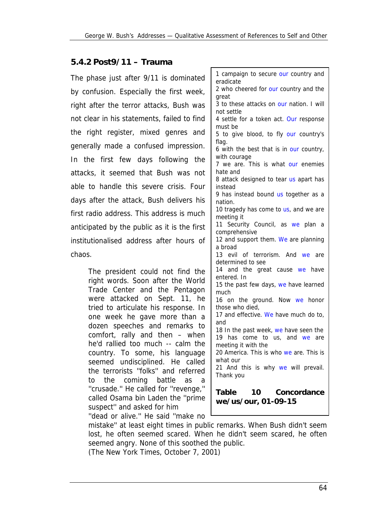## **5.4.2 Post9/11 – Trauma**

The phase just after 9/11 is dominated by confusion. Especially the first week, right after the terror attacks, Bush was not clear in his statements, failed to find the right register, mixed genres and generally made a confused impression. In the first few days following the attacks, it seemed that Bush was not able to handle this severe crisis. Four days after the attack, Bush delivers his first radio address. This address is much anticipated by the public as it is the first institutionalised address after hours of chaos.

> The president could not find the right words. Soon after the World Trade Center and the Pentagon were attacked on Sept. 11, he tried to articulate his response. In one week he gave more than a dozen speeches and remarks to comfort, rally and then – when he'd rallied too much -- calm the country. To some, his language seemed undisciplined. He called the terrorists ''folks'' and referred to the coming battle as a ''crusade.'' He called for ''revenge,'' called Osama bin Laden the ''prime suspect'' and asked for him

1 campaign to secure our country and eradicate 2 who cheered for our country and the great 3 to these attacks on our nation. I will not settle 4 settle for a token act. Our response must be 5 to give blood, to fly our country's flag. 6 with the best that is in our country, with courage 7 we are. This is what our enemies hate and 8 attack designed to tear us apart has instead 9 has instead bound us together as a nation. 10 tragedy has come to us, and we are meeting it 11 Security Council, as we plan a comprehensive 12 and support them. We are planning a broad 13 evil of terrorism. And we are determined to see 14 and the great cause we have entered. In 15 the past few days, we have learned much 16 on the ground. Now we honor those who died, 17 and effective. We have much do to, and 18 In the past week, we have seen the 19 has come to us, and we are meeting it with the 20 America. This is who we are. This is what our 21 And this is why we will prevail. Thank you **Table 10 Concordance we/us/our, 01-09-15**

"dead or alive." He said "make no mistake'' at least eight times in public remarks. When Bush didn't seem lost, he often seemed scared. When he didn't seem scared, he often seemed angry. None of this soothed the public.

(The New York Times, October 7, 2001)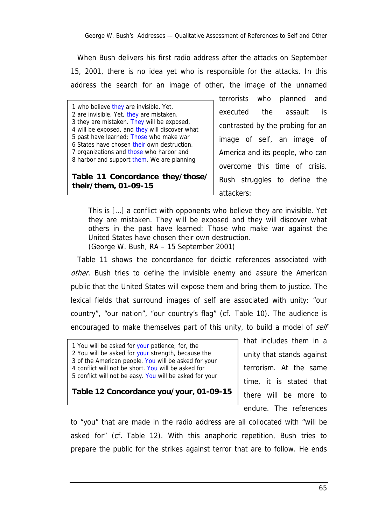When Bush delivers his first radio address after the attacks on September 15, 2001, there is no idea yet who is responsible for the attacks. In this address the search for an image of other, the image of the unnamed

1 who believe they are invisible. Yet, 2 are invisible. Yet, they are mistaken. 3 they are mistaken. They will be exposed, 4 will be exposed, and they will discover what 5 past have learned: Those who make war 6 States have chosen their own destruction. 7 organizations and those who harbor and 8 harbor and support them. We are planning

**Table 11 Concordance they/those/ their/them, 01-09-15**

terrorists who planned and executed the assault is contrasted by the probing for an image of self, an image of America and its people, who can overcome this time of crisis. Bush struggles to define the attackers:

This is […] a conflict with opponents who believe they are invisible. Yet they are mistaken. They will be exposed and they will discover what others in the past have learned: Those who make war against the United States have chosen their own destruction. (George W. Bush, RA – 15 September 2001)

[Table 11](#page-68-0) shows the concordance for deictic references associated with other. Bush tries to define the invisible enemy and assure the American public that the United States will expose them and bring them to justice. The lexical fields that surround images of self are associated with unity: "our country", "our nation", "our country's flag" (cf. [Table 10\)](#page-68-0). The audience is encouraged to make themselves part of this unity, to build a model of self

1 You will be asked for your patience; for, the 2 You will be asked for your strength, because the 3 of the American people. You will be asked for your 4 conflict will not be short. You will be asked for 5 conflict will not be easy. You will be asked for your

#### **Table 12 Concordance you/your, 01-09-15**

that includes them in a unity that stands against terrorism. At the same time, it is stated that there will be more to endure. The references

to "you" that are made in the radio address are all collocated with "will be asked for" (cf. [Table 12\)](#page-68-0). With this anaphoric repetition, Bush tries to prepare the public for the strikes against terror that are to follow. He ends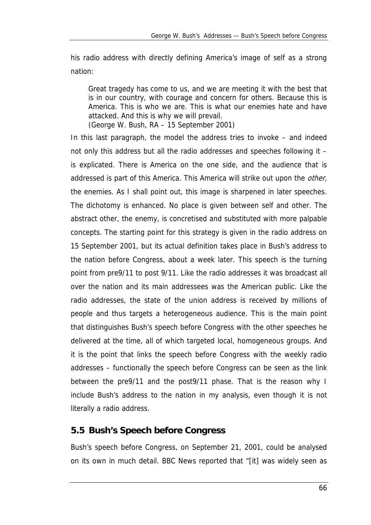his radio address with directly defining America's image of self as a strong nation:

Great tragedy has come to us, and we are meeting it with the best that is in our country, with courage and concern for others. Because this is America. This is who we are. This is what our enemies hate and have attacked. And this is why we will prevail.

(George W. Bush, RA – 15 September 2001)

In this last paragraph, the model the address tries to invoke – and indeed not only this address but all the radio addresses and speeches following it – is explicated. There is America on the one side, and the audience that is addressed is part of this America. This America will strike out upon the *other*, the enemies. As I shall point out, this image is sharpened in later speeches. The dichotomy is enhanced. No place is given between self and other. The abstract other, the enemy, is concretised and substituted with more palpable concepts. The starting point for this strategy is given in the radio address on 15 September 2001, but its actual definition takes place in Bush's address to the nation before Congress, about a week later. This speech is the turning point from pre9/11 to post 9/11. Like the radio addresses it was broadcast all over the nation and its main addressees was the American public. Like the radio addresses, the state of the union address is received by millions of people and thus targets a heterogeneous audience. This is the main point that distinguishes Bush's speech before Congress with the other speeches he delivered at the time, all of which targeted local, homogeneous groups. And it is the point that links the speech before Congress with the weekly radio addresses – functionally the speech before Congress can be seen as the link between the pre9/11 and the post9/11 phase. That is the reason why I include Bush's address to the nation in my analysis, even though it is not literally a radio address.

### **5.5 Bush's Speech before Congress**

Bush's speech before Congress, on September 21, 2001, could be analysed on its own in much detail. BBC News reported that "[it] was widely seen as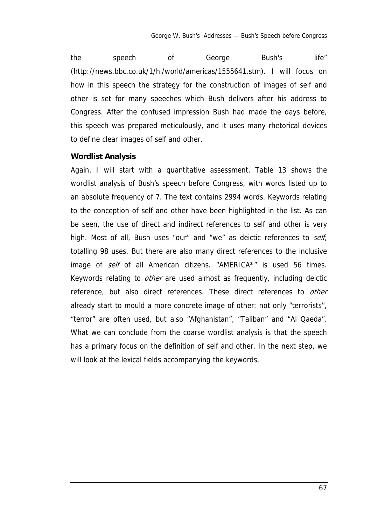the speech of George Bush's life" (http://news.bbc.co.uk/1/hi/world/americas/1555641.stm). I will focus on how in this speech the strategy for the construction of images of self and other is set for many speeches which Bush delivers after his address to Congress. After the confused impression Bush had made the days before, this speech was prepared meticulously, and it uses many rhetorical devices to define clear images of self and other.

#### **Wordlist Analysis**

Again, I will start with a quantitative assessment. [Table 13](#page-68-0) shows the wordlist analysis of Bush's speech before Congress, with words listed up to an absolute frequency of 7. The text contains 2994 words. Keywords relating to the conception of self and other have been highlighted in the list. As can be seen, the use of direct and indirect references to self and other is very high. Most of all, Bush uses "our" and "we" as deictic references to self, totalling 98 uses. But there are also many direct references to the inclusive image of self of all American citizens. "AMERICA\*" is used 56 times. Keywords relating to *other* are used almost as frequently, including deictic reference, but also direct references. These direct references to *other* already start to mould a more concrete image of other: not only "terrorists", "terror" are often used, but also "Afghanistan", "Taliban" and "Al Qaeda". What we can conclude from the coarse wordlist analysis is that the speech has a primary focus on the definition of self and other. In the next step, we will look at the lexical fields accompanying the keywords.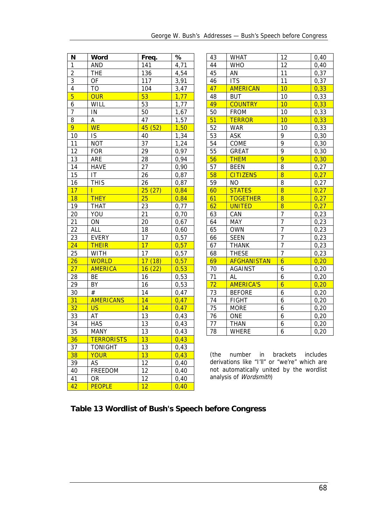| Ν                       | Word              | Freq.      | %    | 43              | <b>WHAT</b>                                  | 12               | 0,40     |
|-------------------------|-------------------|------------|------|-----------------|----------------------------------------------|------------------|----------|
| $\mathbf{1}$            | <b>AND</b>        | 141        | 4,71 | 44              | <b>WHO</b>                                   | 12               | 0,40     |
| $\overline{2}$          | <b>THE</b>        | 136        | 4,54 | 45              | AN                                           | 11               | 0,37     |
| 3                       | <b>OF</b>         | 117        | 3,91 | 46              | <b>ITS</b>                                   | 11               | 0,37     |
| $\overline{\mathbf{4}}$ | T <sub>O</sub>    | 104        | 3,47 | 47              | <b>AMERICAN</b>                              | 10               | 0,33     |
| $\overline{5}$          | <b>OUR</b>        | 53         | 1,77 | 48              | <b>BUT</b>                                   | 10               | 0,33     |
| 6                       | WILL              | 53         | 1,77 | 49              | <b>COUNTRY</b>                               | 10               | 0,33     |
| $\overline{7}$          | IN                | 50         | 1,67 | 50              | <b>FROM</b>                                  | 10               | 0,33     |
| 8                       | A                 | 47         | 1,57 | 51              | <b>TERROR</b>                                | 10               | 0,33     |
| 9                       | <b>WE</b>         | 45(52)     | 1,50 | 52              | <b>WAR</b>                                   | 10               | 0,33     |
| 10                      | <b>IS</b>         | 40         | 1,34 | 53              | <b>ASK</b>                                   | 9                | 0,30     |
| 11                      | <b>NOT</b>        | 37         | 1,24 | 54              | COME                                         | $\overline{9}$   | 0,30     |
| 12                      | <b>FOR</b>        | 29         | 0,97 | 55              | <b>GREAT</b>                                 | $\overline{9}$   | 0,30     |
| 13                      | ARE               | 28         | 0,94 | 56              | <b>THEM</b>                                  | 9                | 0, 30    |
| 14                      | <b>HAVE</b>       | 27         | 0,90 | 57              | <b>BEEN</b>                                  | 8                | 0,27     |
| 15                      | IT                | 26         | 0,87 | 58              | <b>CITIZENS</b>                              | $\overline{8}$   | 0,27     |
| 16                      | <b>THIS</b>       | 26         | 0,87 | 59              | <b>NO</b>                                    | $\overline{8}$   | 0,27     |
| 17                      |                   | 25(27)     | 0,84 | 60              | <b>STATES</b>                                | $\overline{8}$   | 0,27     |
| 18                      | <b>THEY</b>       | 25         | 0,84 | 61              | <b>TOGETHER</b>                              | $\overline{8}$   | 0,27     |
| 19                      | <b>THAT</b>       | 23         | 0,77 | 62              | <b>UNITED</b>                                | $\overline{8}$   | 0,27     |
| 20                      | YOU               | 21         | 0,70 | 63              | CAN                                          | $\overline{7}$   | 0,23     |
| 21                      | ON                | 20         | 0,67 | 64              | <b>MAY</b>                                   | $\overline{7}$   | 0,23     |
| 22                      | <b>ALL</b>        | 18         | 0,60 | 65              | <b>OWN</b>                                   | $\overline{7}$   | 0,23     |
| 23                      | <b>EVERY</b>      | 17         | 0,57 | 66              | <b>SEEN</b>                                  | $\overline{7}$   | 0,23     |
| 24                      | <b>THEIR</b>      | 17         | 0,57 | 67              | <b>THANK</b>                                 | $\overline{7}$   | 0,23     |
| 25                      | <b>WITH</b>       | 17         | 0,57 | 68              | <b>THESE</b>                                 | $\overline{7}$   | 0,23     |
| 26                      | <b>WORLD</b>      | 17<br>(18) | 0,57 | 69              | <b>AFGHANISTAN</b>                           | $\overline{6}$   | 0,20     |
| 27                      | <b>AMERICA</b>    | 16(22)     | 0,53 | 70              | <b>AGAINST</b>                               | 6                | 0,20     |
| 28                      | BE                | 16         | 0,53 | 71              | <b>AL</b>                                    | 6                | 0,20     |
| 29                      | BY                | 16         | 0,53 | $\overline{72}$ | <b>AMERICA'S</b>                             | $\overline{6}$   | 0,20     |
| 30                      | #                 | 14         | 0,47 | 73              | <b>BEFORE</b>                                | 6                | 0,20     |
| 31                      | <b>AMERICANS</b>  | 14         | 0,47 | 74              | <b>FIGHT</b>                                 | 6                | 0,20     |
| 32                      | <b>US</b>         | 14         | 0,47 | 75              | <b>MORE</b>                                  | 6                | 0,20     |
| 33                      | AT                | 13         | 0,43 | 76              | ONE                                          | $\boldsymbol{6}$ | 0,20     |
| 34                      | <b>HAS</b>        | 13         | 0,43 | 77              | <b>THAN</b>                                  | 6                | 0,20     |
| 35                      | <b>MANY</b>       | 13         | 0,43 | 78              | WHERE                                        | 6                | 0,20     |
| 36                      | <b>TERRORISTS</b> | 13         | 0,43 |                 |                                              |                  |          |
| 37                      | <b>TONIGHT</b>    | 13         | 0,43 |                 |                                              |                  |          |
| 38                      | <b>YOUR</b>       | 13         | 0,43 | (the            | number<br>in                                 | brackets         | includes |
| 39                      | AS                | 12         | 0,40 |                 | derivations like "I'll" or "we're" which are |                  |          |
| 40                      | FREEDOM           | 12         | 0,40 |                 | not automatically united by the wordlist     |                  |          |
| 41                      | <b>OR</b>         | 12         | 0,40 |                 | analysis of Wordsmith)                       |                  |          |
| 42                      | <b>PEOPLE</b>     | 12         | 0,40 |                 |                                              |                  |          |
|                         |                   |            |      |                 |                                              |                  |          |

<span id="page-68-0"></span>

| Table 13 Wordlist of Bush's Speech before Congress |  |
|----------------------------------------------------|--|
|----------------------------------------------------|--|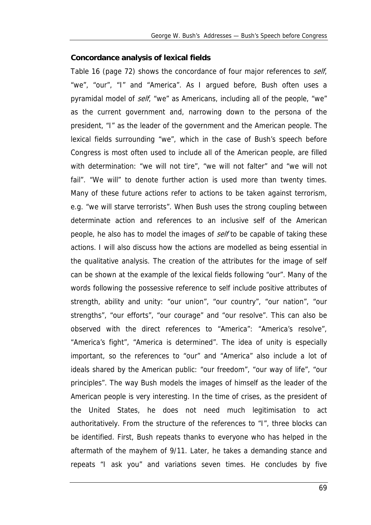#### **Concordance analysis of lexical fields**

[Table 16](#page-72-0) (page [72\)](#page-72-0) shows the concordance of four major references to self, "we", "our", "I" and "America". As I argued before, Bush often uses a pyramidal model of *self*, "we" as Americans, including all of the people, "we" as the current government and, narrowing down to the persona of the president, "I" as the leader of the government and the American people. The lexical fields surrounding "we", which in the case of Bush's speech before Congress is most often used to include all of the American people, are filled with determination: "we will not tire", "we will not falter" and "we will not fail". "We will" to denote further action is used more than twenty times. Many of these future actions refer to actions to be taken against terrorism, e.g. "we will starve terrorists". When Bush uses the strong coupling between determinate action and references to an inclusive self of the American people, he also has to model the images of *self* to be capable of taking these actions. I will also discuss how the actions are modelled as being essential in the qualitative analysis. The creation of the attributes for the image of self can be shown at the example of the lexical fields following "our". Many of the words following the possessive reference to self include positive attributes of strength, ability and unity: "our union", "our country", "our nation", "our strengths", "our efforts", "our courage" and "our resolve". This can also be observed with the direct references to "America": "America's resolve", "America's fight", "America is determined". The idea of unity is especially important, so the references to "our" and "America" also include a lot of ideals shared by the American public: "our freedom", "our way of life", "our principles". The way Bush models the images of himself as the leader of the American people is very interesting. In the time of crises, as the president of the United States, he does not need much legitimisation to act authoritatively. From the structure of the references to "I", three blocks can be identified. First, Bush repeats thanks to everyone who has helped in the aftermath of the mayhem of 9/11. Later, he takes a demanding stance and repeats "I ask you" and variations seven times. He concludes by five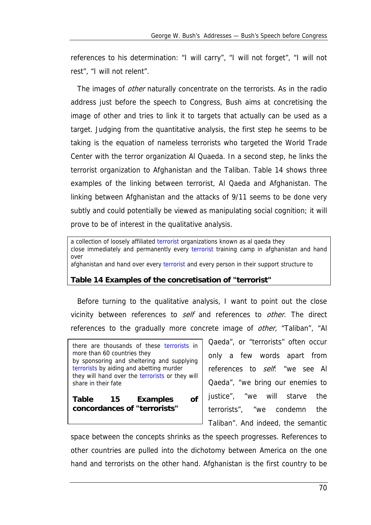references to his determination: "I will carry", "I will not forget", "I will not rest", "I will not relent".

The images of *other* naturally concentrate on the terrorists. As in the radio address just before the speech to Congress, Bush aims at concretising the image of other and tries to link it to targets that actually can be used as a target. Judging from the quantitative analysis, the first step he seems to be taking is the equation of nameless terrorists who targeted the World Trade Center with the terror organization Al Quaeda. In a second step, he links the terrorist organization to Afghanistan and the Taliban. [Table 14](#page-70-0) shows three examples of the linking between terrorist, Al Qaeda and Afghanistan. The linking between Afghanistan and the attacks of 9/11 seems to be done very subtly and could potentially be viewed as manipulating social cognition; it will prove to be of interest in the qualitative analysis.

a collection of loosely affiliated terrorist organizations known as al qaeda they close immediately and permanently every terrorist training camp in afghanistan and hand over

afghanistan and hand over every terrorist and every person in their support structure to

#### <span id="page-70-0"></span>**Table 14 Examples of the concretisation of "terrorist"**

Before turning to the qualitative analysis, I want to point out the close vicinity between references to *self* and references to *other*. The direct references to the gradually more concrete image of *other*, "Taliban", "Al

there are thousands of these terrorists in more than 60 countries they by sponsoring and sheltering and supplying terrorists by aiding and abetting murder they will hand over the terrorists or they will share in their fate

**Table 15 Examples of concordances of "terrorists"**

Qaeda", or "terrorists" often occur only a few words apart from references to *self*: "we see Al Qaeda", "we bring our enemies to justice", "we will starve the terrorists", "we condemn the Taliban". And indeed, the semantic

space between the concepts shrinks as the speech progresses. References to other countries are pulled into the dichotomy between America on the one hand and terrorists on the other hand. Afghanistan is the first country to be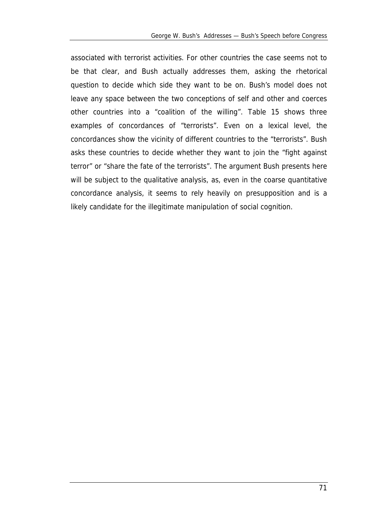associated with terrorist activities. For other countries the case seems not to be that clear, and Bush actually addresses them, asking the rhetorical question to decide which side they want to be on. Bush's model does not leave any space between the two conceptions of self and other and coerces other countries into a "coalition of the willing". [Table 15](#page-77-0) shows three examples of concordances of "terrorists". Even on a lexical level, the concordances show the vicinity of different countries to the "terrorists". Bush asks these countries to decide whether they want to join the "fight against terror" or "share the fate of the terrorists". The argument Bush presents here will be subject to the qualitative analysis, as, even in the coarse quantitative concordance analysis, it seems to rely heavily on presupposition and is a likely candidate for the illegitimate manipulation of social cognition.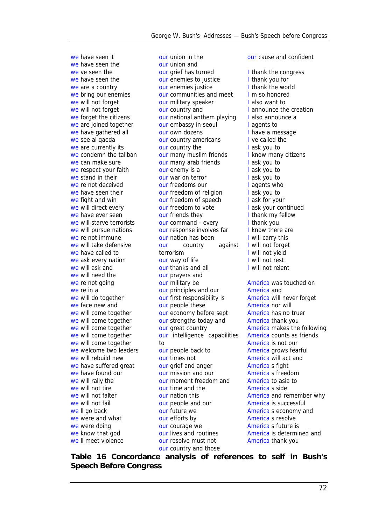we have seen it we have seen the we ve seen the we have seen the we are a country we bring our enemies we will not forget we will not forget we forget the citizens we are joined together we have gathered all we see al qaeda we are currently its we condemn the taliban we can make sure we respect your faith we stand in their we re not deceived we have seen their we fight and win we will direct every we have ever seen we will starve terrorists we will pursue nations we re not immune we will take defensive we have called to we ask every nation we will ask and we will need the we re not going we re in a we will do together we face new and we will come together we will come together we will come together we will come together we will come together we welcome two leaders we will rebuild new we have suffered great we have found our we will rally the we will not tire we will not falter we will not fail we II go back we were and what we were doing we know that god we ll meet violence

our union in the our union and our grief has turned our enemies to justice our enemies justice our communities and meet our military speaker our country and our national anthem playing our embassy in seoul our own dozens our country americans our country the our many muslim friends our many arab friends our enemy is a our war on terror our freedoms our our freedom of religion our freedom of speech our freedom to vote our friends they our command - every our response involves far our nation has been our country against terrorism our way of life our thanks and all our prayers and our military be our principles and our our first responsibility is our people these our economy before sept our strengths today and our great country our intelligence capabilities to our people back to our times not our grief and anger our mission and our our moment freedom and our time and the our nation this our people and our our future we our efforts by our courage we our lives and routines our resolve must not our country and those

our cause and confident

I thank the congress I thank you for I thank the world I m so honored I also want to I announce the creation I also announce a I agents to I have a message I ve called the I ask you to I know many citizens I ask you to I ask you to I ask you to I agents who I ask you to I ask for your I ask your continued I thank my fellow I thank you I know there are I will carry this I will not forget I will not yield I will not rest I will not relent America was touched on

America and America will never forget America nor will America has no truer America thank you America makes the following America counts as friends America is not our America grows fearful America will act and America s fight America s freedom America to asia to America s side America and remember why America is successful America s economy and America s resolve America s future is America is determined and America thank you

**Table 16 Concordance analysis of references to self in Bush's Speech Before Congress**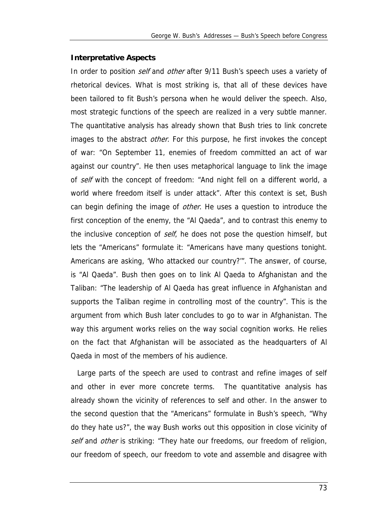#### **Interpretative Aspects**

In order to position *self* and *other* after 9/11 Bush's speech uses a variety of rhetorical devices. What is most striking is, that all of these devices have been tailored to fit Bush's persona when he would deliver the speech. Also, most strategic functions of the speech are realized in a very subtle manner. The quantitative analysis has already shown that Bush tries to link concrete images to the abstract *other*. For this purpose, he first invokes the concept of war: "On September 11, enemies of freedom committed an act of war against our country". He then uses metaphorical language to link the image of self with the concept of freedom: "And night fell on a different world, a world where freedom itself is under attack". After this context is set, Bush can begin defining the image of *other*. He uses a question to introduce the first conception of the enemy, the "Al Qaeda", and to contrast this enemy to the inclusive conception of *self*, he does not pose the question himself, but lets the "Americans" formulate it: "Americans have many questions tonight. Americans are asking, 'Who attacked our country?'". The answer, of course, is "Al Qaeda". Bush then goes on to link Al Qaeda to Afghanistan and the Taliban: "The leadership of Al Qaeda has great influence in Afghanistan and supports the Taliban regime in controlling most of the country". This is the argument from which Bush later concludes to go to war in Afghanistan. The way this argument works relies on the way social cognition works. He relies on the fact that Afghanistan will be associated as the headquarters of Al Qaeda in most of the members of his audience.

Large parts of the speech are used to contrast and refine images of self and other in ever more concrete terms. The quantitative analysis has already shown the vicinity of references to self and other. In the answer to the second question that the "Americans" formulate in Bush's speech, "Why do they hate us?", the way Bush works out this opposition in close vicinity of self and other is striking: "They hate our freedoms, our freedom of religion, our freedom of speech, our freedom to vote and assemble and disagree with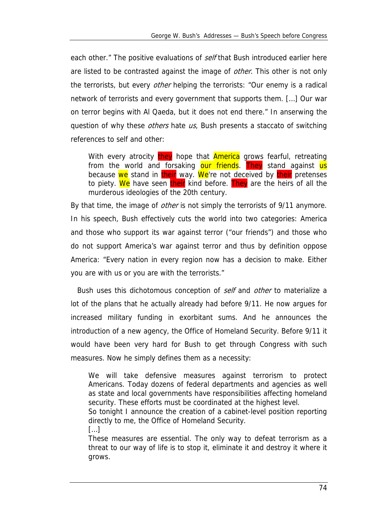each other." The positive evaluations of self that Bush introduced earlier here are listed to be contrasted against the image of *other*. This other is not only the terrorists, but every *other* helping the terrorists: "Our enemy is a radical network of terrorists and every government that supports them. […] Our war on terror begins with Al Qaeda, but it does not end there." In anserwing the question of why these *others* hate us, Bush presents a staccato of switching references to self and other:

With every atrocity they hope that **America** grows fearful, retreating from the world and forsaking our friends. They stand against us because we stand in their way. We're not deceived by their pretenses to piety. We have seen their kind before. They are the heirs of all the murderous ideologies of the 20th century.

By that time, the image of *other* is not simply the terrorists of 9/11 anymore. In his speech, Bush effectively cuts the world into two categories: America and those who support its war against terror ("our friends") and those who do not support America's war against terror and thus by definition oppose America: "Every nation in every region now has a decision to make. Either you are with us or you are with the terrorists."

Bush uses this dichotomous conception of *self* and *other* to materialize a lot of the plans that he actually already had before 9/11. He now argues for increased military funding in exorbitant sums. And he announces the introduction of a new agency, the Office of Homeland Security. Before 9/11 it would have been very hard for Bush to get through Congress with such measures. Now he simply defines them as a necessity:

We will take defensive measures against terrorism to protect Americans. Today dozens of federal departments and agencies as well as state and local governments have responsibilities affecting homeland security. These efforts must be coordinated at the highest level.

So tonight I announce the creation of a cabinet-level position reporting directly to me, the Office of Homeland Security.

[…]

These measures are essential. The only way to defeat terrorism as a threat to our way of life is to stop it, eliminate it and destroy it where it grows.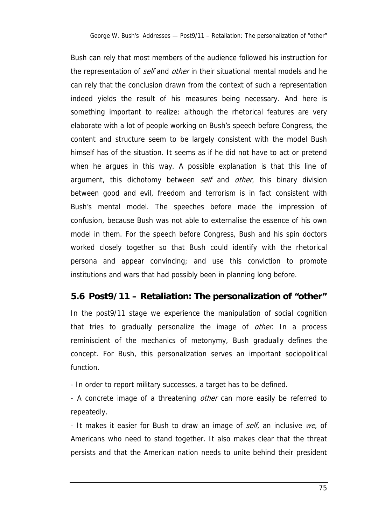Bush can rely that most members of the audience followed his instruction for the representation of *self* and *other* in their situational mental models and he can rely that the conclusion drawn from the context of such a representation indeed yields the result of his measures being necessary. And here is something important to realize: although the rhetorical features are very elaborate with a lot of people working on Bush's speech before Congress, the content and structure seem to be largely consistent with the model Bush himself has of the situation. It seems as if he did not have to act or pretend when he argues in this way. A possible explanation is that this line of argument, this dichotomy between self and other, this binary division between good and evil, freedom and terrorism is in fact consistent with Bush's mental model. The speeches before made the impression of confusion, because Bush was not able to externalise the essence of his own model in them. For the speech before Congress, Bush and his spin doctors worked closely together so that Bush could identify with the rhetorical persona and appear convincing; and use this conviction to promote institutions and wars that had possibly been in planning long before.

## **5.6 Post9/11 – Retaliation: The personalization of "other"**

In the post9/11 stage we experience the manipulation of social cognition that tries to gradually personalize the image of *other*. In a process reminiscient of the mechanics of metonymy, Bush gradually defines the concept. For Bush, this personalization serves an important sociopolitical function.

- In order to report military successes, a target has to be defined.

- A concrete image of a threatening *other* can more easily be referred to repeatedly.

- It makes it easier for Bush to draw an image of self, an inclusive we, of Americans who need to stand together. It also makes clear that the threat persists and that the American nation needs to unite behind their president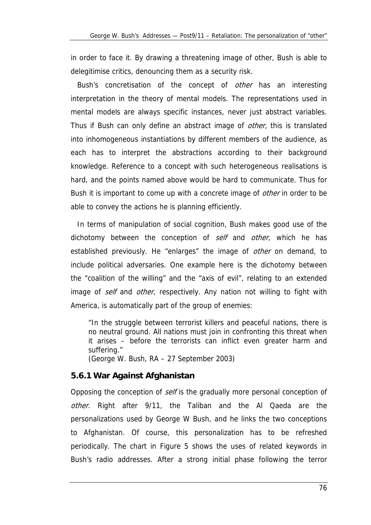in order to face it. By drawing a threatening image of other, Bush is able to delegitimise critics, denouncing them as a security risk.

Bush's concretisation of the concept of *other* has an interesting interpretation in the theory of mental models. The representations used in mental models are always specific instances, never just abstract variables. Thus if Bush can only define an abstract image of *other*, this is translated into inhomogeneous instantiations by different members of the audience, as each has to interpret the abstractions according to their background knowledge. Reference to a concept with such heterogeneous realisations is hard, and the points named above would be hard to communicate. Thus for Bush it is important to come up with a concrete image of *other* in order to be able to convey the actions he is planning efficiently.

In terms of manipulation of social cognition, Bush makes good use of the dichotomy between the conception of *self* and *other*, which he has established previously. He "enlarges" the image of *other* on demand, to include political adversaries. One example here is the dichotomy between the "coalition of the willing" and the "axis of evil", relating to an extended image of *self* and *other*, respectively. Any nation not willing to fight with America, is automatically part of the group of enemies:

"In the struggle between terrorist killers and peaceful nations, there is no neutral ground. All nations must join in confronting this threat when it arises – before the terrorists can inflict even greater harm and suffering."

(George W. Bush, RA – 27 September 2003)

### **5.6.1 War Against Afghanistan**

Opposing the conception of *self* is the gradually more personal conception of other. Right after 9/11, the Taliban and the Al Qaeda are the personalizations used by George W Bush, and he links the two conceptions to Afghanistan. Of course, this personalization has to be refreshed periodically. The chart in [Figure 5](#page-77-0) shows the uses of related keywords in Bush's radio addresses. After a strong initial phase following the terror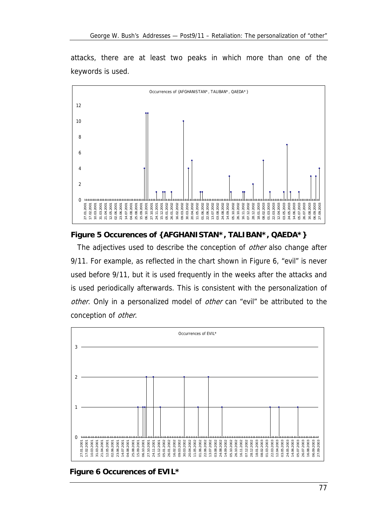attacks, there are at least two peaks in which more than one of the keywords is used.

<span id="page-77-0"></span>

#### **Figure 5 Occurences of {AFGHANISTAN\*, TALIBAN\*, QAEDA\*}**

The adjectives used to describe the conception of *other* also change after 9/11. For example, as reflected in the chart shown in Figure 6, "evil" is never used before 9/11, but it is used frequently in the weeks after the attacks and is used periodically afterwards. This is consistent with the personalization of other. Only in a personalized model of other can "evil" be attributed to the conception of *other*.



**Figure 6 Occurences of EVIL\***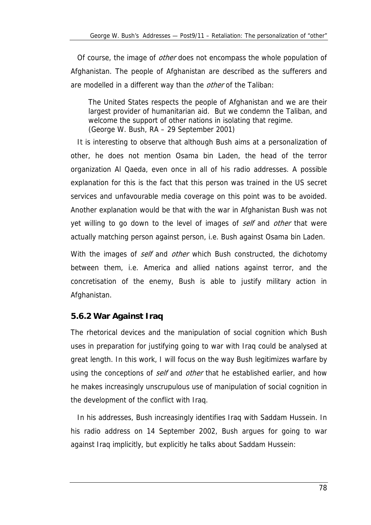Of course, the image of *other* does not encompass the whole population of Afghanistan. The people of Afghanistan are described as the sufferers and are modelled in a different way than the *other* of the Taliban:

The United States respects the people of Afghanistan and we are their largest provider of humanitarian aid. But we condemn the Taliban, and welcome the support of other nations in isolating that regime. (George W. Bush, RA – 29 September 2001)

It is interesting to observe that although Bush aims at a personalization of other, he does not mention Osama bin Laden, the head of the terror organization Al Qaeda, even once in all of his radio addresses. A possible explanation for this is the fact that this person was trained in the US secret services and unfavourable media coverage on this point was to be avoided. Another explanation would be that with the war in Afghanistan Bush was not yet willing to go down to the level of images of *self* and *other* that were actually matching person against person, i.e. Bush against Osama bin Laden.

With the images of *self* and *other* which Bush constructed, the dichotomy between them, i.e. America and allied nations against terror, and the concretisation of the enemy, Bush is able to justify military action in Afghanistan.

### **5.6.2 War Against Iraq**

The rhetorical devices and the manipulation of social cognition which Bush uses in preparation for justifying going to war with Iraq could be analysed at great length. In this work, I will focus on the way Bush legitimizes warfare by using the conceptions of *self* and *other* that he established earlier, and how he makes increasingly unscrupulous use of manipulation of social cognition in the development of the conflict with Iraq.

In his addresses, Bush increasingly identifies Iraq with Saddam Hussein. In his radio address on 14 September 2002, Bush argues for going to war against Iraq implicitly, but explicitly he talks about Saddam Hussein: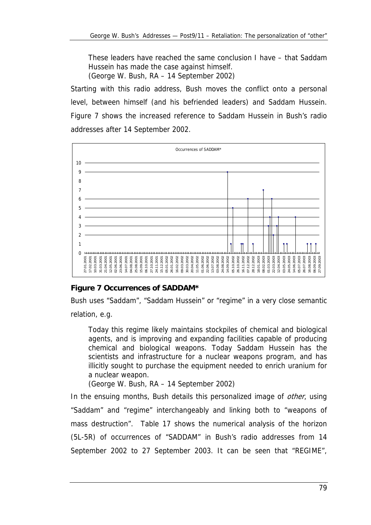These leaders have reached the same conclusion I have – that Saddam Hussein has made the case against himself.

(George W. Bush, RA – 14 September 2002)

Starting with this radio address, Bush moves the conflict onto a personal level, between himself (and his befriended leaders) and Saddam Hussein. [Figure 7](#page-79-0) shows the increased reference to Saddam Hussein in Bush's radio addresses after 14 September 2002.

<span id="page-79-0"></span>

### **Figure 7 Occurrences of SADDAM\***

Bush uses "Saddam", "Saddam Hussein" or "regime" in a very close semantic

relation, e.g.

Today this regime likely maintains stockpiles of chemical and biological agents, and is improving and expanding facilities capable of producing chemical and biological weapons. Today Saddam Hussein has the scientists and infrastructure for a nuclear weapons program, and has illicitly sought to purchase the equipment needed to enrich uranium for a nuclear weapon.

(George W. Bush, RA – 14 September 2002)

In the ensuing months, Bush details this personalized image of *other*, using "Saddam" and "regime" interchangeably and linking both to "weapons of mass destruction". [Table 17](#page-21-0) shows the numerical analysis of the horizon (5L-5R) of occurrences of "SADDAM" in Bush's radio addresses from 14 September 2002 to 27 September 2003. It can be seen that "REGIME",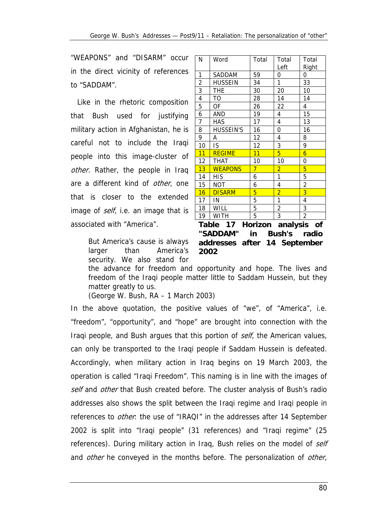"WEAPONS" and "DISARM" occur in the direct vicinity of references to "SADDAM".

Like in the rhetoric composition that Bush used for justifying military action in Afghanistan, he is careful not to include the Iraqi people into this image-cluster of other. Rather, the people in Iraq are a different kind of *other*, one that is closer to the extended image of *self*, i.e. an image that is associated with "America".

> But America's cause is always larger than America's security. We also stand for

| Ν              | Word             | Total          | Total                   | Total          |
|----------------|------------------|----------------|-------------------------|----------------|
|                |                  |                | Left                    | Right          |
| 1              | SADDAM           | 59             | 0                       | 0              |
| $\overline{2}$ | HUSSEIN          | 34             | 1                       | 33             |
| $\overline{3}$ | <b>THE</b>       | 30             | 20                      | 10             |
| 4              | TO               | 28             | 14                      | 14             |
| 5              | OF               | 26             | 22                      | 4              |
| 6              | <b>AND</b>       | 19             | 4                       | 15             |
| 7              | <b>HAS</b>       | 17             | 4                       | 13             |
| 8              | <b>HUSSEIN'S</b> | 16             | 0                       | 16             |
| 9              | Α                | 12             | 4                       | 8              |
| 10             | IS               | 12             | 3                       | 9              |
| 11             | <b>REGIME</b>    | 11             | $\overline{5}$          | 6              |
| 12             | <b>THAT</b>      | 10             | 10                      | 0              |
| 13             | <b>WEAPONS</b>   | $\overline{7}$ | $\overline{2}$          | 5              |
| 14             | <b>HIS</b>       | 6              | 1                       | 5              |
| 15             | <b>NOT</b>       | 6              | 4                       | $\overline{c}$ |
| 16             | <b>DISARM</b>    | 5              | $\overline{2}$          | 3              |
| 17             | IN               | 5              | 1                       | 4              |
| 18             | <b>WILL</b>      | 5              | $\overline{\mathbf{c}}$ | $\overline{3}$ |
| 19             | WITH             | 5              | 3                       | $\overline{2}$ |

**Table 17 Horizon analysis of "SADDAM" in Bush's radio addresses after 14 September 2002** 

the advance for freedom and opportunity and hope. The lives and freedom of the Iraqi people matter little to Saddam Hussein, but they matter greatly to us.

(George W. Bush, RA – 1 March 2003)

In the above quotation, the positive values of "we", of "America", i.e. "freedom", "opportunity", and "hope" are brought into connection with the Iragi people, and Bush argues that this portion of *self*, the American values, can only be transported to the Iraqi people if Saddam Hussein is defeated. Accordingly, when military action in Iraq begins on 19 March 2003, the operation is called "Iraqi Freedom". This naming is in line with the images of self and other that Bush created before. The cluster analysis of Bush's radio addresses also shows the split between the Iraqi regime and Iraqi people in references to *other*: the use of "IRAQI" in the addresses after 14 September 2002 is split into "Iraqi people" (31 references) and "Iraqi regime" (25 references). During military action in Iraq, Bush relies on the model of self and *other* he conveyed in the months before. The personalization of *other*,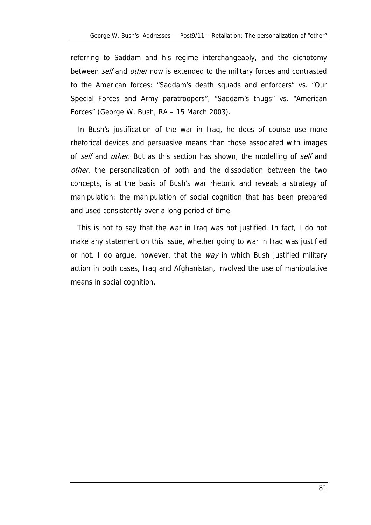referring to Saddam and his regime interchangeably, and the dichotomy between self and other now is extended to the military forces and contrasted to the American forces: "Saddam's death squads and enforcers" vs. "Our Special Forces and Army paratroopers", "Saddam's thugs" vs. "American Forces" (George W. Bush, RA – 15 March 2003).

In Bush's justification of the war in Iraq, he does of course use more rhetorical devices and persuasive means than those associated with images of self and other. But as this section has shown, the modelling of self and other, the personalization of both and the dissociation between the two concepts, is at the basis of Bush's war rhetoric and reveals a strategy of manipulation: the manipulation of social cognition that has been prepared and used consistently over a long period of time.

This is not to say that the war in Iraq was not justified. In fact, I do not make any statement on this issue, whether going to war in Iraq was justified or not. I do argue, however, that the way in which Bush justified military action in both cases, Iraq and Afghanistan, involved the use of manipulative means in social cognition.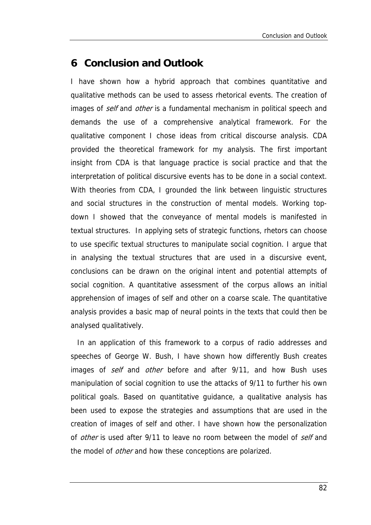## **6 Conclusion and Outlook**

I have shown how a hybrid approach that combines quantitative and qualitative methods can be used to assess rhetorical events. The creation of images of *self* and *other* is a fundamental mechanism in political speech and demands the use of a comprehensive analytical framework. For the qualitative component I chose ideas from critical discourse analysis. CDA provided the theoretical framework for my analysis. The first important insight from CDA is that language practice is social practice and that the interpretation of political discursive events has to be done in a social context. With theories from CDA, I grounded the link between linguistic structures and social structures in the construction of mental models. Working topdown I showed that the conveyance of mental models is manifested in textual structures. In applying sets of strategic functions, rhetors can choose to use specific textual structures to manipulate social cognition. I argue that in analysing the textual structures that are used in a discursive event, conclusions can be drawn on the original intent and potential attempts of social cognition. A quantitative assessment of the corpus allows an initial apprehension of images of self and other on a coarse scale. The quantitative analysis provides a basic map of neural points in the texts that could then be analysed qualitatively.

In an application of this framework to a corpus of radio addresses and speeches of George W. Bush, I have shown how differently Bush creates images of *self* and *other* before and after 9/11, and how Bush uses manipulation of social cognition to use the attacks of 9/11 to further his own political goals. Based on quantitative guidance, a qualitative analysis has been used to expose the strategies and assumptions that are used in the creation of images of self and other. I have shown how the personalization of *other* is used after 9/11 to leave no room between the model of *self* and the model of *other* and how these conceptions are polarized.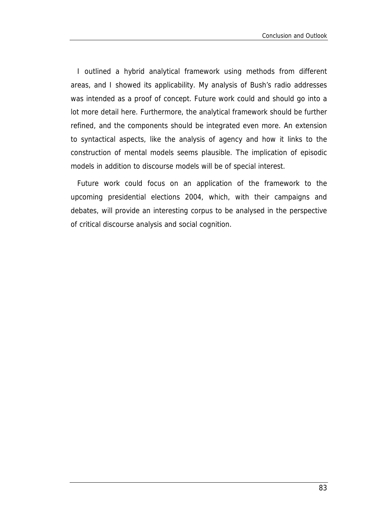I outlined a hybrid analytical framework using methods from different areas, and I showed its applicability. My analysis of Bush's radio addresses was intended as a proof of concept. Future work could and should go into a lot more detail here. Furthermore, the analytical framework should be further refined, and the components should be integrated even more. An extension to syntactical aspects, like the analysis of agency and how it links to the construction of mental models seems plausible. The implication of episodic models in addition to discourse models will be of special interest.

Future work could focus on an application of the framework to the upcoming presidential elections 2004, which, with their campaigns and debates, will provide an interesting corpus to be analysed in the perspective of critical discourse analysis and social cognition.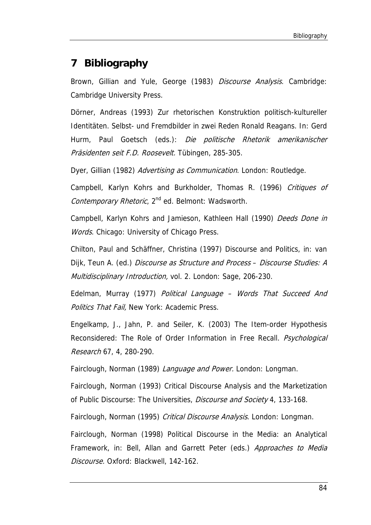## **7 Bibliography**

Brown, Gillian and Yule, George (1983) Discourse Analysis. Cambridge: Cambridge University Press.

Dörner, Andreas (1993) Zur rhetorischen Konstruktion politisch-kultureller Identitäten. Selbst- und Fremdbilder in zwei Reden Ronald Reagans. In: Gerd Hurm, Paul Goetsch (eds.): *Die politische Rhetorik amerikanischer* Präsidenten seit F.D. Roosevelt. Tübingen, 285-305.

Dyer, Gillian (1982) Advertising as Communication. London: Routledge.

Campbell, Karlyn Kohrs and Burkholder, Thomas R. (1996) Critiques of Contemporary Rhetoric, 2<sup>nd</sup> ed. Belmont: Wadsworth.

Campbell, Karlyn Kohrs and Jamieson, Kathleen Hall (1990) Deeds Done in Words. Chicago: University of Chicago Press.

Chilton, Paul and Schäffner, Christina (1997) Discourse and Politics, in: van Dijk, Teun A. (ed.) Discourse as Structure and Process - Discourse Studies: A Multidisciplinary Introduction, vol. 2. London: Sage, 206-230.

Politics That Fail, New York: Academic Press. Edelman, Murray (1977) Political Language – Words That Succeed And

Engelkamp, J., Jahn, P. and Seiler, K. (2003) The Item-order Hypothesis Reconsidered: The Role of Order Information in Free Recall. Psychological Research 67, 4, 280-290.

Fairclough, Norman (1989) Language and Power. London: Longman.

Fairclough, Norman (1993) Critical Discourse Analysis and the Marketization of Public Discourse: The Universities, Discourse and Society 4, 133-168.

Fairclough, Norman (1995) Critical Discourse Analysis. London: Longman.

Fairclough, Norman (1998) Political Discourse in the Media: an Analytical Framework, in: Bell, Allan and Garrett Peter (eds.) Approaches to Media Discourse. Oxford: Blackwell, 142-162.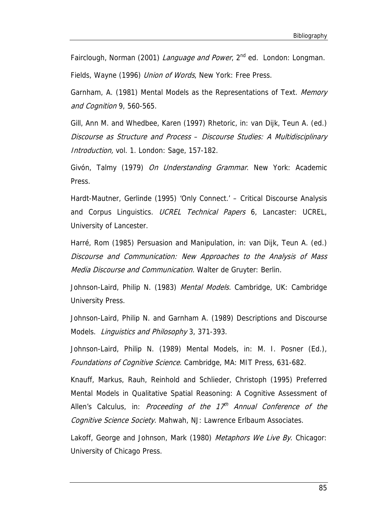Fairclough, Norman (2001) Language and Power, 2<sup>nd</sup> ed. London: Longman.

Fields, Wayne (1996) Union of Words, New York: Free Press.

Garnham, A. (1981) Mental Models as the Representations of Text. Memory and Cognition 9, 560-565.

Gill, Ann M. and Whedbee, Karen (1997) Rhetoric, in: van Dijk, Teun A. (ed.) Discourse as Structure and Process – Discourse Studies: A Multidisciplinary Introduction, vol. 1. London: Sage, 157-182.

Givón, Talmy (1979) On Understanding Grammar. New York: Academic Press.

Hardt-Mautner, Gerlinde (1995) 'Only Connect.' – Critical Discourse Analysis and Corpus Linguistics. UCREL Technical Papers 6, Lancaster: UCREL, University of Lancester.

Harré, Rom (1985) Persuasion and Manipulation, in: van Dijk, Teun A. (ed.) Discourse and Communication: New Approaches to the Analysis of Mass Media Discourse and Communication. Walter de Gruyter: Berlin.

Johnson-Laird, Philip N. (1983) Mental Models. Cambridge, UK: Cambridge University Press.

Johnson-Laird, Philip N. and Garnham A. (1989) Descriptions and Discourse Models. Linguistics and Philosophy 3, 371-393.

Johnson-Laird, Philip N. (1989) Mental Models, in: M. I. Posner (Ed.), Foundations of Cognitive Science. Cambridge, MA: MIT Press, 631-682.

Knauff, Markus, Rauh, Reinhold and Schlieder, Christoph (1995) Preferred Mental Models in Qualitative Spatial Reasoning: A Cognitive Assessment of Allen's Calculus, in: Proceeding of the  $17<sup>th</sup>$  Annual Conference of the Cognitive Science Society. Mahwah, NJ: Lawrence Erlbaum Associates.

Lakoff, George and Johnson, Mark (1980) Metaphors We Live By. Chicagor: University of Chicago Press.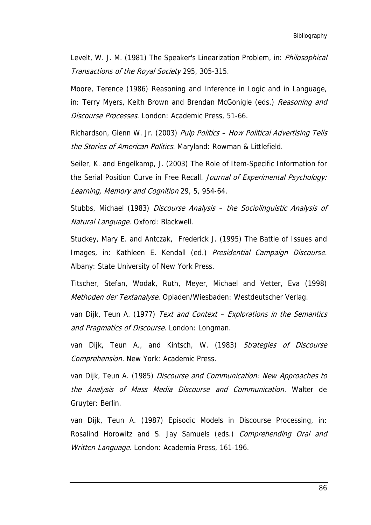Levelt, W. J. M. (1981) The Speaker's Linearization Problem, in: Philosophical Transactions of the Royal Society 295, 305-315.

Moore, Terence (1986) Reasoning and Inference in Logic and in Language, in: Terry Myers, Keith Brown and Brendan McGonigle (eds.) Reasoning and Discourse Processes. London: Academic Press, 51-66.

Richardson, Glenn W. Jr. (2003) Pulp Politics - How Political Advertising Tells the Stories of American Politics. Maryland: Rowman & Littlefield.

the Serial Position Curve in Free Recall. Journal of Experimental Psychology: Learning, Memory and Cognition 29, 5, 954-64. Seiler, K. and Engelkamp, J. (2003) The Role of Item-Specific Information for

Stubbs, Michael (1983) Discourse Analysis – the Sociolinguistic Analysis of Natural Language. Oxford: Blackwell.

Stuckey, Mary E. and Antczak, Frederick J. (1995) The Battle of Issues and Images, in: Kathleen E. Kendall (ed.) Presidential Campaign Discourse. Albany: State University of New York Press.

Titscher, Stefan, Wodak, Ruth, Meyer, Michael and Vetter, Eva (1998) Methoden der Textanalyse. Opladen/Wiesbaden: Westdeutscher Verlag.

van Dijk, Teun A. (1977) Text and Context - Explorations in the Semantics and Pragmatics of Discourse. London: Longman.

van Dijk, Teun A., and Kintsch, W. (1983) Strategies of Discourse Comprehension. New York: Academic Press.

van Dijk, Teun A. (1985) Discourse and Communication: New Approaches to the Analysis of Mass Media Discourse and Communication. Walter de Gruyter: Berlin.

van Dijk, Teun A. (1987) Episodic Models in Discourse Processing, in: Rosalind Horowitz and S. Jay Samuels (eds.) Comprehending Oral and Written Language. London: Academia Press, 161-196.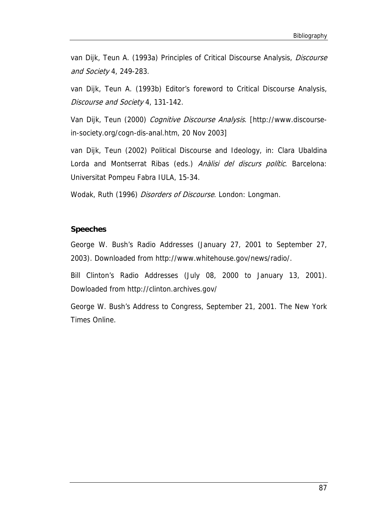van Dijk, Teun A. (1993a) Principles of Critical Discourse Analysis, Discourse and Society 4, 249-283.

van Dijk, Teun A. (1993b) Editor's foreword to Critical Discourse Analysis, Discourse and Society 4, 131-142.

Van Dijk, Teun (2000) Cognitive Discourse Analysis. [http://www.discoursein-society.org/cogn-dis-anal.htm, 20 Nov 2003]

van Dijk, Teun (2002) Political Discourse and Ideology, in: Clara Ubaldina Lorda and Montserrat Ribas (eds.) Anàlisi del discurs polític. Barcelona: Universitat Pompeu Fabra IULA, 15-34.

Wodak, Ruth (1996) Disorders of Discourse. London: Longman.

#### **Speeches**

George W. Bush's Radio Addresses (January 27, 2001 to September 27, 2003). Downloaded from http://www.whitehouse.gov/news/radio/.

Bill Clinton's Radio Addresses (July 08, 2000 to January 13, 2001). Dowloaded from http://clinton.archives.gov/

George W. Bush's Address to Congress, September 21, 2001. The New York Times Online.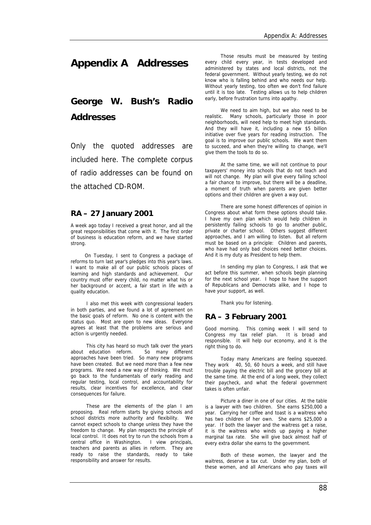## **Appendix A Addresses**

## **George W. Bush's Radio Addresses**

Only the quoted addresses are included here. The complete corpus of radio addresses can be found on the attached CD-ROM.

#### **RA – 27 January 2001**

A week ago today I received a great honor, and all the great responsibilities that come with it. The first order of business is education reform, and we have started strong.

 On Tuesday, I sent to Congress a package of reforms to turn last year's pledges into this year's laws. I want to make all of our public schools places of learning and high standards and achievement. Our country must offer every child, no matter what his or her background or accent, a fair start in life with a quality education.

 I also met this week with congressional leaders in both parties, and we found a lot of agreement on the basic goals of reform. No one is content with the status quo. Most are open to new ideas. Everyone agrees at least that the problems are serious and action is urgently needed.

 This city has heard so much talk over the years about education reform. So many different approaches have been tried. So many new programs have been created. But we need more than a few new programs. We need a new way of thinking. We must go back to the fundamentals of early reading and regular testing, local control, and accountability for results, clear incentives for excellence, and clear consequences for failure.

 These are the elements of the plan I am proposing. Real reform starts by giving schools and school districts more authority and flexibility. We cannot expect schools to change unless they have the freedom to change. My plan respects the principle of local control. It does not try to run the schools from a central office in Washington. I view principals, teachers and parents as allies in reform. They are ready to raise the standards, ready to take responsibility and answer for results.

 Those results must be measured by testing every child every year, in tests developed and administered by states and local districts, not the federal government. Without yearly testing, we do not know who is falling behind and who needs our help. Without yearly testing, too often we don't find failure until it is too late. Testing allows us to help children early, before frustration turns into apathy.

We need to aim high, but we also need to be realistic. Many schools, particularly those in poor neighborhoods, will need help to meet high standards. And they will have it, including a new \$5 billion initiative over five years for reading instruction. The goal is to improve our public schools. We want them to succeed, and when they're willing to change, we'll give them the tools to do so.

 At the same time, we will not continue to pour taxpayers' money into schools that do not teach and will not change. My plan will give every failing school a fair chance to improve, but there will be a deadline, a moment of truth when parents are given better options and their children are given a way out.

 There are some honest differences of opinion in Congress about what form these options should take. I have my own plan which would help children in persistently failing schools to go to another public, private or charter school. Others suggest different approaches, and I am willing to listen. But all reform must be based on a principle: Children and parents, who have had only bad choices need better choices. And it is my duty as President to help them.

In sending my plan to Congress, I ask that we act before this summer, when schools begin planning for the next school year. I hope to have the support of Republicans and Democrats alike, and I hope to have your support, as well.

Thank you for listening.

#### **RA – 3 February 2001**

Good morning. This coming week I will send to Congress my tax relief plan. It is broad and responsible. It will help our economy, and it is the right thing to do.

 Today many Americans are feeling squeezed. They work 40, 50, 60 hours a week, and still have trouble paying the electric bill and the grocery bill at the same time. At the end of a long week, they collect their paycheck, and what the federal government takes is often unfair.

Picture a diner in one of our cities. At the table is a lawyer with two children. She earns \$250,000 a year. Carrying her coffee and toast is a waitress who has two children of her own. She earns \$25,000 a year. If both the lawyer and the waitress get a raise, it is the waitress who winds up paying a higher marginal tax rate. She will give back almost half of every extra dollar she earns to the government.

 Both of these women, the lawyer and the waitress, deserve a tax cut. Under my plan, both of these women, and all Americans who pay taxes will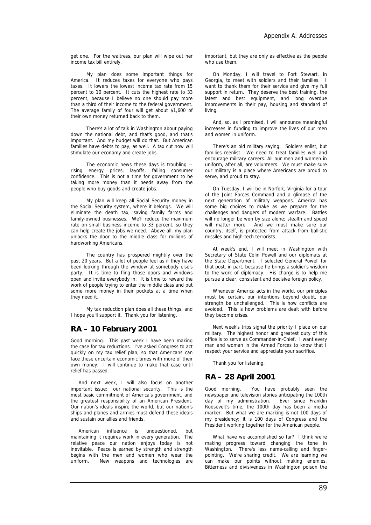get one. For the waitress, our plan will wipe out her income tax bill entirely.

 My plan does some important things for America. It reduces taxes for everyone who pays taxes. It lowers the lowest income tax rate from 15 percent to 10 percent. It cuts the highest rate to 33 percent, because I believe no one should pay more than a third of their income to the federal government. The average family of four will get about \$1,600 of their own money returned back to them.

 There's a lot of talk in Washington about paying down the national debt, and that's good, and that's important. And my budget will do that. But American families have debts to pay, as well. A tax cut now will stimulate our economy and create jobs.

 The economic news these days is troubling - rising energy prices, layoffs, falling consumer confidence. This is not a time for government to be taking more money than it needs away from the people who buy goods and create jobs.

 My plan will keep all Social Security money in the Social Security system, where it belongs. We will eliminate the death tax, saving family farms and family-owned businesses. We'll reduce the maximum rate on small business income to 33 percent, so they can help create the jobs we need. Above all, my plan unlocks the door to the middle class for millions of hardworking Americans.

 The country has prospered mightily over the past 20 years. But a lot of people feel as if they have been looking through the window at somebody else's party. It is time to fling those doors and windows open and invite everybody in. It is time to reward the work of people trying to enter the middle class and put some more money in their pockets at a time when they need it.

 My tax reduction plan does all these things, and I hope you'll support it. Thank you for listening.

#### **RA – 10 February 2001**

Good morning. This past week I have been making the case for tax reductions. I've asked Congress to act quickly on my tax relief plan, so that Americans can face these uncertain economic times with more of their own money. I will continue to make that case until relief has passed.

And next week, I will also focus on another important issue: our national security. This is the most basic commitment of America's government, and the greatest responsibility of an American President. Our nation's ideals inspire the world, but our nation's ships and planes and armies must defend these ideals and sustain our allies and friends.

 American influence is unquestioned, but maintaining it requires work in every generation. The relative peace our nation enjoys today is not inevitable. Peace is earned by strength and strength begins with the men and women who wear the uniform. New weapons and technologies are

important, but they are only as effective as the people who use them.

On Monday, I will travel to Fort Stewart, in Georgia, to meet with soldiers and their families. want to thank them for their service and give my full support in return. They deserve the best training, the latest and best equipment, and long overdue improvements in their pay, housing and standard of living.

And, so, as I promised, I will announce meaningful increases in funding to improve the lives of our men and women in uniform.

 There's an old military saying: Soldiers enlist, but families reenlist. We need to treat families well and encourage military careers. All our men and women in uniform, after all, are volunteers. We must make sure our military is a place where Americans are proud to serve, and proud to stay.

 On Tuesday, I will be in Norfolk, Virginia for a tour of the Joint Forces Command and a glimpse of the next generation of military weapons. America has some big choices to make as we prepare for the challenges and dangers of modern warfare. Battles will no longer be won by size alone; stealth and speed will matter more. And we must make sure our country, itself, is protected from attack from ballistic missiles and high-tech terrorists.

At week's end, I will meet in Washington with Secretary of State Colin Powell and our diplomats at the State Department. I selected General Powell for that post, in part, because he brings a soldier's wisdom to the work of diplomacy. His charge is to help me pursue a clear, consistent and decisive foreign policy.

 Whenever America acts in the world, our principles must be certain, our intentions beyond doubt, our strength be unchallenged. This is how conflicts are avoided. This is how problems are dealt with before they become crises.

Next week's trips signal the priority I place on our military. The highest honor and greatest duty of this office is to serve as Commander-in-Chief. I want every man and woman in the Armed Forces to know that I respect your service and appreciate your sacrifice.

Thank you for listening.

#### **RA – 28 April 2001**

Good morning. You have probably seen the newspaper and television stories anticipating the 100th<br>day of my administration. Ever since Franklin  $day$  of my administration. Roosevelt's time, the 100th day has been a media marker. But what we are marking is not 100 days of my presidency; it is 100 days of Congress and the President working together for the American people.

What have we accomplished so far? I think we're making progress toward changing the tone in Washington. There's less name-calling and fingerpointing. We're sharing credit. We are learning we can make our points without making enemies. Bitterness and divisiveness in Washington poison the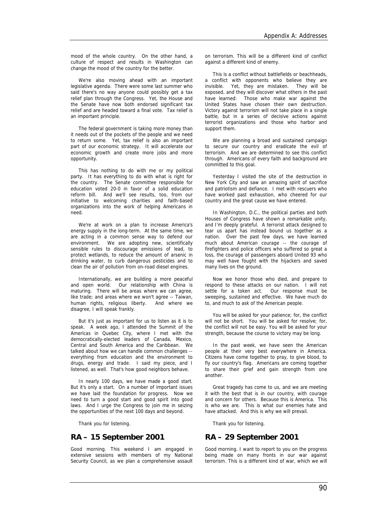mood of the whole country. On the other hand, a culture of respect and results in Washington can change the mood of the country for the better.

 We're also moving ahead with an important legislative agenda. There were some last summer who said there's no way anyone could possibly get a tax relief plan through the Congress. Yet, the House and the Senate have now both endorsed significant tax relief and are headed toward a final vote. Tax relief is an important principle.

The federal government is taking more money than it needs out of the pockets of the people and we need to return some. Yet, tax relief is also an important part of our economic strategy. It will accelerate our economic growth and create more jobs and more opportunity.

This has nothing to do with me or my political party. It has everything to do with what is right for the country. The Senate committee responsible for education voted 20-0 in favor of a solid education reform bill. And we'll see results, too, from our initiative to welcoming charities and faith-based organizations into the work of helping Americans in need.

 We're at work on a plan to increase America's energy supply in the long-term. At the same time, we are acting in a common sense way to defend our environment. We are adopting new, scientifically sensible rules to discourage emissions of lead, to protect wetlands, to reduce the amount of arsenic in drinking water, to curb dangerous pesticides and to clean the air of pollution from on-road diesel engines.

Internationally, we are building a more peaceful and open world. Our relationship with China is maturing. There will be areas where we can agree, like trade; and areas where we won't agree -- Taiwan, human rights, religious liberty. disagree, I will speak frankly.

But it's just as important for us to listen as it is to speak. A week ago, I attended the Summit of the Americas in Quebec City, where I met with the democratically-elected leaders of Canada, Mexico, Central and South America and the Caribbean. We talked about how we can handle common challenges - everything from education and the environment to drugs, energy and trade. I said my piece, and I listened, as well. That's how good neighbors behave.

In nearly 100 days, we have made a good start. But it's only a start. On a number of important issues we have laid the foundation for progress. Now we need to turn a good start and good spirit into good laws. And I urge the Congress to join me in seizing the opportunities of the next 100 days and beyond.

Thank you for listening.

#### **RA – 15 September 2001**

Good morning. This weekend I am engaged in extensive sessions with members of my National Security Council, as we plan a comprehensive assault

on terrorism. This will be a different kind of conflict against a different kind of enemy.

 This is a conflict without battlefields or beachheads, a conflict with opponents who believe they are invisible. Yet, they are mistaken. They will be exposed, and they will discover what others in the past have learned: Those who make war against the United States have chosen their own destruction. Victory against terrorism will not take place in a single battle, but in a series of decisive actions against terrorist organizations and those who harbor and support them.

We are planning a broad and sustained campaign to secure our country and eradicate the evil of terrorism. And we are determined to see this conflict through. Americans of every faith and background are committed to this goal.

Yesterday I visited the site of the destruction in New York City and saw an amazing spirit of sacrifice and patriotism and defiance. I met with rescuers who have worked past exhaustion, who cheered for our country and the great cause we have entered.

 In Washington, D.C., the political parties and both Houses of Congress have shown a remarkable unity, and I'm deeply grateful. A terrorist attack designed to tear us apart has instead bound us together as a nation. Over the past few days, we have learned much about American courage -- the courage of firefighters and police officers who suffered so great a loss, the courage of passengers aboard United 93 who may well have fought with the hijackers and saved many lives on the ground.

Now we honor those who died, and prepare to respond to these attacks on our nation. I will not Our response must be sweeping, sustained and effective. We have much do to, and much to ask of the American people.

 You will be asked for your patience; for, the conflict will not be short. You will be asked for resolve; for, the conflict will not be easy. You will be asked for your strength, because the course to victory may be long.

In the past week, we have seen the American people at their very best everywhere in America. Citizens have come together to pray, to give blood, to fly our country's flag. Americans are coming together to share their grief and gain strength from one another.

Great tragedy has come to us, and we are meeting it with the best that is in our country, with courage and concern for others. Because this is America. This is who we are. This is what our enemies hate and have attacked. And this is why we will prevail.

Thank you for listening.

#### **RA – 29 September 2001**

Good morning. I want to report to you on the progress being made on many fronts in our war against terrorism. This is a different kind of war, which we will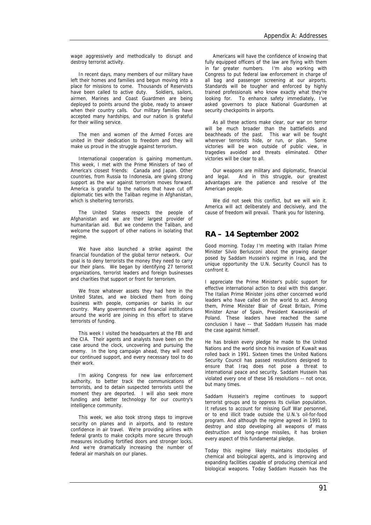wage aggressively and methodically to disrupt and destroy terrorist activity.

In recent days, many members of our military have left their homes and families and begun moving into a place for missions to come. Thousands of Reservists have been called to active duty. Soldiers, sailors, airmen, Marines and Coast Guardmen are being deployed to points around the globe, ready to answer when their country calls. Our military families have accepted many hardships, and our nation is grateful for their willing service.

The men and women of the Armed Forces are united in their dedication to freedom and they will make us proud in the struggle against terrorism.

 International cooperation is gaining momentum. This week, I met with the Prime Ministers of two of America's closest friends: Canada and Japan. Other countries, from Russia to Indonesia, are giving strong support as the war against terrorism moves forward. America is grateful to the nations that have cut off diplomatic ties with the Taliban regime in Afghanistan, which is sheltering terrorists.

The United States respects the people of Afghanistan and we are their largest provider of humanitarian aid. But we condemn the Taliban, and welcome the support of other nations in isolating that regime.

We have also launched a strike against the financial foundation of the global terror network. Our goal is to deny terrorists the money they need to carry our their plans. We began by identifying 27 terrorist organizations, terrorist leaders and foreign businesses and charities that support or front for terrorism.

We froze whatever assets they had here in the United States, and we blocked them from doing business with people, companies or banks in our country. Many governments and financial institutions around the world are joining in this effort to starve terrorists of funding.

This week I visited the headquarters at the FBI and the CIA. Their agents and analysts have been on the case around the clock, uncovering and pursuing the enemy. In the long campaign ahead, they will need our continued support, and every necessary tool to do their work.

 I'm asking Congress for new law enforcement authority, to better track the communications of terrorists, and to detain suspected terrorists until the moment they are deported. I will also seek more funding and better technology for our country's intelligence community.

This week, we also took strong steps to improve security on planes and in airports, and to restore confidence in air travel. We're providing airlines with federal grants to make cockpits more secure through measures including fortified doors and stronger locks. And we're dramatically increasing the number of federal air marshals on our planes.

 Americans will have the confidence of knowing that fully equipped officers of the law are flying with them in far greater numbers. I'm also working with Congress to put federal law enforcement in charge of all bag and passenger screening at our airports. Standards will be tougher and enforced by highly trained professionals who know exactly what they're looking for. To enhance safety immediately, I've asked governors to place National Guardsmen at security checkpoints in airports.

 As all these actions make clear, our war on terror will be much broader than the battlefields and beachheads of the past. This war will be fought wherever terrorists hide, or run, or plan. Some victories will be won outside of public view, in tragedies avoided and threats eliminated. Other victories will be clear to all.

 Our weapons are military and diplomatic, financial and legal. And in this struggle, our greatest advantages are the patience and resolve of the American people.

We did not seek this conflict, but we will win it. America will act deliberately and decisively, and the cause of freedom will prevail. Thank you for listening.

#### **RA – 14 September 2002**

Good morning. Today I'm meeting with Italian Prime Minister Silvio Berlusconi about the growing danger posed by Saddam Hussein's regime in Iraq, and the unique opportunity the U.N. Security Council has to confront it.

I appreciate the Prime Minister's public support for effective international action to deal with this danger. The Italian Prime Minister joins other concerned world leaders who have called on the world to act. Among them, Prime Minister Blair of Great Britain, Prime Minister Aznar of Spain, President Kwasniewski of Poland. These leaders have reached the same conclusion I have -- that Saddam Hussein has made the case against himself.

He has broken every pledge he made to the United Nations and the world since his invasion of Kuwait was rolled back in 1991. Sixteen times the United Nations Security Council has passed resolutions designed to ensure that Iraq does not pose a threat to international peace and security. Saddam Hussein has violated every one of these 16 resolutions -- not once, but many times.

Saddam Hussein's regime continues to support terrorist groups and to oppress its civilian population. It refuses to account for missing Gulf War personnel, or to end illicit trade outside the U.N.'s oil-for-food program. And although the regime agreed in 1991 to destroy and stop developing all weapons of mass destruction and long-range missiles, it has broken every aspect of this fundamental pledge.

Today this regime likely maintains stockpiles of chemical and biological agents, and is improving and expanding facilities capable of producing chemical and biological weapons. Today Saddam Hussein has the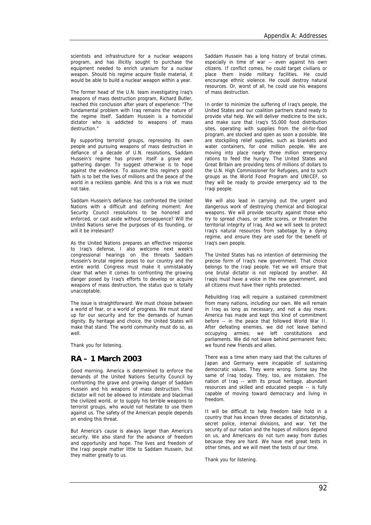scientists and infrastructure for a nuclear weapons program, and has illicitly sought to purchase the equipment needed to enrich uranium for a nuclear weapon. Should his regime acquire fissile material, it would be able to build a nuclear weapon within a year.

The former head of the U.N. team investigating Iraq's weapons of mass destruction program, Richard Butler, reached this conclusion after years of experience: "The fundamental problem with Iraq remains the nature of the regime itself. Saddam Hussein is a homicidal dictator who is addicted to weapons of mass destruction."

By supporting terrorist groups, repressing its own people and pursuing weapons of mass destruction in defiance of a decade of U.N. resolutions, Saddam Hussein's regime has proven itself a grave and gathering danger. To suggest otherwise is to hope against the evidence. To assume this regime's good faith is to bet the lives of millions and the peace of the world in a reckless gamble. And this is a risk we must not take.

Saddam Hussein's defiance has confronted the United Nations with a difficult and defining moment: Are Security Council resolutions to be honored and enforced, or cast aside without consequence? Will the United Nations serve the purposes of its founding, or will it be irrelevant?

As the United Nations prepares an effective response to Iraq's defense, I also welcome next week's congressional hearings on the threats Saddam Hussein's brutal regime poses to our country and the entire world. Congress must make it unmistakably clear that when it comes to confronting the growing danger posed by Iraq's efforts to develop or acquire weapons of mass destruction, the status quo is totally unacceptable.

The issue is straightforward: We must choose between a world of fear, or a world of progress. We must stand up for our security and for the demands of human dignity. By heritage and choice, the United States will make that stand. The world community must do so, as well.

Thank you for listening.

#### **RA – 1 March 2003**

Good morning. America is determined to enforce the demands of the United Nations Security Council by confronting the grave and growing danger of Saddam Hussein and his weapons of mass destruction. This dictator will not be allowed to intimidate and blackmail the civilized world, or to supply his terrible weapons to terrorist groups, who would not hesitate to use them against us. The safety of the American people depends on ending this threat.

But America's cause is always larger than America's security. We also stand for the advance of freedom and opportunity and hope. The lives and freedom of the Iraqi people matter little to Saddam Hussein, but they matter greatly to us.

Saddam Hussein has a long history of brutal crimes, especially in time of war -- even against his own citizens. If conflict comes, he could target civilians or place them inside military facilities. He could encourage ethnic violence. He could destroy natural resources. Or, worst of all, he could use his weapons of mass destruction.

In order to minimize the suffering of Iraq's people, the United States and our coalition partners stand ready to provide vital help. We will deliver medicine to the sick, and make sure that Iraq's 55,000 food distribution sites, operating with supplies from the oil-for-food program, are stocked and open as soon a possible. We are stockpiling relief supplies, such as blankets and water containers, for one million people. We are moving into place nearly three million emergency rations to feed the hungry. The United States and Great Britain are providing tens of millions of dollars to the U.N. High Commissioner for Refugees, and to such groups as the World Food Program and UNICEF, so they will be ready to provide emergency aid to the Iraqi people.

We will also lead in carrying out the urgent and dangerous work of destroying chemical and biological weapons. We will provide security against those who try to spread chaos, or settle scores, or threaten the territorial integrity of Iraq. And we will seek to protect Iraq's natural resources from sabotage by a dying regime, and ensure they are used for the benefit of Iraq's own people.

The United States has no intention of determining the precise form of Iraq's new government. That choice belongs to the Iraqi people. Yet we will ensure that one brutal dictator is not replaced by another. All Iraqis must have a voice in the new government, and all citizens must have their rights protected.

Rebuilding Iraq will require a sustained commitment from many nations, including our own. We will remain in Iraq as long as necessary, and not a day more. America has made and kept this kind of commitment before -- in the peace that followed World War II. After defeating enemies, we did not leave behind occupying armies; we left constitutions and parliaments. We did not leave behind permanent foes; we found new friends and allies.

There was a time when many said that the cultures of Japan and Germany were incapable of sustaining democratic values. They were wrong. Some say the same of Iraq today. They, too, are mistaken. The nation of Iraq -- with its proud heritage, abundant resources and skilled and educated people -- is fully capable of moving toward democracy and living in freedom.

It will be difficult to help freedom take hold in a country that has known three decades of dictatorship, secret police, internal divisions, and war. Yet the security of our nation and the hopes of millions depend on us, and Americans do not turn away from duties because they are hard. We have met great tests in other times, and we will meet the tests of our time.

Thank you for listening.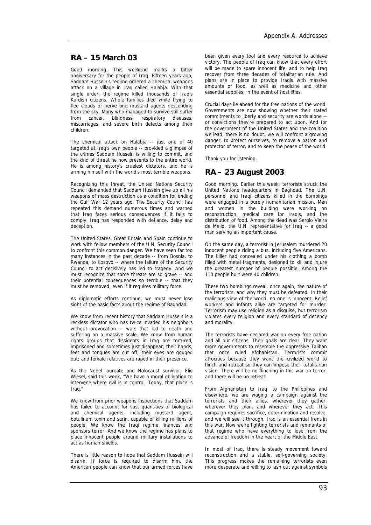#### **RA – 15 March 03**

Good morning. This weekend marks a bitter anniversary for the people of Iraq. Fifteen years ago, Saddam Hussein's regime ordered a chemical weapons attack on a village in Iraq called Halabja. With that single order, the regime killed thousands of Iraq's Kurdish citizens. Whole families died while trying to flee clouds of nerve and mustard agents descending from the sky. Many who managed to survive still suffer from cancer, blindness, respiratory diseases, miscarriages, and severe birth defects among their children.

The chemical attack on Halabja -- just one of 40 targeted at Iraq's own people -- provided a glimpse of the crimes Saddam Hussein is willing to commit, and the kind of threat he now presents to the entire world. He is among history's cruelest dictators, and he is arming himself with the world's most terrible weapons.

Recognizing this threat, the United Nations Security Council demanded that Saddam Hussein give up all his weapons of mass destruction as a condition for ending the Gulf War 12 years ago. The Security Council has repeated this demand numerous times and warned that Iraq faces serious consequences if it fails to comply. Iraq has responded with defiance, delay and deception.

The United States, Great Britain and Spain continue to work with fellow members of the U.N. Security Council to confront this common danger. We have seen far too many instances in the past decade -- from Bosnia, to Rwanda, to Kosovo -- where the failure of the Security Council to act decisively has led to tragedy. And we must recognize that some threats are so grave -- and their potential consequences so terrible -- that they must be removed, even if it requires military force.

As diplomatic efforts continue, we must never lose sight of the basic facts about the regime of Baghdad.

We know from recent history that Saddam Hussein is a reckless dictator who has twice invaded his neighbors without provocation -- wars that led to death and suffering on a massive scale. We know from human rights groups that dissidents in Iraq are tortured, imprisoned and sometimes just disappear; their hands, feet and tongues are cut off; their eyes are gouged out; and female relatives are raped in their presence.

As the Nobel laureate and Holocaust survivor, Elie Wiesel, said this week, "We have a moral obligation to intervene where evil is in control. Today, that place is Iraq."

We know from prior weapons inspections that Saddam has failed to account for vast quantities of biological and chemical agents, including mustard agent, botulinum toxin and sarin, capable of killing millions of people. We know the Iraqi regime finances and sponsors terror. And we know the regime has plans to place innocent people around military installations to act as human shields.

There is little reason to hope that Saddam Hussein will disarm. If force is required to disarm him, the American people can know that our armed forces have been given every tool and every resource to achieve victory. The people of Iraq can know that every effort will be made to spare innocent life, and to help Iraq recover from three decades of totalitarian rule. And plans are in place to provide Iraqis with massive amounts of food, as well as medicine and other essential supplies, in the event of hostilities.

Crucial days lie ahead for the free nations of the world. Governments are now showing whether their stated commitments to liberty and security are words alone - or convictions they're prepared to act upon. And for the government of the United States and the coalition we lead, there is no doubt: we will confront a growing danger, to protect ourselves, to remove a patron and protector of terror, and to keep the peace of the world.

Thank you for listening.

#### **RA – 23 August 2003**

Good morning. Earlier this week, terrorists struck the United Nations headquarters in Baghdad. The U.N. personnel and Iraqi citizens killed in the bombings were engaged in a purely humanitarian mission. Men and women in the building were working on reconstruction, medical care for Iraqis, and the distribution of food. Among the dead was Sergio Vieira de Mello, the U.N. representative for Iraq -- a good man serving an important cause.

On the same day, a terrorist in Jerusalem murdered 20 innocent people riding a bus, including five Americans. The killer had concealed under his clothing a bomb filled with metal fragments, designed to kill and injure the greatest number of people possible. Among the 110 people hurt were 40 children.

These two bombings reveal, once again, the nature of the terrorists, and why they must be defeated. In their malicious view of the world, no one is innocent. Relief workers and infants alike are targeted for murder. Terrorism may use religion as a disguise, but terrorism violates every religion and every standard of decency and morality.

The terrorists have declared war on every free nation and all our citizens. Their goals are clear. They want more governments to resemble the oppressive Taliban that once ruled Afghanistan. Terrorists commit atrocities because they want the civilized world to flinch and retreat so they can impose their totalitarian vision. There will be no flinching in this war on terror, and there will be no retreat.

From Afghanistan to Iraq, to the Philippines and elsewhere, we are waging a campaign against the terrorists and their allies, wherever they gather, wherever they plan, and wherever they act. This campaign requires sacrifice, determination and resolve, and we will see it through. Iraq is an essential front in this war. Now we're fighting terrorists and remnants of that regime who have everything to lose from the advance of freedom in the heart of the Middle East.

In most of Iraq, there is steady movement toward reconstruction and a stable, self-governing society. This progress makes the remaining terrorists even more desperate and willing to lash out against symbols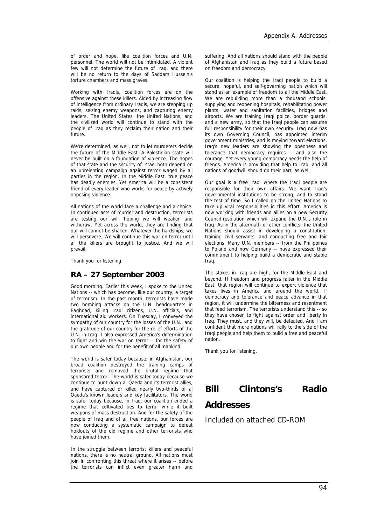of order and hope, like coalition forces and U.N. personnel. The world will not be intimidated. A violent few will not determine the future of Iraq, and there will be no return to the days of Saddam Hussein's torture chambers and mass graves.

Working with Iraqis, coalition forces are on the offensive against these killers. Aided by increasing flow of intelligence from ordinary Iraqis, we are stepping up raids, seizing enemy weapons, and capturing enemy leaders. The United States, the United Nations, and the civilized world will continue to stand with the people of Iraq as they reclaim their nation and their future.

We're determined, as well, not to let murderers decide the future of the Middle East. A Palestinian state will never be built on a foundation of violence. The hopes of that state and the security of Israel both depend on an unrelenting campaign against terror waged by all parties in the region. In the Middle East, true peace has deadly enemies. Yet America will be a consistent friend of every leader who works for peace by actively opposing violence.

All nations of the world face a challenge and a choice. In continued acts of murder and destruction, terrorists are testing our will, hoping we will weaken and withdraw. Yet across the world, they are finding that our will cannot be shaken. Whatever the hardships, we will persevere. We will continue this war on terror until all the killers are brought to justice. And we will prevail.

Thank you for listening.

#### **RA – 27 September 2003**

Good morning. Earlier this week, I spoke to the United Nations -- which has become, like our country, a target of terrorism. In the past month, terrorists have made two bombing attacks on the U.N. headquarters in Baghdad, killing Iraqi citizens, U.N. officials, and international aid workers. On Tuesday, I conveyed the sympathy of our country for the losses of the U.N., and the gratitude of our country for the relief efforts of the U.N. in Iraq. I also expressed America's determination to fight and win the war on terror -- for the safety of our own people and for the benefit of all mankind.

The world is safer today because, in Afghanistan, our broad coalition destroyed the training camps of terrorists and removed the brutal regime that sponsored terror. The world is safer today because we continue to hunt down al Qaeda and its terrorist allies, and have captured or killed nearly two-thirds of al Qaeda's known leaders and key facilitators. The world is safer today because, in Iraq, our coalition ended a regime that cultivated ties to terror while it built weapons of mass destruction. And for the safety of the people of Iraq and of all free nations, our forces are now conducting a systematic campaign to defeat holdouts of the old regime and other terrorists who have joined them.

In the struggle between terrorist killers and peaceful nations, there is no neutral ground. All nations must join in confronting this threat where it arises -- before the terrorists can inflict even greater harm and

suffering. And all nations should stand with the people of Afghanistan and Iraq as they build a future based on freedom and democracy.

Our coalition is helping the Iraqi people to build a secure, hopeful, and self-governing nation which will stand as an example of freedom to all the Middle East. We are rebuilding more than a thousand schools, supplying and reopening hospitals, rehabilitating power plants, water and sanitation facilities, bridges and airports. We are training Iraqi police, border guards, and a new army, so that the Iraqi people can assume full responsibility for their own security. Iraq now has its own Governing Council, has appointed interim government ministries, and is moving toward elections. Iraq's new leaders are showing the openness and tolerance that democracy requires -- and also the courage. Yet every young democracy needs the help of friends. America is providing that help to Iraq, and all nations of goodwill should do their part, as well.

Our goal is a free Iraq, where the Iraqi people are responsible for their own affairs. We want Iraq's governmental institutions to be strong, and to stand the test of time. So I called on the United Nations to take up vital responsibilities in this effort. America is now working with friends and allies on a new Security Council resolution which will expand the U.N.'s role in Iraq. As in the aftermath of other conflicts, the United Nations should assist in developing a constitution, training civil servants, and conducting free and fair elections. Many U.N. members -- from the Philippines to Poland and now Germany -- have expressed their commitment to helping build a democratic and stable Iraq.

The stakes in Iraq are high, for the Middle East and beyond. If freedom and progress falter in the Middle East, that region will continue to export violence that takes lives in America and around the world. If democracy and tolerance and peace advance in that region, it will undermine the bitterness and resentment that feed terrorism. The terrorists understand this -- so they have chosen to fight against order and liberty in Iraq. They must, and they will, be defeated. And I am confident that more nations will rally to the side of the Iraqi people and help them to build a free and peaceful nation.

Thank you for listening.



#### **Addresses**

Included on attached CD-ROM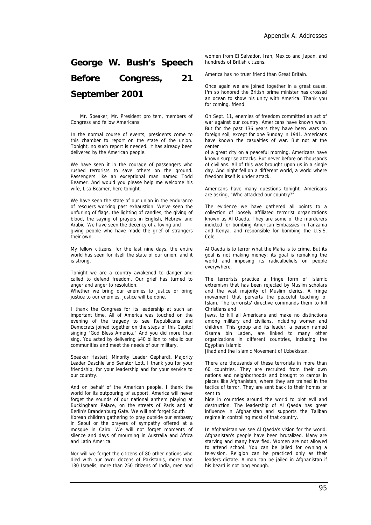# **George W. Bush's Speech Before Congress, 21 September 2001**

Mr. Speaker, Mr. President pro tem, members of Congress and fellow Americans:

In the normal course of events, presidents come to this chamber to report on the state of the union. Tonight, no such report is needed. It has already been delivered by the American people.

We have seen it in the courage of passengers who rushed terrorists to save others on the ground. Passengers like an exceptional man named Todd Beamer. And would you please help me welcome his wife, Lisa Beamer, here tonight.

We have seen the state of our union in the endurance of rescuers working past exhaustion. We've seen the unfurling of flags, the lighting of candles, the giving of blood, the saying of prayers in English, Hebrew and Arabic. We have seen the decency of a loving and giving people who have made the grief of strangers their own.

My fellow citizens, for the last nine days, the entire world has seen for itself the state of our union, and it is strong.

Tonight we are a country awakened to danger and called to defend freedom. Our grief has turned to anger and anger to resolution.

Whether we bring our enemies to justice or bring justice to our enemies, justice will be done.

I thank the Congress for its leadership at such an important time. All of America was touched on the evening of the tragedy to see Republicans and Democrats joined together on the steps of this Capitol singing "God Bless America." And you did more than sing. You acted by delivering \$40 billion to rebuild our communities and meet the needs of our military.

Speaker Hastert, Minority Leader Gephardt, Majority Leader Daschle and Senator Lott, I thank you for your friendship, for your leadership and for your service to our country.

And on behalf of the American people, I thank the world for its outpouring of support. America will never forget the sounds of our national anthem playing at Buckingham Palace, on the streets of Paris and at Berlin's Brandenburg Gate. We will not forget South Korean children gathering to pray outside our embassy in Seoul or the prayers of sympathy offered at a mosque in Cairo. We will not forget moments of silence and days of mourning in Australia and Africa and Latin America.

Nor will we forget the citizens of 80 other nations who died with our own: dozens of Pakistanis, more than 130 Israelis, more than 250 citizens of India, men and

women from El Salvador, Iran, Mexico and Japan, and hundreds of British citizens.

America has no truer friend than Great Britain.

Once again we are joined together in a great cause. I'm so honored the British prime minister has crossed an ocean to show his unity with America. Thank you for coming, friend.

On Sept. 11, enemies of freedom committed an act of war against our country. Americans have known wars. But for the past 136 years they have been wars on foreign soil, except for one Sunday in 1941. Americans have known the casualties of war. But not at the center

of a great city on a peaceful morning. Americans have known surprise attacks. But never before on thousands of civilians. All of this was brought upon us in a single day. And night fell on a different world, a world where freedom itself is under attack.

Americans have many questions tonight. Americans are asking, "Who attacked our country?"

The evidence we have gathered all points to a collection of loosely affiliated terrorist organizations known as Al Qaeda. They are some of the murderers indicted for bombing American Embassies in Tanzania and Kenya, and responsible for bombing the U.S.S. Cole.

Al Qaeda is to terror what the Mafia is to crime. But its goal is not making money; its goal is remaking the world and imposing its radicalbeliefs on people everywhere.

The terrorists practice a fringe form of Islamic extremism that has been rejected by Muslim scholars and the vast majority of Muslim clerics. A fringe movement that perverts the peaceful teaching of Islam. The terrorists' directive commands them to kill Christians and

Jews, to kill all Americans and make no distinctions among military and civilians, including women and children. This group and its leader, a person named Osama bin Laden, are linked to many other organizations in different countries, including the Egyptian Islamic

Jihad and the Islamic Movement of Uzbekistan.

There are thousands of these terrorists in more than 60 countries. They are recruited from their own nations and neighborhoods and brought to camps in places like Afghanistan, where they are trained in the tactics of terror. They are sent back to their homes or sent to

hide in countries around the world to plot evil and destruction. The leadership of Al Qaeda has great influence in Afghanistan and supports the Taliban regime in controlling most of that country.

In Afghanistan we see Al Qaeda's vision for the world. Afghanistan's people have been brutalized. Many are starving and many have fled. Women are not allowed to attend school. You can be jailed for owning a television. Religion can be practiced only as their leaders dictate. A man can be jailed in Afghanistan if his beard is not long enough.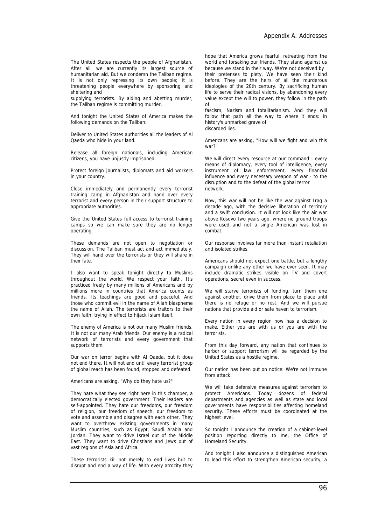The United States respects the people of Afghanistan. After all, we are currently its largest source of humanitarian aid. But we condemn the Taliban regime. It is not only repressing its own people; it is threatening people everywhere by sponsoring and sheltering and

supplying terrorists. By aiding and abetting murder, the Taliban regime is committing murder.

And tonight the United States of America makes the following demands on the Taliban:

Deliver to United States authorities all the leaders of Al Qaeda who hide in your land.

Release all foreign nationals, including American citizens, you have unjustly imprisoned.

Protect foreign journalists, diplomats and aid workers in your country.

Close immediately and permanently every terrorist training camp in Afghanistan and hand over every terrorist and every person in their support structure to appropriate authorities.

Give the United States full access to terrorist training camps so we can make sure they are no longer operating.

These demands are not open to negotiation or discussion. The Taliban must act and act immediately. They will hand over the terrorists or they will share in their fate.

I also want to speak tonight directly to Muslims throughout the world. We respect your faith. It's practiced freely by many millions of Americans and by millions more in countries that America counts as friends. Its teachings are good and peaceful. And those who commit evil in the name of Allah blaspheme the name of Allah. The terrorists are traitors to their own faith, trying in effect to hijack Islam itself.

The enemy of America is not our many Muslim friends. It is not our many Arab friends. Our enemy is a radical network of terrorists and every government that supports them.

Our war on terror begins with Al Qaeda, but it does not end there. It will not end until every terrorist group of global reach has been found, stopped and defeated.

Americans are asking, "Why do they hate us?"

They hate what they see right here in this chamber, a democratically elected government. Their leaders are self-appointed. They hate our freedoms, our freedom of religion, our freedom of speech, our freedom to vote and assemble and disagree with each other. They want to overthrow existing governments in many Muslim countries, such as Egypt, Saudi Arabia and Jordan. They want to drive Israel out of the Middle East. They want to drive Christians and Jews out of vast regions of Asia and Africa.

These terrorists kill not merely to end lives but to disrupt and end a way of life. With every atrocity they

hope that America grows fearful, retreating from the world and forsaking our friends. They stand against us because we stand in their way. We're not deceived by their pretenses to piety. We have seen their kind before. They are the heirs of all the murderous ideologies of the 20th century. By sacrificing human life to serve their radical visions, by abandoning every value except the will to power, they follow in the path of

fascism, Nazism and totalitarianism. And they will follow that path all the way to where it ends: in history's unmarked grave of discarded lies.

Americans are asking, "How will we fight and win this war?"

We will direct every resource at our command - every means of diplomacy, every tool of intelligence, every instrument of law enforcement, every financial influence and every necessary weapon of war - to the disruption and to the defeat of the global terror network.

Now, this war will not be like the war against Iraq a decade ago, with the decisive liberation of territory and a swift conclusion. It will not look like the air war above Kosovo two years ago, where no ground troops were used and not a single American was lost in combat.

Our response involves far more than instant retaliation and isolated strikes.

Americans should not expect one battle, but a lengthy campaign unlike any other we have ever seen. It may include dramatic strikes visible on TV and covert operations, secret even in success.

We will starve terrorists of funding, turn them one against another, drive them from place to place until there is no refuge or no rest. And we will pursue nations that provide aid or safe haven to terrorism.

Every nation in every region now has a decision to make. Either you are with us or you are with the terrorists.

From this day forward, any nation that continues to harbor or support terrorism will be regarded by the United States as a hostile regime.

Our nation has been put on notice: We're not immune from attack.

We will take defensive measures against terrorism to protect Americans. Today dozens of federal departments and agencies as well as state and local governments have responsibilities affecting homeland security. These efforts must be coordinated at the highest level.

So tonight I announce the creation of a cabinet-level position reporting directly to me, the Office of .<br>Homeland Security.

And tonight I also announce a distinguished American to lead this effort to strengthen American security, a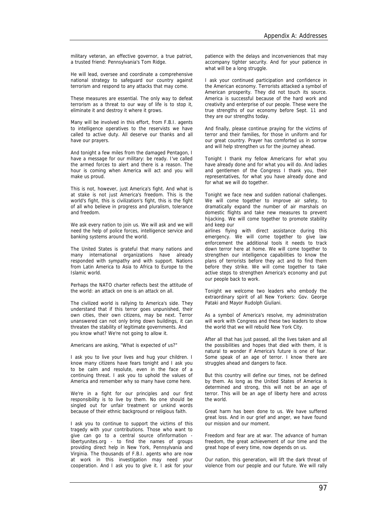military veteran, an effective governor, a true patriot, a trusted friend: Pennsylvania's Tom Ridge.

He will lead, oversee and coordinate a comprehensive national strategy to safeguard our country against terrorism and respond to any attacks that may come.

These measures are essential. The only way to defeat terrorism as a threat to our way of life is to stop it, eliminate it and destroy it where it grows.

Many will be involved in this effort, from F.B.I. agents to intelligence operatives to the reservists we have called to active duty. All deserve our thanks and all have our prayers.

And tonight a few miles from the damaged Pentagon, I have a message for our military: be ready. I've called the armed forces to alert and there is a reason. The hour is coming when America will act and you will make us proud.

This is not, however, just America's fight. And what is at stake is not just America's freedom. This is the world's fight, this is civilization's fight, this is the fight of all who believe in progress and pluralism, tolerance and freedom.

We ask every nation to join us. We will ask and we will need the help of police forces, intelligence service and banking systems around the world.

The United States is grateful that many nations and many international organizations have already responded with sympathy and with support. Nations from Latin America to Asia to Africa to Europe to the Islamic world.

Perhaps the NATO charter reflects best the attitude of the world: an attack on one is an attack on all.

The civilized world is rallying to America's side. They understand that if this terror goes unpunished, their own cities, their own citizens, may be next. Terror unanswered can not only bring down buildings, it can threaten the stability of legitimate governments. And you know what? We're not going to allow it.

Americans are asking, "What is expected of us?"

I ask you to live your lives and hug your children. I know many citizens have fears tonight and I ask you to be calm and resolute, even in the face of a continuing threat. I ask you to uphold the values of America and remember why so many have come here.

We're in a fight for our principles and our first responsibility is to live by them. No one should be singled out for unfair treatment or unkind words because of their ethnic background or religious faith.

I ask you to continue to support the victims of this tragedy with your contributions. Those who want to give can go to a central source ofinformation libertyunites.org - to find the names of groups providing direct help in New York, Pennsylvania and Virginia. The thousands of F.B.I. agents who are now at work in this investigation may need your cooperation. And I ask you to give it. I ask for your

patience with the delays and inconveniences that may accompany tighter security. And for your patience in what will be a long struggle.

I ask your continued participation and confidence in the American economy. Terrorists attacked a symbol of American prosperity. They did not touch its source. America is successful because of the hard work and creativity and enterprise of our people. These were the true strengths of our economy before Sept. 11 and they are our strengths today.

And finally, please continue praying for the victims of terror and their families, for those in uniform and for our great country. Prayer has comforted us in sorrow and will help strengthen us for the journey ahead.

Tonight I thank my fellow Americans for what you have already done and for what you will do. And ladies and gentlemen of the Congress I thank you, their representatives, for what you have already done and for what we will do together.

Tonight we face new and sudden national challenges. We will come together to improve air safety, to dramatically expand the number of air marshals on domestic flights and take new measures to prevent hijacking. We will come together to promote stability and keep our

airlines flying with direct assistance during this emergency. We will come together to give law enforcement the additional tools it needs to track down terror here at home. We will come together to strengthen our intelligence capabilities to know the plans of terrorists before they act and to find them before they strike. We will come together to take active steps to strengthen America's economy and put our people back to work.

Tonight we welcome two leaders who embody the extraordinary spirit of all New Yorkers: Gov. George Pataki and Mayor Rudolph Giuliani.

As a symbol of America's resolve, my administration will work with Congress and these two leaders to show the world that we will rebuild New York City.

After all that has just passed, all the lives taken and all the possibilities and hopes that died with them, it is natural to wonder if America's future is one of fear. Some speak of an age of terror. I know there are struggles ahead and dangers to face.

But this country will define our times, not be defined by them. As long as the United States of America is determined and strong, this will not be an age of terror. This will be an age of liberty here and across the world.

Great harm has been done to us. We have suffered great loss. And in our grief and anger, we have found our mission and our moment.

Freedom and fear are at war. The advance of human freedom, the great achievement of our time and the great hope of every time, now depends on us.

Our nation, this generation, will lift the dark threat of violence from our people and our future. We will rally